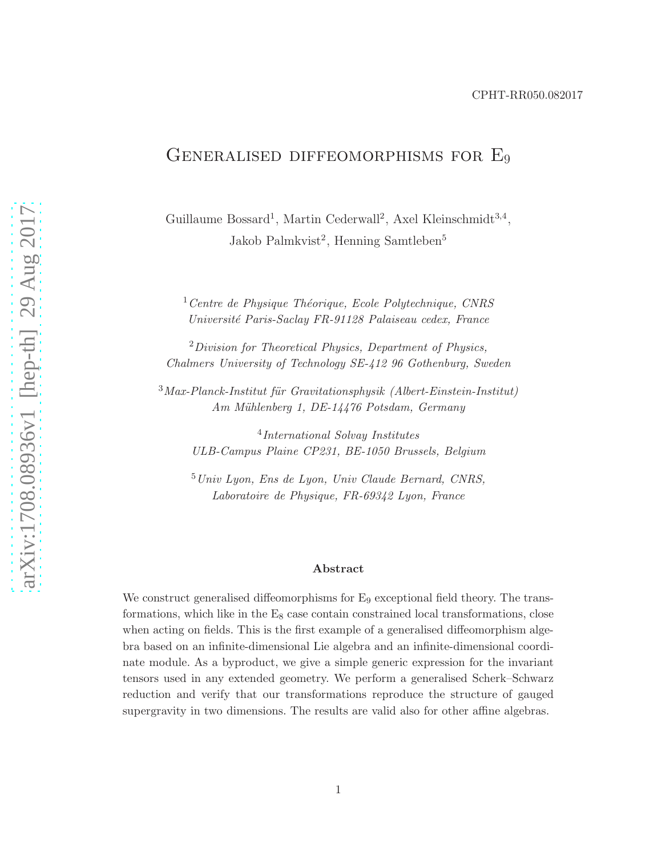### CPHT-RR050.082017

# GENERALISED DIFFEOMORPHISMS FOR E<sub>9</sub>

Guillaume Bossard<sup>1</sup>, Martin Cederwall<sup>2</sup>, Axel Kleinschmidt<sup>3,4</sup>, Jakob Palmkvist<sup>2</sup>, Henning Samtleben<sup>5</sup>

 $1$ Centre de Physique Théorique, Ecole Polytechnique, CNRS Universit´e Paris-Saclay FR-91128 Palaiseau cedex, France

 $2$ Division for Theoretical Physics, Department of Physics, Chalmers University of Technology SE-412 96 Gothenburg, Sweden

 $3$ Max-Planck-Institut für Gravitationsphysik (Albert-Einstein-Institut) Am Mühlenberg 1, DE-14476 Potsdam, Germany

4 International Solvay Institutes ULB-Campus Plaine CP231, BE-1050 Brussels, Belgium

 $5$ Univ Lyon, Ens de Lyon, Univ Claude Bernard, CNRS, Laboratoire de Physique, FR-69342 Lyon, France

#### Abstract

We construct generalised diffeomorphisms for  $E_9$  exceptional field theory. The transformations, which like in the  $E_8$  case contain constrained local transformations, close when acting on fields. This is the first example of a generalised diffeomorphism algebra based on an infinite-dimensional Lie algebra and an infinite-dimensional coordinate module. As a byproduct, we give a simple generic expression for the invariant tensors used in any extended geometry. We perform a generalised Scherk–Schwarz reduction and verify that our transformations reproduce the structure of gauged supergravity in two dimensions. The results are valid also for other affine algebras.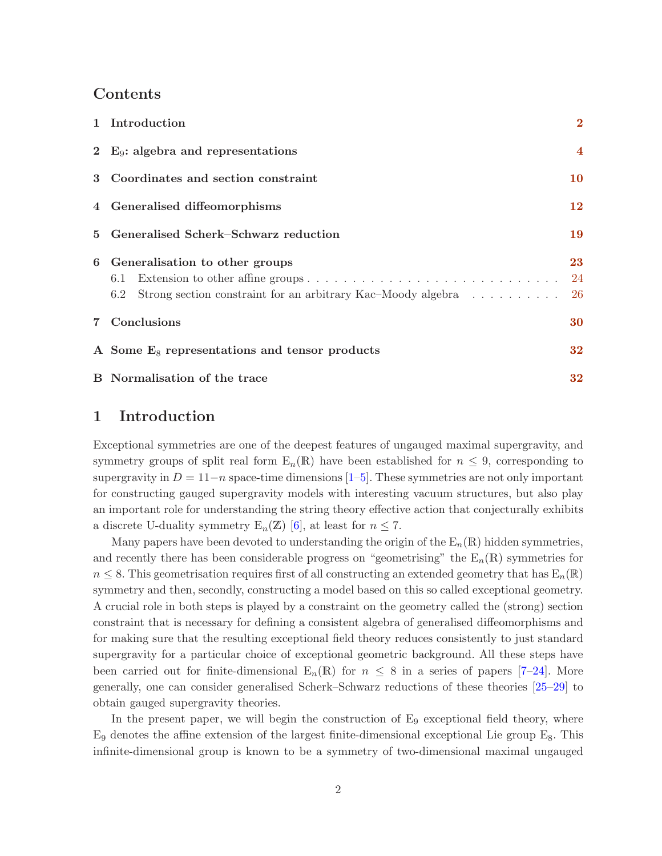## Contents

| 1 Introduction                                                                                                 | $\mathbf{2}$            |
|----------------------------------------------------------------------------------------------------------------|-------------------------|
| 2 $E_9$ : algebra and representations                                                                          | $\overline{\mathbf{4}}$ |
| 3 Coordinates and section constraint                                                                           | 10                      |
| 4 Generalised diffeomorphisms                                                                                  | 12                      |
| 5 Generalised Scherk–Schwarz reduction                                                                         | 19                      |
| 6 Generalisation to other groups<br>6.1<br>Strong section constraint for an arbitrary Kac–Moody algebra<br>6.2 | 23<br>24<br>-26         |
| 7 Conclusions                                                                                                  | 30                      |
| A Some $E_8$ representations and tensor products                                                               | 32                      |
| <b>B</b> Normalisation of the trace                                                                            | 32                      |

## <span id="page-1-0"></span>1 Introduction

Exceptional symmetries are one of the deepest features of ungauged maximal supergravity, and symmetry groups of split real form  $E_n(R)$  have been established for  $n \leq 9$ , corresponding to supergravity in  $D = 11-n$  space-time dimensions [\[1–](#page-34-0)[5\]](#page-34-1). These symmetries are not only important for constructing gauged supergravity models with interesting vacuum structures, but also play an important role for understanding the string theory effective action that conjecturally exhibits a discrete U-duality symmetry  $E_n(\mathbb{Z})$  [\[6\]](#page-34-2), at least for  $n \leq 7$ .

Many papers have been devoted to understanding the origin of the  $E_n(R)$  hidden symmetries, and recently there has been considerable progress on "geometrising" the  $E_n(R)$  symmetries for  $n \leq 8$ . This geometrisation requires first of all constructing an extended geometry that has  $E_n(\mathbb{R})$ symmetry and then, secondly, constructing a model based on this so called exceptional geometry. A crucial role in both steps is played by a constraint on the geometry called the (strong) section constraint that is necessary for defining a consistent algebra of generalised diffeomorphisms and for making sure that the resulting exceptional field theory reduces consistently to just standard supergravity for a particular choice of exceptional geometric background. All these steps have been carried out for finite-dimensional  $E_n(R)$  for  $n \leq 8$  in a series of papers [\[7](#page-34-3)[–24\]](#page-35-0). More generally, one can consider generalised Scherk–Schwarz reductions of these theories [\[25](#page-35-1)[–29\]](#page-35-2) to obtain gauged supergravity theories.

In the present paper, we will begin the construction of  $E_9$  exceptional field theory, where  $E_9$  denotes the affine extension of the largest finite-dimensional exceptional Lie group  $E_8$ . This infinite-dimensional group is known to be a symmetry of two-dimensional maximal ungauged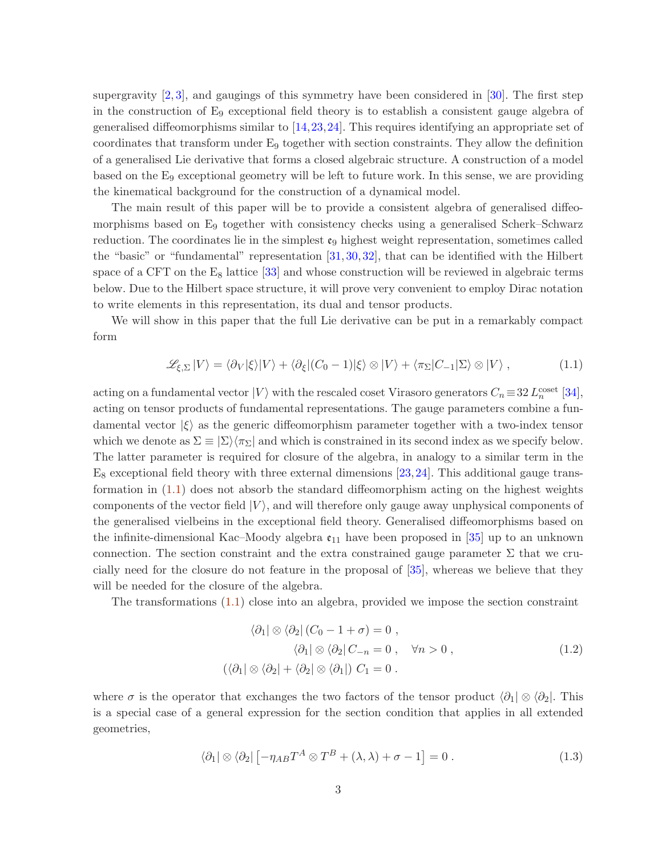supergravity  $[2,3]$  $[2,3]$ , and gaugings of this symmetry have been considered in  $[30]$ . The first step in the construction of E<sup>9</sup> exceptional field theory is to establish a consistent gauge algebra of generalised diffeomorphisms similar to [\[14,](#page-34-6)[23,](#page-35-4)[24\]](#page-35-0). This requires identifying an appropriate set of coordinates that transform under  $E_9$  together with section constraints. They allow the definition of a generalised Lie derivative that forms a closed algebraic structure. A construction of a model based on the E<sup>9</sup> exceptional geometry will be left to future work. In this sense, we are providing the kinematical background for the construction of a dynamical model.

The main result of this paper will be to provide a consistent algebra of generalised diffeomorphisms based on E<sub>9</sub> together with consistency checks using a generalised Scherk–Schwarz reduction. The coordinates lie in the simplest  $\mathfrak{e}_9$  highest weight representation, sometimes called the "basic" or "fundamental" representation [\[31,](#page-35-5) [30,](#page-35-3) [32\]](#page-36-0), that can be identified with the Hilbert space of a CFT on the  $E_8$  lattice [\[33\]](#page-36-1) and whose construction will be reviewed in algebraic terms below. Due to the Hilbert space structure, it will prove very convenient to employ Dirac notation to write elements in this representation, its dual and tensor products.

We will show in this paper that the full Lie derivative can be put in a remarkably compact form

<span id="page-2-0"></span>
$$
\mathcal{L}_{\xi,\Sigma}|V\rangle = \langle \partial_V|\xi\rangle|V\rangle + \langle \partial_{\xi}|(C_0 - 1)|\xi\rangle \otimes |V\rangle + \langle \pi_{\Sigma}|C_{-1}|\Sigma\rangle \otimes |V\rangle, \qquad (1.1)
$$

acting on a fundamental vector  $|V\rangle$  with the rescaled coset Virasoro generators  $C_n \equiv 32 L_n^{\text{coset}}$  [\[34\]](#page-36-2), acting on tensor products of fundamental representations. The gauge parameters combine a fundamental vector  $|\xi\rangle$  as the generic diffeomorphism parameter together with a two-index tensor which we denote as  $\Sigma \equiv |\Sigma\rangle\langle\pi_{\Sigma}|$  and which is constrained in its second index as we specify below. The latter parameter is required for closure of the algebra, in analogy to a similar term in the  $E_8$  exceptional field theory with three external dimensions [\[23,](#page-35-4)[24\]](#page-35-0). This additional gauge transformation in [\(1.1\)](#page-2-0) does not absorb the standard diffeomorphism acting on the highest weights components of the vector field  $|V\rangle$ , and will therefore only gauge away unphysical components of the generalised vielbeins in the exceptional field theory. Generalised diffeomorphisms based on the infinite-dimensional Kac–Moody algebra  $\mathfrak{e}_{11}$  have been proposed in [\[35\]](#page-36-3) up to an unknown connection. The section constraint and the extra constrained gauge parameter  $\Sigma$  that we crucially need for the closure do not feature in the proposal of [\[35\]](#page-36-3), whereas we believe that they will be needed for the closure of the algebra.

The transformations [\(1.1\)](#page-2-0) close into an algebra, provided we impose the section constraint

<span id="page-2-1"></span>
$$
\langle \partial_1 | \otimes \langle \partial_2 | (C_0 - 1 + \sigma) = 0 ,
$$
  

$$
\langle \partial_1 | \otimes \langle \partial_2 | C_{-n} = 0 , \quad \forall n > 0 ,
$$
  

$$
(\langle \partial_1 | \otimes \langle \partial_2 | + \langle \partial_2 | \otimes \langle \partial_1 |) C_1 = 0 .
$$
 (1.2)

where  $\sigma$  is the operator that exchanges the two factors of the tensor product  $\langle \partial_1 | \otimes \langle \partial_2 |$ . This is a special case of a general expression for the section condition that applies in all extended geometries,

$$
\langle \partial_1 | \otimes \langle \partial_2 | \left[ -\eta_{AB} T^A \otimes T^B + (\lambda, \lambda) + \sigma - 1 \right] = 0. \tag{1.3}
$$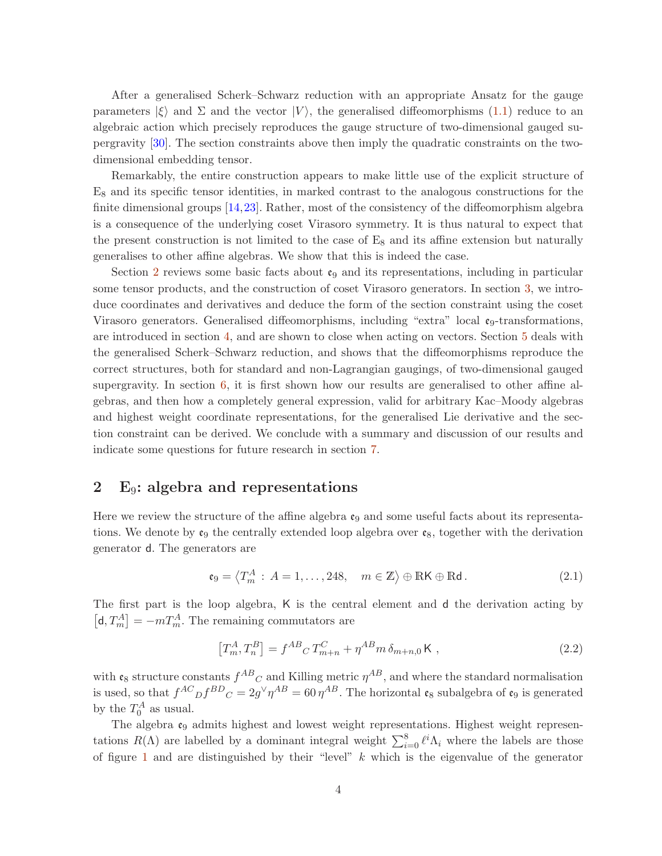After a generalised Scherk–Schwarz reduction with an appropriate Ansatz for the gauge parameters  $|\xi\rangle$  and  $\Sigma$  and the vector  $|V\rangle$ , the generalised diffeomorphisms [\(1.1\)](#page-2-0) reduce to an algebraic action which precisely reproduces the gauge structure of two-dimensional gauged supergravity [\[30\]](#page-35-3). The section constraints above then imply the quadratic constraints on the twodimensional embedding tensor.

Remarkably, the entire construction appears to make little use of the explicit structure of  $E_8$  and its specific tensor identities, in marked contrast to the analogous constructions for the finite dimensional groups [\[14,](#page-34-6)[23\]](#page-35-4). Rather, most of the consistency of the diffeomorphism algebra is a consequence of the underlying coset Virasoro symmetry. It is thus natural to expect that the present construction is not limited to the case of  $E_8$  and its affine extension but naturally generalises to other affine algebras. We show that this is indeed the case.

Section [2](#page-3-0) reviews some basic facts about  $\mathfrak{e}_9$  and its representations, including in particular some tensor products, and the construction of coset Virasoro generators. In section [3,](#page-9-0) we introduce coordinates and derivatives and deduce the form of the section constraint using the coset Virasoro generators. Generalised diffeomorphisms, including "extra" local  $\mathfrak{e}_9$ -transformations, are introduced in section [4,](#page-11-0) and are shown to close when acting on vectors. Section [5](#page-18-0) deals with the generalised Scherk–Schwarz reduction, and shows that the diffeomorphisms reproduce the correct structures, both for standard and non-Lagrangian gaugings, of two-dimensional gauged supergravity. In section  $6$ , it is first shown how our results are generalised to other affine algebras, and then how a completely general expression, valid for arbitrary Kac–Moody algebras and highest weight coordinate representations, for the generalised Lie derivative and the section constraint can be derived. We conclude with a summary and discussion of our results and indicate some questions for future research in section [7.](#page-29-0)

## <span id="page-3-0"></span>2 E9: algebra and representations

Here we review the structure of the affine algebra  $\mathfrak{e}_9$  and some useful facts about its representations. We denote by  $\mathfrak{e}_9$  the centrally extended loop algebra over  $\mathfrak{e}_8$ , together with the derivation generator d. The generators are

$$
\mathfrak{e}_9 = \left\langle T_m^A : A = 1, \dots, 248, \quad m \in \mathbb{Z} \right\rangle \oplus \mathbb{R} \mathsf{K} \oplus \mathbb{R} \mathsf{d} \,.
$$
 (2.1)

The first part is the loop algebra, K is the central element and d the derivation acting by  $\left[\mathsf{d},T_{m}^{A}\right]=-mT_{m}^{A}.$  The remaining commutators are

<span id="page-3-1"></span>
$$
\left[T_m^A, T_n^B\right] = f^{AB}{}_C T_{m+n}^C + \eta^{AB} m \,\delta_{m+n,0} \,\mathsf{K} \,,\tag{2.2}
$$

with  $\mathfrak{e}_8$  structure constants  $f^{AB}{}_{C}$  and Killing metric  $\eta^{AB}$ , and where the standard normalisation is used, so that  $f^{AC}{}_{D}f^{BD}{}_{C} = 2g^{\vee}\eta^{AB} = 60 \eta^{AB}$ . The horizontal  $\mathfrak{e}_8$  subalgebra of  $\mathfrak{e}_9$  is generated by the  $T_0^A$  as usual.

The algebra  $\mathfrak{e}_9$  admits highest and lowest weight representations. Highest weight representations  $R(\Lambda)$  are labelled by a dominant integral weight  $\sum_{i=0}^{8} \ell^{i} \Lambda_{i}$  where the labels are those of figure [1](#page-4-0) and are distinguished by their "level"  $k$  which is the eigenvalue of the generator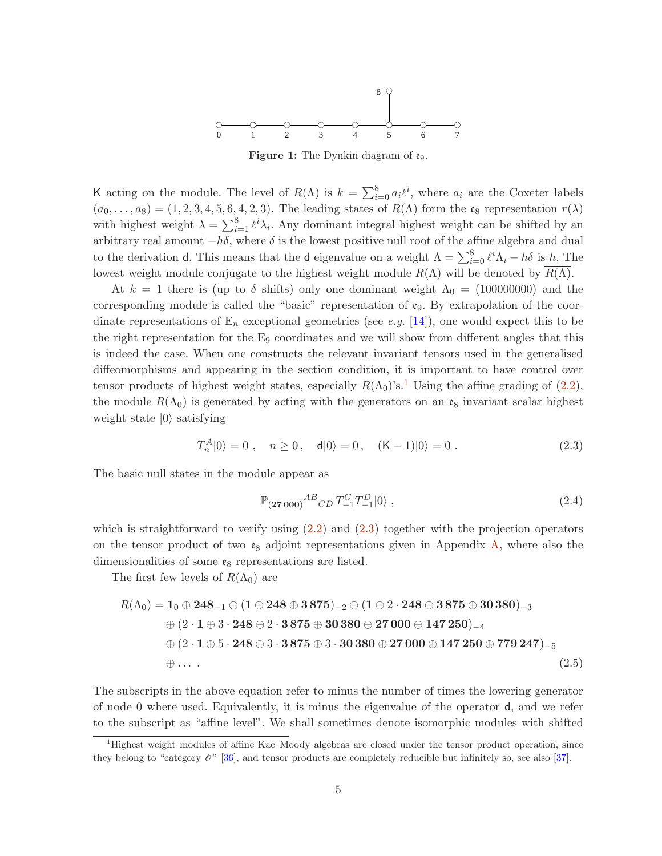

**Figure 1:** The Dynkin diagram of  $\mathfrak{e}_9$ .

<span id="page-4-0"></span>K acting on the module. The level of  $R(\Lambda)$  is  $k = \sum_{i=0}^{8} a_i \ell^i$ , where  $a_i$  are the Coxeter labels  $(a_0, \ldots, a_8) = (1, 2, 3, 4, 5, 6, 4, 2, 3)$ . The leading states of  $R(\Lambda)$  form the  $\mathfrak{e}_8$  representation  $r(\lambda)$ with highest weight  $\lambda = \sum_{i=1}^{8} \ell^{i} \lambda_{i}$ . Any dominant integral highest weight can be shifted by an arbitrary real amount  $-h\delta$ , where  $\delta$  is the lowest positive null root of the affine algebra and dual to the derivation d. This means that the d eigenvalue on a weight  $\Lambda = \sum_{i=0}^{8} \ell^{i} \Lambda_{i} - h \delta$  is h. The lowest weight module conjugate to the highest weight module  $R(\Lambda)$  will be denoted by  $R(\Lambda)$ .

At  $k = 1$  there is (up to δ shifts) only one dominant weight  $\Lambda_0 = (100000000)$  and the corresponding module is called the "basic" representation of  $\mathfrak{e}_9$ . By extrapolation of the coordinate representations of  $E_n$  exceptional geometries (see e.g. [\[14\]](#page-34-6)), one would expect this to be the right representation for the  $E_9$  coordinates and we will show from different angles that this is indeed the case. When one constructs the relevant invariant tensors used in the generalised diffeomorphisms and appearing in the section condition, it is important to have control over tensor products of highest weight states, especially  $R(\Lambda_0)$ 's.<sup>[1](#page-4-1)</sup> Using the affine grading of [\(2.2\)](#page-3-1), the module  $R(\Lambda_0)$  is generated by acting with the generators on an  $\mathfrak{e}_8$  invariant scalar highest weight state  $|0\rangle$  satisfying

<span id="page-4-2"></span>
$$
T_n^A|0\rangle = 0 \;, \quad n \ge 0 \;, \quad d|0\rangle = 0 \;, \quad (\mathsf{K} - 1)|0\rangle = 0 \;.
$$
 (2.3)

The basic null states in the module appear as

<span id="page-4-4"></span><span id="page-4-3"></span>
$$
\mathbb{P}_{(27\,000)}{}^{AB}{}_{CD} T^{C}_{-1} T^{D}_{-1} |0\rangle , \qquad (2.4)
$$

which is straightforward to verify using  $(2.2)$  and  $(2.3)$  together with the projection operators on the tensor product of two  $\mathfrak{e}_8$  adjoint representations given in Appendix [A,](#page-31-0) where also the dimensionalities of some  $\mathfrak{e}_8$  representations are listed.

The first few levels of  $R(\Lambda_0)$  are

$$
R(\Lambda_0) = 1_0 \oplus 248_{-1} \oplus (1 \oplus 248 \oplus 3875)_{-2} \oplus (1 \oplus 2 \cdot 248 \oplus 3875 \oplus 30380)_{-3}
$$
  
\n
$$
\oplus (2 \cdot 1 \oplus 3 \cdot 248 \oplus 2 \cdot 3875 \oplus 30380 \oplus 27000 \oplus 147250)_{-4}
$$
  
\n
$$
\oplus (2 \cdot 1 \oplus 5 \cdot 248 \oplus 3 \cdot 3875 \oplus 3 \cdot 30380 \oplus 27000 \oplus 147250 \oplus 779247)_{-5}
$$
  
\n
$$
\oplus \ldots \qquad (2.5)
$$

The subscripts in the above equation refer to minus the number of times the lowering generator of node 0 where used. Equivalently, it is minus the eigenvalue of the operator d, and we refer to the subscript as "affine level". We shall sometimes denote isomorphic modules with shifted

<span id="page-4-1"></span><sup>1</sup>Highest weight modules of affine Kac–Moody algebras are closed under the tensor product operation, since they belong to "category  $\mathcal{O}$ " [\[36\]](#page-36-4), and tensor products are completely reducible but infinitely so, see also [\[37\]](#page-36-5).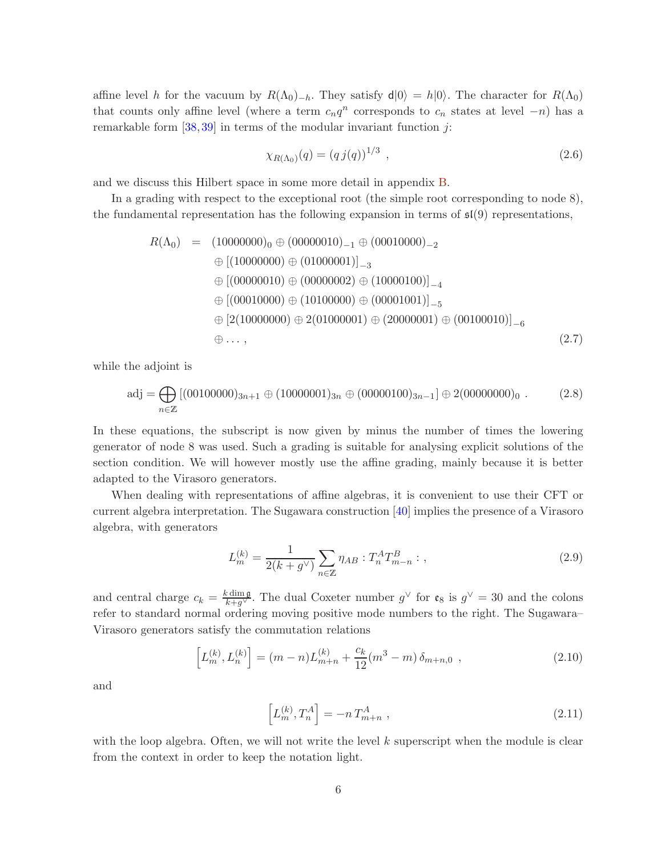affine level h for the vacuum by  $R(\Lambda_0)_{-h}$ . They satisfy  $d|0\rangle = h|0\rangle$ . The character for  $R(\Lambda_0)$ that counts only affine level (where a term  $c_n q^n$  corresponds to  $c_n$  states at level  $-n$ ) has a remarkable form  $[38, 39]$  $[38, 39]$  in terms of the modular invariant function j:

$$
\chi_{R(\Lambda_0)}(q) = (q \, j(q))^{1/3} \tag{2.6}
$$

and we discuss this Hilbert space in some more detail in appendix [B.](#page-31-1)

In a grading with respect to the exceptional root (the simple root corresponding to node 8), the fundamental representation has the following expansion in terms of  $\mathfrak{sl}(9)$  representations,

<span id="page-5-3"></span>
$$
R(\Lambda_0) = (10000000)_0 \oplus (00000010)_{-1} \oplus (00010000)_{-2}
$$
  
\n
$$
\oplus [(10000000) \oplus (01000001)]_{-3}
$$
  
\n
$$
\oplus [(00000010) \oplus (00000002) \oplus (10000100)]_{-4}
$$
  
\n
$$
\oplus [(00010000) \oplus (10100000) \oplus (00001001)]_{-5}
$$
  
\n
$$
\oplus [2(10000000) \oplus 2(01000001) \oplus (20000001) \oplus (00100010)]_{-6}
$$
  
\n
$$
\oplus \ldots,
$$
  
\n(2.7)

while the adjoint is

$$
adj = \bigoplus_{n \in \mathbb{Z}} [(00100000)_{3n+1} \oplus (10000001)_{3n} \oplus (00000100)_{3n-1}] \oplus 2(00000000)_0 . \tag{2.8}
$$

In these equations, the subscript is now given by minus the number of times the lowering generator of node 8 was used. Such a grading is suitable for analysing explicit solutions of the section condition. We will however mostly use the affine grading, mainly because it is better adapted to the Virasoro generators.

When dealing with representations of affine algebras, it is convenient to use their CFT or current algebra interpretation. The Sugawara construction [\[40\]](#page-36-8) implies the presence of a Virasoro algebra, with generators

<span id="page-5-0"></span>
$$
L_m^{(k)} = \frac{1}{2(k+g^\vee)} \sum_{n \in \mathbb{Z}} \eta_{AB} : T_n^A T_{m-n}^B : , \qquad (2.9)
$$

and central charge  $c_k = \frac{k \dim \mathfrak{g}}{k+g^{\vee}}$ . The dual Coxeter number  $g^{\vee}$  for  $\mathfrak{e}_8$  is  $g^{\vee} = 30$  and the colons refer to standard normal ordering moving positive mode numbers to the right. The Sugawara– Virasoro generators satisfy the commutation relations

<span id="page-5-1"></span>
$$
\[L_m^{(k)}, L_n^{(k)}\] = (m-n)L_{m+n}^{(k)} + \frac{c_k}{12}(m^3 - m)\,\delta_{m+n,0} \;, \tag{2.10}
$$

and

<span id="page-5-2"></span>
$$
\[L_m^{(k)}, T_n^A\] = -n T_{m+n}^A \;, \tag{2.11}
$$

with the loop algebra. Often, we will not write the level  $k$  superscript when the module is clear from the context in order to keep the notation light.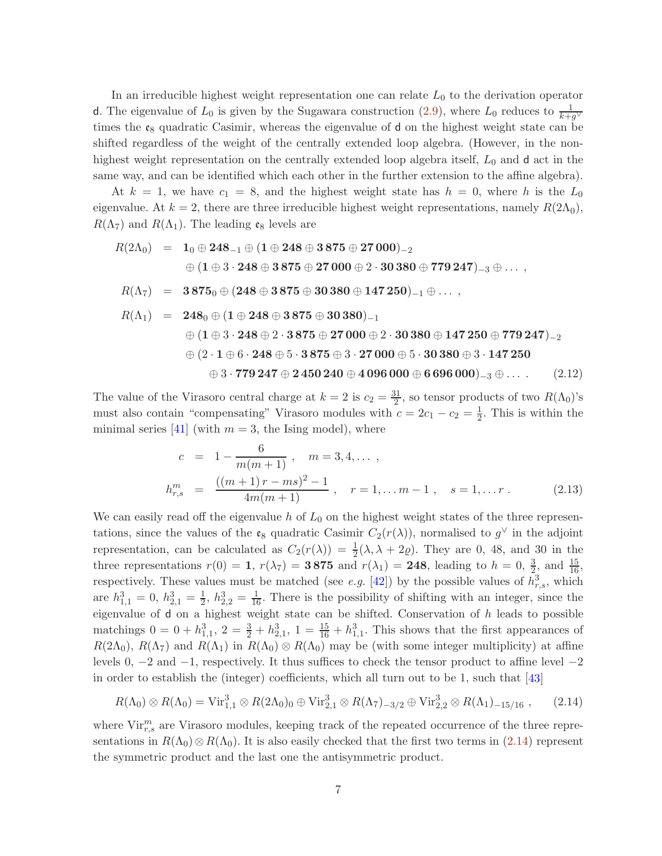In an irreducible highest weight representation one can relate  $L_0$  to the derivation operator d. The eigenvalue of  $L_0$  is given by the Sugawara construction [\(2.9\)](#page-5-0), where  $L_0$  reduces to  $\frac{1}{k+g^{\vee}}$ times the  $\mathfrak{e}_8$  quadratic Casimir, whereas the eigenvalue of d on the highest weight state can be shifted regardless of the weight of the centrally extended loop algebra. (However, in the nonhighest weight representation on the centrally extended loop algebra itself,  $L_0$  and  $d$  act in the same way, and can be identified which each other in the further extension to the affine algebra).

At  $k = 1$ , we have  $c_1 = 8$ , and the highest weight state has  $h = 0$ , where h is the  $L_0$ eigenvalue. At  $k = 2$ , there are three irreducible highest weight representations, namely  $R(2\Lambda_0)$ ,  $R(\Lambda_7)$  and  $R(\Lambda_1)$ . The leading  $\mathfrak{e}_8$  levels are

$$
R(2\Lambda_0) = 1_0 \oplus 248_{-1} \oplus (1 \oplus 248 \oplus 3875 \oplus 27000)_{-2}
$$
  
\n
$$
\oplus (1 \oplus 3 \cdot 248 \oplus 3875 \oplus 27000 \oplus 2 \cdot 30380 \oplus 779247)_{-3} \oplus \dots,
$$
  
\n
$$
R(\Lambda_7) = 3875_0 \oplus (248 \oplus 3875 \oplus 30380 \oplus 147250)_{-1} \oplus \dots,
$$
  
\n
$$
R(\Lambda_1) = 248_0 \oplus (1 \oplus 248 \oplus 3875 \oplus 30380)_{-1}
$$
  
\n
$$
\oplus (1 \oplus 3 \cdot 248 \oplus 2 \cdot 3875 \oplus 27000 \oplus 2 \cdot 30380 \oplus 147250 \oplus 779247)_{-2}
$$
  
\n
$$
\oplus (2 \cdot 1 \oplus 6 \cdot 248 \oplus 5 \cdot 3875 \oplus 3 \cdot 27000 \oplus 5 \cdot 30380 \oplus 3 \cdot 147250
$$
  
\n
$$
\oplus 3 \cdot 779247 \oplus 2450240 \oplus 4096000 \oplus 6696000)_{-3} \oplus \dots
$$
 (2.12)

The value of the Virasoro central charge at  $k = 2$  is  $c_2 = \frac{31}{2}$  $\frac{31}{2}$ , so tensor products of two  $R(\Lambda_0)$ 's must also contain "compensating" Virasoro modules with  $c = 2c_1 - c_2 = \frac{1}{2}$  $\frac{1}{2}$ . This is within the minimal series [\[41\]](#page-36-9) (with  $m = 3$ , the Ising model), where

$$
c = 1 - \frac{6}{m(m+1)}, \quad m = 3, 4, \dots,
$$
  

$$
h_{r,s}^m = \frac{((m+1)r - ms)^2 - 1}{4m(m+1)}, \quad r = 1, \dots m - 1, \quad s = 1, \dots r.
$$
 (2.13)

We can easily read off the eigenvalue h of  $L_0$  on the highest weight states of the three representations, since the values of the  $\mathfrak{e}_8$  quadratic Casimir  $C_2(r(\lambda))$ , normalised to  $g^{\vee}$  in the adjoint representation, can be calculated as  $C_2(r(\lambda)) = \frac{1}{2}(\lambda, \lambda + 2\rho)$ . They are 0, 48, and 30 in the three representations  $r(0) = 1$ ,  $r(\lambda_7) = 3875$  and  $r(\lambda_1) = 248$ , leading to  $h = 0, \frac{3}{2}$ , and  $\frac{15}{16}$ , respectively. These values must be matched (see *e.g.* [\[42\]](#page-36-10)) by the possible values of  $h_{r,s}^3$ , which are  $h_{1,1}^3 = 0, h_{2,1}^3 = \frac{1}{2}$  $\frac{1}{2}$ ,  $h_{2,2}^3 = \frac{1}{16}$ . There is the possibility of shifting with an integer, since the eigenvalue of  $d$  on a highest weight state can be shifted. Conservation of  $h$  leads to possible matchings  $0 = 0 + h_{1,1}^3$ ,  $2 = \frac{3}{2} + h_{2,1}^3$ ,  $1 = \frac{15}{16} + h_{1,1}^3$ . This shows that the first appearances of  $R(2\Lambda_0)$ ,  $R(\Lambda_7)$  and  $R(\Lambda_1)$  in  $R(\Lambda_0) \otimes R(\Lambda_0)$  may be (with some integer multiplicity) at affine levels 0, −2 and −1, respectively. It thus suffices to check the tensor product to affine level −2 in order to establish the (integer) coefficients, which all turn out to be 1, such that [\[43\]](#page-36-11)

<span id="page-6-0"></span>
$$
R(\Lambda_0) \otimes R(\Lambda_0) = \text{Vir}_{1,1}^3 \otimes R(2\Lambda_0)_0 \oplus \text{Vir}_{2,1}^3 \otimes R(\Lambda_7)_{-3/2} \oplus \text{Vir}_{2,2}^3 \otimes R(\Lambda_1)_{-15/16} ,\qquad(2.14)
$$

where  $\text{Vir}_{r,s}^m$  are Virasoro modules, keeping track of the repeated occurrence of the three representations in  $R(\Lambda_0) \otimes R(\Lambda_0)$ . It is also easily checked that the first two terms in [\(2.14\)](#page-6-0) represent the symmetric product and the last one the antisymmetric product.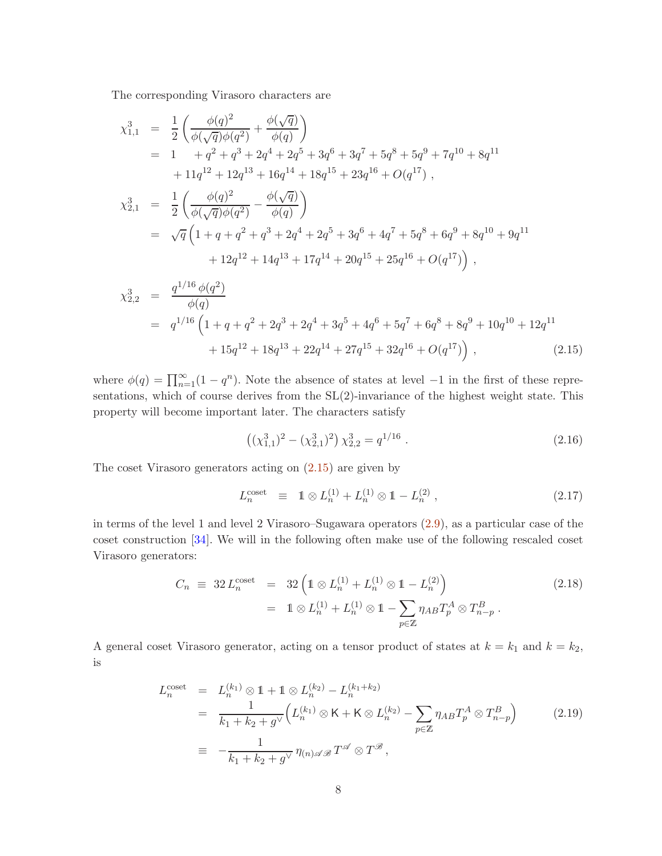The corresponding Virasoro characters are

<span id="page-7-0"></span>
$$
\chi_{1,1}^{3} = \frac{1}{2} \left( \frac{\phi(q)^{2}}{\phi(\sqrt{q})\phi(q^{2})} + \frac{\phi(\sqrt{q})}{\phi(q)} \right)
$$
\n
$$
= 1 + q^{2} + q^{3} + 2q^{4} + 2q^{5} + 3q^{6} + 3q^{7} + 5q^{8} + 5q^{9} + 7q^{10} + 8q^{11}
$$
\n
$$
+ 11q^{12} + 12q^{13} + 16q^{14} + 18q^{15} + 23q^{16} + O(q^{17}),
$$
\n
$$
\chi_{2,1}^{3} = \frac{1}{2} \left( \frac{\phi(q)^{2}}{\phi(\sqrt{q})\phi(q^{2})} - \frac{\phi(\sqrt{q})}{\phi(q)} \right)
$$
\n
$$
= \sqrt{q} \left( 1 + q + q^{2} + q^{3} + 2q^{4} + 2q^{5} + 3q^{6} + 4q^{7} + 5q^{8} + 6q^{9} + 8q^{10} + 9q^{11} + 12q^{12} + 14q^{13} + 17q^{14} + 20q^{15} + 25q^{16} + O(q^{17}) \right),
$$

$$
\chi_{2,2}^{3} = \frac{q^{1/16} \phi(q^{2})}{\phi(q)}
$$
  
=  $q^{1/16} \left( 1 + q + q^{2} + 2q^{3} + 2q^{4} + 3q^{5} + 4q^{6} + 5q^{7} + 6q^{8} + 8q^{9} + 10q^{10} + 12q^{11} + 15q^{12} + 18q^{13} + 22q^{14} + 27q^{15} + 32q^{16} + O(q^{17}) \right)$ , (2.15)

where  $\phi(q) = \prod_{n=1}^{\infty} (1 - q^n)$ . Note the absence of states at level -1 in the first of these representations, which of course derives from the SL(2)-invariance of the highest weight state. This property will become important later. The characters satisfy

$$
((\chi_{1,1}^3)^2 - (\chi_{2,1}^3)^2) \chi_{2,2}^3 = q^{1/16} . \tag{2.16}
$$

The coset Virasoro generators acting on [\(2.15\)](#page-7-0) are given by

<span id="page-7-2"></span>
$$
L_n^{\text{coset}} \equiv 1 \otimes L_n^{(1)} + L_n^{(1)} \otimes 1 - L_n^{(2)} \,, \tag{2.17}
$$

in terms of the level 1 and level 2 Virasoro–Sugawara operators [\(2.9\)](#page-5-0), as a particular case of the coset construction [\[34\]](#page-36-2). We will in the following often make use of the following rescaled coset Virasoro generators:

<span id="page-7-1"></span>
$$
C_n \equiv 32 L_n^{\text{coset}} = 32 \left( 1 \otimes L_n^{(1)} + L_n^{(1)} \otimes 1 - L_n^{(2)} \right)
$$
  
=  $1 \otimes L_n^{(1)} + L_n^{(1)} \otimes 1 - \sum_{p \in \mathbb{Z}} \eta_{AB} T_p^A \otimes T_{n-p}^B$ . (2.18)

A general coset Virasoro generator, acting on a tensor product of states at  $k = k_1$  and  $k = k_2$ , is

$$
L_n^{\text{coset}} = L_n^{(k_1)} \otimes 1 + 1 \otimes L_n^{(k_2)} - L_n^{(k_1 + k_2)} \\
= \frac{1}{k_1 + k_2 + g^{\vee}} \Big( L_n^{(k_1)} \otimes \mathsf{K} + \mathsf{K} \otimes L_n^{(k_2)} - \sum_{p \in \mathbb{Z}} \eta_{AB} T_p^A \otimes T_{n-p}^B \Big) \qquad (2.19)
$$
\n
$$
\equiv -\frac{1}{k_1 + k_2 + g^{\vee}} \eta_{(n) \mathscr{A} \mathscr{B}} T^{\mathscr{A}} \otimes T^{\mathscr{B}},
$$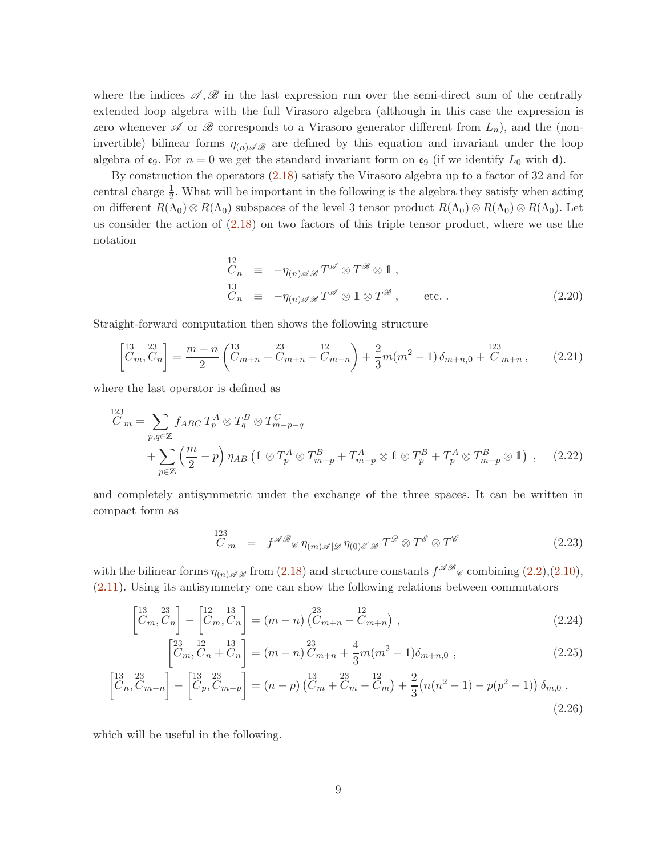where the indices  $\mathscr{A}, \mathscr{B}$  in the last expression run over the semi-direct sum of the centrally extended loop algebra with the full Virasoro algebra (although in this case the expression is zero whenever  $\mathscr A$  or  $\mathscr B$  corresponds to a Virasoro generator different from  $L_n$ ), and the (noninvertible) bilinear forms  $\eta_{(n)\mathscr{A}\mathscr{B}}$  are defined by this equation and invariant under the loop algebra of  $\mathfrak{e}_9$ . For  $n = 0$  we get the standard invariant form on  $\mathfrak{e}_9$  (if we identify  $L_0$  with d).

By construction the operators [\(2.18\)](#page-7-1) satisfy the Virasoro algebra up to a factor of 32 and for central charge  $\frac{1}{2}$ . What will be important in the following is the algebra they satisfy when acting on different  $R(\Lambda_0) \otimes R(\Lambda_0)$  subspaces of the level 3 tensor product  $R(\Lambda_0) \otimes R(\Lambda_0) \otimes R(\Lambda_0)$ . Let us consider the action of [\(2.18\)](#page-7-1) on two factors of this triple tensor product, where we use the notation

<span id="page-8-1"></span>
$$
C_n \equiv -\eta_{(n)\mathscr{A}\mathscr{B}} T^{\mathscr{A}} \otimes T^{\mathscr{B}} \otimes 1,
$$
  
\n
$$
C_n \equiv -\eta_{(n)\mathscr{A}\mathscr{B}} T^{\mathscr{A}} \otimes 1 \otimes T^{\mathscr{B}}, \qquad \text{etc.}.
$$
\n(2.20)

Straight-forward computation then shows the following structure

$$
\begin{bmatrix} 13 & 23 \ C_m, C_n \end{bmatrix} = \frac{m - n}{2} \begin{pmatrix} 13 & 23 \ Cm + n + Cm + n - Cm + n \end{pmatrix} + \frac{2}{3} m(m^2 - 1) \delta_{m+n,0} + \frac{123}{Cm + n}, \qquad (2.21)
$$

where the last operator is defined as

$$
C_m = \sum_{p,q \in \mathbb{Z}} f_{ABC} T_p^A \otimes T_q^B \otimes T_{m-p-q}^C
$$
  
+ 
$$
\sum_{p \in \mathbb{Z}} \left(\frac{m}{2} - p\right) \eta_{AB} \left(1 \otimes T_p^A \otimes T_{m-p}^B + T_{m-p}^A \otimes 1 \otimes T_p^B + T_p^A \otimes T_{m-p}^B \otimes 1\right) , \quad (2.22)
$$

and completely antisymmetric under the exchange of the three spaces. It can be written in compact form as

<span id="page-8-0"></span>
$$
\begin{array}{rcl}\n^{123} & \cdots \\
C_m & = & f^{\mathscr{A}\mathscr{B}} \mathscr{C} \eta_{(m)\mathscr{A}[\mathscr{D}\eta_{(0)\mathscr{E}]\mathscr{B}} \, T^{\mathscr{D}} \otimes T^{\mathscr{E}} \otimes T^{\mathscr{C}}\n\end{array} \tag{2.23}
$$

with the bilinear forms  $\eta_{(n)\mathscr{A}\mathscr{B}}$  from  $(2.18)$  and structure constants  $f^{\mathscr{A}\mathscr{B}}_{\mathscr{C}}$  combining  $(2.2),(2.10),$  $(2.2),(2.10),$  $(2.2),(2.10),$ [\(2.11\)](#page-5-2). Using its antisymmetry one can show the following relations between commutators

$$
\begin{bmatrix} 13 & 23 \ C_m, C_n \end{bmatrix} - \begin{bmatrix} 12 & 13 \ C_m, C_n \end{bmatrix} = (m - n) \begin{bmatrix} 23 & 12 \ C_{m+n} - C_{m+n} \end{bmatrix},
$$
\n(2.24)

$$
\begin{bmatrix} 23 & 12 \\ C_m, C_n + C_n \end{bmatrix} = (m - n) \begin{bmatrix} 23 \\ C_{m+n} + \frac{4}{3}m(m^2 - 1)\delta_{m+n,0} , \end{bmatrix} (2.25)
$$

$$
\begin{bmatrix} 13 & 23 \ C_n, C_{m-n} \end{bmatrix} - \begin{bmatrix} 13 & 23 \ C_p, C_{m-p} \end{bmatrix} = (n-p) \begin{bmatrix} 13 & 23 \ C_m + C_m - C_m \end{bmatrix} + \frac{2}{3} (n(n^2 - 1) - p(p^2 - 1)) \delta_{m,0} ,
$$
\n(2.26)

which will be useful in the following.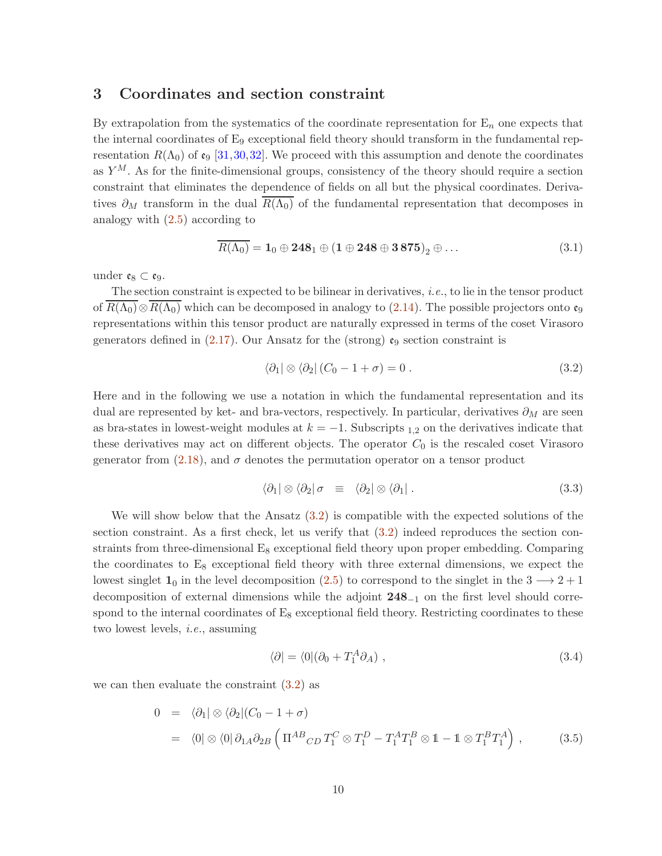### <span id="page-9-0"></span>3 Coordinates and section constraint

By extrapolation from the systematics of the coordinate representation for  $E_n$  one expects that the internal coordinates of  $E_9$  exceptional field theory should transform in the fundamental representation  $R(\Lambda_0)$  of  $\mathfrak{e}_9$  [\[31,](#page-35-5)[30,](#page-35-3)[32\]](#page-36-0). We proceed with this assumption and denote the coordinates as  $Y^M$ . As for the finite-dimensional groups, consistency of the theory should require a section constraint that eliminates the dependence of fields on all but the physical coordinates. Derivatives  $\partial_M$  transform in the dual  $R(\Lambda_0)$  of the fundamental representation that decomposes in analogy with  $(2.5)$  according to

$$
\overline{R(\Lambda_0)} = \mathbf{1}_0 \oplus \mathbf{248}_1 \oplus (\mathbf{1} \oplus \mathbf{248} \oplus \mathbf{3875})_2 \oplus \dots \tag{3.1}
$$

under  $\mathfrak{e}_8 \subset \mathfrak{e}_9$ .

The section constraint is expected to be bilinear in derivatives, i.e., to lie in the tensor product of  $\overline{R(\Lambda_0)} \otimes \overline{R(\Lambda_0)}$  which can be decomposed in analogy to [\(2.14\)](#page-6-0). The possible projectors onto  $\mathfrak{e}_9$ representations within this tensor product are naturally expressed in terms of the coset Virasoro generators defined in  $(2.17)$ . Our Ansatz for the (strong)  $e_9$  section constraint is

<span id="page-9-1"></span>
$$
\langle \partial_1 | \otimes \langle \partial_2 | (C_0 - 1 + \sigma) = 0. \tag{3.2}
$$

Here and in the following we use a notation in which the fundamental representation and its dual are represented by ket- and bra-vectors, respectively. In particular, derivatives  $\partial_M$  are seen as bra-states in lowest-weight modules at  $k = -1$ . Subscripts <sub>1,2</sub> on the derivatives indicate that these derivatives may act on different objects. The operator  $C_0$  is the rescaled coset Virasoro generator from [\(2.18\)](#page-7-1), and  $\sigma$  denotes the permutation operator on a tensor product

<span id="page-9-3"></span>
$$
\langle \partial_1 | \otimes \langle \partial_2 | \sigma \equiv \langle \partial_2 | \otimes \langle \partial_1 | \, . \tag{3.3}
$$

We will show below that the Ansatz [\(3.2\)](#page-9-1) is compatible with the expected solutions of the section constraint. As a first check, let us verify that [\(3.2\)](#page-9-1) indeed reproduces the section constraints from three-dimensional  $E_8$  exceptional field theory upon proper embedding. Comparing the coordinates to  $E_8$  exceptional field theory with three external dimensions, we expect the lowest singlet  $1_0$  in the level decomposition [\(2.5\)](#page-4-3) to correspond to the singlet in the 3  $\rightarrow$  2 + 1 decomposition of external dimensions while the adjoint 248−<sup>1</sup> on the first level should correspond to the internal coordinates of  $E_8$  exceptional field theory. Restricting coordinates to these two lowest levels, i.e., assuming

<span id="page-9-2"></span>
$$
\langle \partial | = \langle 0 | (\partial_0 + T_1^A \partial_A) , \qquad (3.4)
$$

we can then evaluate the constraint [\(3.2\)](#page-9-1) as

$$
0 = \langle \partial_1 | \otimes \langle \partial_2 | (C_0 - 1 + \sigma) \rangle
$$
  
=  $\langle 0 | \otimes \langle 0 | \partial_{1A} \partial_{2B} \left( \Pi^{AB}{}_{CD} T_1^C \otimes T_1^D - T_1^A T_1^B \otimes 1 - 1 \otimes T_1^B T_1^A \right),$  (3.5)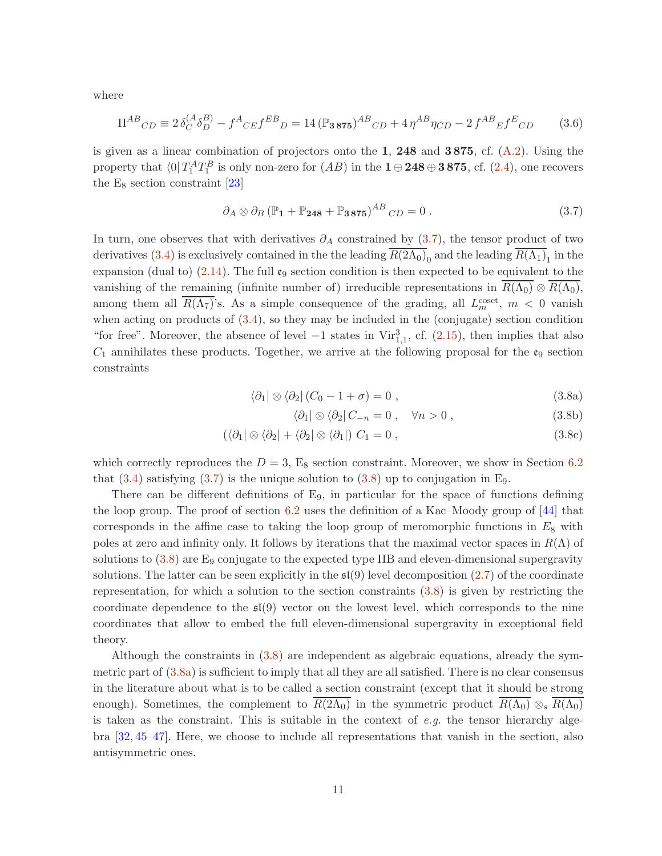where

<span id="page-10-5"></span>
$$
\Pi^{AB}_{CD} \equiv 2\,\delta_C^{(A}\delta_D^{B)} - f^A_{CE}f^{EB}_{D} = 14\,(\mathbb{P}_{3.875})^{AB}_{CD} + 4\,\eta^{AB}\eta_{CD} - 2\,f^{AB}_{E}f^E_{CD} \tag{3.6}
$$

is given as a linear combination of projectors onto the 1, 248 and 3875, cf.  $(A.2)$ . Using the property that  $\langle 0 | T_1^A T_1^B$  is only non-zero for  $(AB)$  in the  $\mathbf{1} \oplus \mathbf{248} \oplus \mathbf{3875}$ , cf.  $(2.4)$ , one recovers the  $E_8$  section constraint [\[23\]](#page-35-4)

<span id="page-10-0"></span>
$$
\partial_A \otimes \partial_B (\mathbb{P}_1 + \mathbb{P}_{248} + \mathbb{P}_{3875})^{AB}{}_{CD} = 0.
$$
 (3.7)

In turn, one observes that with derivatives  $\partial_A$  constrained by [\(3.7\)](#page-10-0), the tensor product of two derivatives [\(3.4\)](#page-9-2) is exclusively contained in the the leading  $R(2\Lambda_0)_0$  and the leading  $R(\Lambda_1)_1$  in the expansion (dual to) [\(2.14\)](#page-6-0). The full  $\mathfrak{e}_9$  section condition is then expected to be equivalent to the vanishing of the remaining (infinite number of) irreducible representations in  $R(\Lambda_0) \otimes R(\Lambda_0)$ , among them all  $\overline{R(\Lambda_7)}$ 's. As a simple consequence of the grading, all  $L_m^{\text{coset}}$ ,  $m < 0$  vanish when acting on products of [\(3.4\)](#page-9-2), so they may be included in the (conjugate) section condition "for free". Moreover, the absence of level  $-1$  states in Vir<sup>3</sup><sub>1,1</sub>, cf. [\(2.15\)](#page-7-0), then implies that also  $C_1$  annihilates these products. Together, we arrive at the following proposal for the  $\mathfrak{e}_9$  section constraints

$$
\langle \partial_1 | \otimes \langle \partial_2 | (C_0 - 1 + \sigma) = 0 , \qquad (3.8a)
$$

<span id="page-10-4"></span><span id="page-10-3"></span><span id="page-10-2"></span>
$$
\langle \partial_1 | \otimes \langle \partial_2 | C_{-n} = 0 , \quad \forall n > 0 , \qquad (3.8b)
$$

<span id="page-10-1"></span>
$$
(\langle \partial_1 | \otimes \langle \partial_2 | + \langle \partial_2 | \otimes \langle \partial_1 |) C_1 = 0 , \qquad (3.8c)
$$

which correctly reproduces the  $D = 3$ , E<sub>8</sub> section constraint. Moreover, we show in Section [6.2](#page-25-0) that  $(3.4)$  satisfying  $(3.7)$  is the unique solution to  $(3.8)$  up to conjugation in E<sub>9</sub>.

There can be different definitions of  $E_9$ , in particular for the space of functions defining the loop group. The proof of section [6.2](#page-25-0) uses the definition of a Kac–Moody group of [\[44\]](#page-36-12) that corresponds in the affine case to taking the loop group of meromorphic functions in  $E_8$  with poles at zero and infinity only. It follows by iterations that the maximal vector spaces in  $R(\Lambda)$  of solutions to  $(3.8)$  are  $E_9$  conjugate to the expected type IIB and eleven-dimensional supergravity solutions. The latter can be seen explicitly in the  $\mathfrak{sl}(9)$  level decomposition [\(2.7\)](#page-5-3) of the coordinate representation, for which a solution to the section constraints [\(3.8\)](#page-10-1) is given by restricting the coordinate dependence to the  $\mathfrak{sl}(9)$  vector on the lowest level, which corresponds to the nine coordinates that allow to embed the full eleven-dimensional supergravity in exceptional field theory.

Although the constraints in [\(3.8\)](#page-10-1) are independent as algebraic equations, already the symmetric part of [\(3.8a\)](#page-10-2) is sufficient to imply that all they are all satisfied. There is no clear consensus in the literature about what is to be called a section constraint (except that it should be strong enough). Sometimes, the complement to  $R(2\Lambda_0)$  in the symmetric product  $R(\Lambda_0) \otimes_s R(\Lambda_0)$ is taken as the constraint. This is suitable in the context of  $e.g.$  the tensor hierarchy algebra [\[32,](#page-36-0) [45–](#page-36-13)[47\]](#page-37-0). Here, we choose to include all representations that vanish in the section, also antisymmetric ones.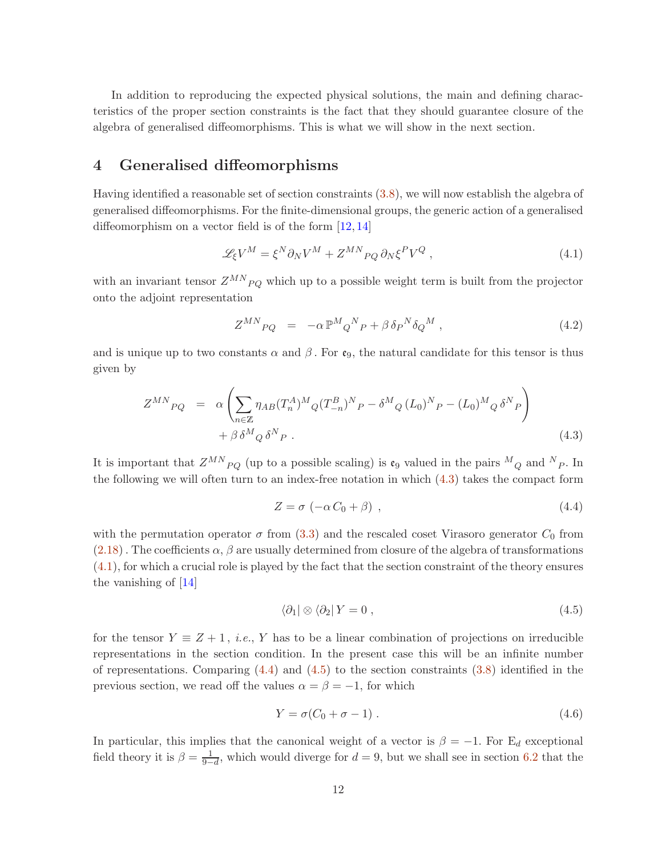In addition to reproducing the expected physical solutions, the main and defining characteristics of the proper section constraints is the fact that they should guarantee closure of the algebra of generalised diffeomorphisms. This is what we will show in the next section.

## <span id="page-11-0"></span>4 Generalised diffeomorphisms

Having identified a reasonable set of section constraints [\(3.8\)](#page-10-1), we will now establish the algebra of generalised diffeomorphisms. For the finite-dimensional groups, the generic action of a generalised diffeomorphism on a vector field is of the form [\[12,](#page-34-7) [14\]](#page-34-6)

<span id="page-11-2"></span>
$$
\mathcal{L}_{\xi}V^{M} = \xi^{N}\partial_{N}V^{M} + Z^{MN}{}_{PQ}\partial_{N}\xi^{P}V^{Q}, \qquad (4.1)
$$

with an invariant tensor  $Z^{MN}{}_{PQ}$  which up to a possible weight term is built from the projector onto the adjoint representation

$$
Z^{MN}{}_{PQ} = -\alpha \mathbb{P}^M{}_Q{}^N{}_P + \beta \,\delta{}_P{}^N \delta{}_Q{}^M \,, \tag{4.2}
$$

and is unique up to two constants  $\alpha$  and  $\beta$ . For e<sub>9</sub>, the natural candidate for this tensor is thus given by

<span id="page-11-1"></span>
$$
Z^{MN}{}_{PQ} = \alpha \left( \sum_{n \in \mathbb{Z}} \eta_{AB} (T_n^A)^M Q (T_{-n}^B)^N P - \delta^M Q (L_0)^N P - (L_0)^M Q \delta^N P \right) + \beta \delta^M Q \delta^N P . \tag{4.3}
$$

It is important that  $Z^{MN}{}_{PQ}$  (up to a possible scaling) is  $\mathfrak{e}_9$  valued in the pairs  ${}^M{}_Q$  and  ${}^N{}_P$ . In the following we will often turn to an index-free notation in which [\(4.3\)](#page-11-1) takes the compact form

<span id="page-11-3"></span>
$$
Z = \sigma \left( -\alpha C_0 + \beta \right) , \qquad (4.4)
$$

with the permutation operator  $\sigma$  from [\(3.3\)](#page-9-3) and the rescaled coset Virasoro generator  $C_0$  from  $(2.18)$ . The coefficients  $\alpha$ ,  $\beta$  are usually determined from closure of the algebra of transformations [\(4.1\)](#page-11-2), for which a crucial role is played by the fact that the section constraint of the theory ensures the vanishing of [\[14\]](#page-34-6)

<span id="page-11-4"></span>
$$
\langle \partial_1 | \otimes \langle \partial_2 | Y = 0 , \qquad (4.5)
$$

for the tensor  $Y \equiv Z + 1$ , *i.e.*, Y has to be a linear combination of projections on irreducible representations in the section condition. In the present case this will be an infinite number of representations. Comparing  $(4.4)$  and  $(4.5)$  to the section constraints  $(3.8)$  identified in the previous section, we read off the values  $\alpha = \beta = -1$ , for which

<span id="page-11-5"></span>
$$
Y = \sigma(C_0 + \sigma - 1) \tag{4.6}
$$

In particular, this implies that the canonical weight of a vector is  $\beta = -1$ . For E<sub>d</sub> exceptional field theory it is  $\beta = \frac{1}{9}$  $\frac{1}{9-d}$ , which would diverge for  $d = 9$ , but we shall see in section [6.2](#page-25-0) that the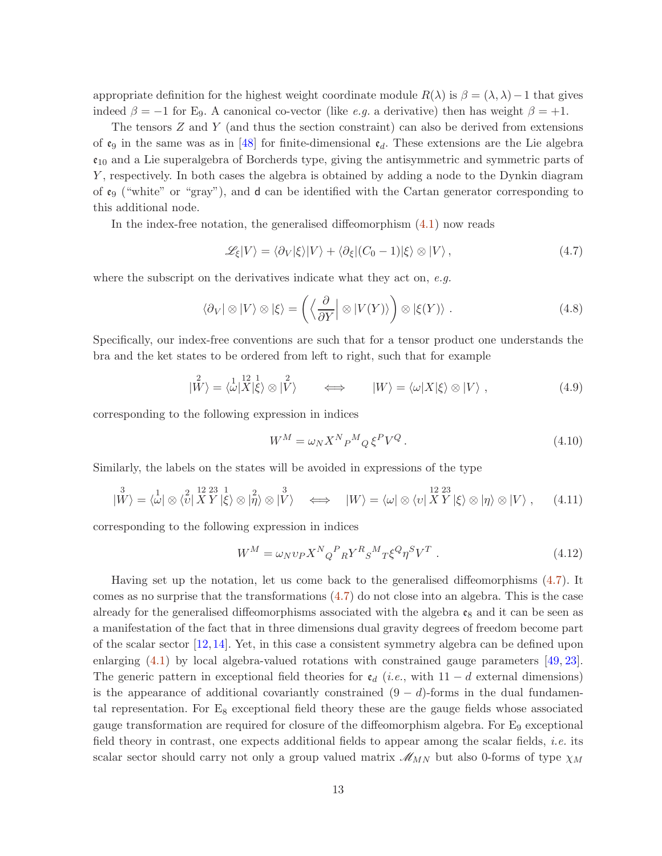appropriate definition for the highest weight coordinate module  $R(\lambda)$  is  $\beta = (\lambda, \lambda) - 1$  that gives indeed  $\beta = -1$  for E<sub>9</sub>. A canonical co-vector (like *e.g.* a derivative) then has weight  $\beta = +1$ .

The tensors  $Z$  and  $Y$  (and thus the section constraint) can also be derived from extensions of  $\mathfrak{e}_9$  in the same was as in [\[48\]](#page-37-1) for finite-dimensional  $\mathfrak{e}_d$ . These extensions are the Lie algebra  $\mathfrak{e}_{10}$  and a Lie superalgebra of Borcherds type, giving the antisymmetric and symmetric parts of Y, respectively. In both cases the algebra is obtained by adding a node to the Dynkin diagram of  $\mathfrak{e}_9$  ("white" or "gray"), and d can be identified with the Cartan generator corresponding to this additional node.

In the index-free notation, the generalised diffeomorphism [\(4.1\)](#page-11-2) now reads

<span id="page-12-0"></span>
$$
\mathcal{L}_{\xi}|V\rangle = \langle \partial_V|\xi\rangle|V\rangle + \langle \partial_{\xi}|(C_0 - 1)|\xi\rangle \otimes |V\rangle, \qquad (4.7)
$$

where the subscript on the derivatives indicate what they act on, e.g.

$$
\langle \partial_V | \otimes |V \rangle \otimes |\xi\rangle = \left( \left\langle \frac{\partial}{\partial Y} \right| \otimes |V(Y) \rangle \right) \otimes |\xi(Y)\rangle . \tag{4.8}
$$

Specifically, our index-free conventions are such that for a tensor product one understands the bra and the ket states to be ordered from left to right, such that for example

$$
|\overset{2}{W}\rangle = \langle \overset{1}{\omega} |\overset{12}{X}|\overset{1}{\xi}\rangle \otimes |\overset{2}{V}\rangle \qquad \Longleftrightarrow \qquad |W\rangle = \langle \omega |X|\xi\rangle \otimes |V\rangle , \qquad (4.9)
$$

corresponding to the following expression in indices

$$
W^M = \omega_N X^N P^M Q \xi^P V^Q. \tag{4.10}
$$

Similarly, the labels on the states will be avoided in expressions of the type

$$
|\overset{3}{W}\rangle = \langle \overset{1}{\omega} | \otimes \langle \overset{2}{v} | \overset{12}{X} \overset{23}{Y} | \overset{1}{\xi} \rangle \otimes |\overset{2}{\eta}\rangle \otimes |\overset{3}{V}\rangle \iff |W\rangle = \langle \overset{12}{\omega} | \otimes \langle v | \overset{12}{X} \overset{23}{Y} | \xi \rangle \otimes |\eta\rangle \otimes |V\rangle , \quad (4.11)
$$

corresponding to the following expression in indices

$$
W^M = \omega_N v_P X^N{}_Q^P{}_R Y^R{}_S{}^M{}_T \xi^Q \eta^S V^T . \tag{4.12}
$$

Having set up the notation, let us come back to the generalised diffeomorphisms [\(4.7\)](#page-12-0). It comes as no surprise that the transformations [\(4.7\)](#page-12-0) do not close into an algebra. This is the case already for the generalised diffeomorphisms associated with the algebra  $\mathfrak{e}_8$  and it can be seen as a manifestation of the fact that in three dimensions dual gravity degrees of freedom become part of the scalar sector [\[12,](#page-34-7)[14\]](#page-34-6). Yet, in this case a consistent symmetry algebra can be defined upon enlarging  $(4.1)$  by local algebra-valued rotations with constrained gauge parameters [\[49,](#page-37-2) [23\]](#page-35-4). The generic pattern in exceptional field theories for  $\mathfrak{e}_d$  (*i.e.*, with 11 – d external dimensions) is the appearance of additional covariantly constrained  $(9 - d)$ -forms in the dual fundamental representation. For  $E_8$  exceptional field theory these are the gauge fields whose associated gauge transformation are required for closure of the diffeomorphism algebra. For  $E_9$  exceptional field theory in contrast, one expects additional fields to appear among the scalar fields, *i.e.* its scalar sector should carry not only a group valued matrix  $\mathcal{M}_{MN}$  but also 0-forms of type  $\chi_M$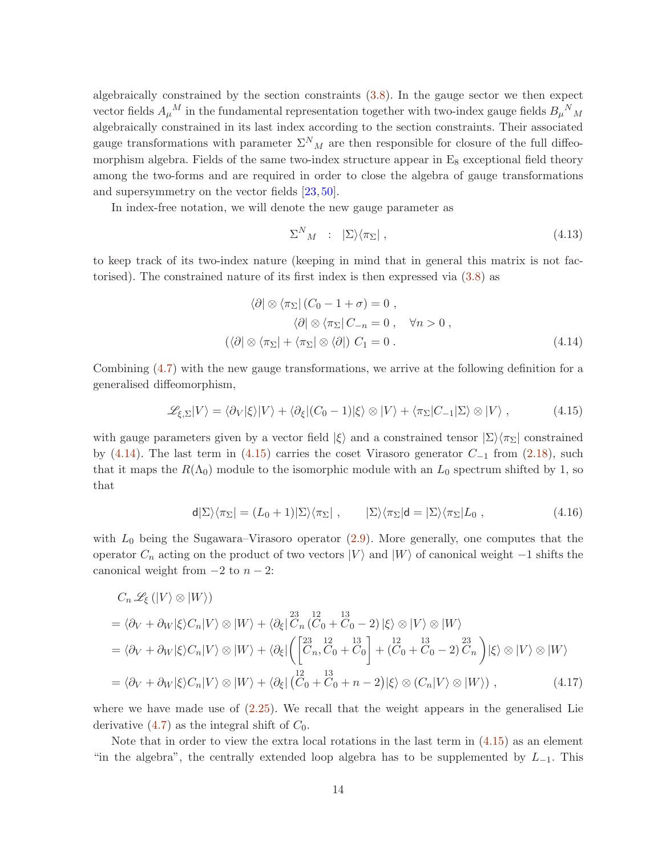algebraically constrained by the section constraints [\(3.8\)](#page-10-1). In the gauge sector we then expect vector fields  $A_\mu{}^M$  in the fundamental representation together with two-index gauge fields  $B_\mu{}^N{}_M$ algebraically constrained in its last index according to the section constraints. Their associated gauge transformations with parameter  $\Sigma^{N}{}_{M}$  are then responsible for closure of the full diffeomorphism algebra. Fields of the same two-index structure appear in  $E_8$  exceptional field theory among the two-forms and are required in order to close the algebra of gauge transformations and supersymmetry on the vector fields [\[23,](#page-35-4) [50\]](#page-37-3).

In index-free notation, we will denote the new gauge parameter as

<span id="page-13-1"></span><span id="page-13-0"></span>
$$
\Sigma^N{}_M \; : \; |\Sigma\rangle\langle\pi_\Sigma| \; , \tag{4.13}
$$

to keep track of its two-index nature (keeping in mind that in general this matrix is not factorised). The constrained nature of its first index is then expressed via [\(3.8\)](#page-10-1) as

$$
\langle \partial | \otimes \langle \pi_{\Sigma} | (C_0 - 1 + \sigma) = 0 ,
$$
  

$$
\langle \partial | \otimes \langle \pi_{\Sigma} | C_{-n} = 0 , \quad \forall n > 0 ,
$$
  

$$
(\langle \partial | \otimes \langle \pi_{\Sigma} | + \langle \pi_{\Sigma} | \otimes \langle \partial |) C_1 = 0 .
$$
 (4.14)

Combining [\(4.7\)](#page-12-0) with the new gauge transformations, we arrive at the following definition for a generalised diffeomorphism,

$$
\mathscr{L}_{\xi,\Sigma}|V\rangle = \langle \partial_V|\xi\rangle|V\rangle + \langle \partial_{\xi}|(C_0 - 1)|\xi\rangle \otimes |V\rangle + \langle \pi_{\Sigma}|C_{-1}|\Sigma\rangle \otimes |V\rangle ,\qquad (4.15)
$$

with gauge parameters given by a vector field  $|\xi\rangle$  and a constrained tensor  $|\Sigma\rangle\langle\pi_{\Sigma}|$  constrained by [\(4.14\)](#page-13-0). The last term in [\(4.15\)](#page-13-1) carries the coset Virasoro generator  $C_{-1}$  from [\(2.18\)](#page-7-1), such that it maps the  $R(\Lambda_0)$  module to the isomorphic module with an  $L_0$  spectrum shifted by 1, so that

$$
\mathsf{d}|\Sigma\rangle\langle\pi_{\Sigma}| = (L_0 + 1)|\Sigma\rangle\langle\pi_{\Sigma}| \ , \qquad |\Sigma\rangle\langle\pi_{\Sigma}|\mathsf{d} = |\Sigma\rangle\langle\pi_{\Sigma}|L_0 \ , \tag{4.16}
$$

with  $L_0$  being the Sugawara–Virasoro operator  $(2.9)$ . More generally, one computes that the operator  $C_n$  acting on the product of two vectors  $|V\rangle$  and  $|W\rangle$  of canonical weight −1 shifts the canonical weight from  $-2$  to  $n-2$ :

$$
C_n \mathcal{L}_{\xi}(|V\rangle \otimes |W\rangle)
$$
  
=  $\langle \partial_V + \partial_W |\xi\rangle C_n |V\rangle \otimes |W\rangle + \langle \partial_{\xi} |\overline{C}_n (C_0 + C_0 - 2) |\xi\rangle \otimes |V\rangle \otimes |W\rangle$   
=  $\langle \partial_V + \partial_W |\xi\rangle C_n |V\rangle \otimes |W\rangle + \langle \partial_{\xi} |\left( \begin{bmatrix} 23 & 12 & 13 \\ C_n, C_0 + C_0 \end{bmatrix} + (C_0 + C_0 - 2) \begin{bmatrix} 23 & 23 \\ C_0, C_0 + C_0 \end{bmatrix} \right) |\xi\rangle \otimes |V\rangle \otimes |W\rangle$   
=  $\langle \partial_V + \partial_W |\xi\rangle C_n |V\rangle \otimes |W\rangle + \langle \partial_{\xi} |\left( \overline{C}_0 + \overline{C}_0 + n - 2 \right) |\xi\rangle \otimes (C_n |V\rangle \otimes |W\rangle),$  (4.17)

where we have made use of  $(2.25)$ . We recall that the weight appears in the generalised Lie derivative  $(4.7)$  as the integral shift of  $C_0$ .

Note that in order to view the extra local rotations in the last term in [\(4.15\)](#page-13-1) as an element "in the algebra", the centrally extended loop algebra has to be supplemented by  $L_{-1}$ . This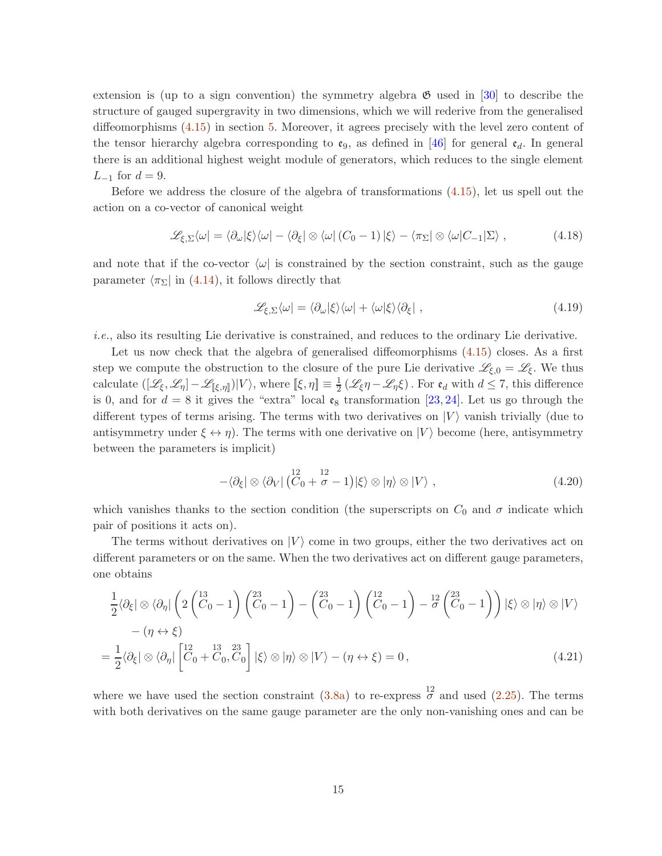extension is (up to a sign convention) the symmetry algebra  $\mathfrak{G}$  used in [\[30\]](#page-35-3) to describe the structure of gauged supergravity in two dimensions, which we will rederive from the generalised diffeomorphisms [\(4.15\)](#page-13-1) in section [5.](#page-18-0) Moreover, it agrees precisely with the level zero content of the tensor hierarchy algebra corresponding to  $\mathfrak{e}_9$ , as defined in [\[46\]](#page-36-14) for general  $\mathfrak{e}_d$ . In general there is an additional highest weight module of generators, which reduces to the single element  $L_{-1}$  for  $d = 9$ .

Before we address the closure of the algebra of transformations [\(4.15\)](#page-13-1), let us spell out the action on a co-vector of canonical weight

$$
\mathcal{L}_{\xi,\Sigma}\langle\omega|=\langle\partial_{\omega}|\xi\rangle\langle\omega|-\langle\partial_{\xi}|\otimes\langle\omega|(C_0-1)|\xi\rangle-\langle\pi_{\Sigma}|\otimes\langle\omega|C_{-1}|\Sigma\rangle,
$$
\n(4.18)

and note that if the co-vector  $\langle \omega |$  is constrained by the section constraint, such as the gauge parameter  $\langle \pi_{\Sigma} |$  in [\(4.14\)](#page-13-0), it follows directly that

<span id="page-14-0"></span>
$$
\mathcal{L}_{\xi,\Sigma}\langle\omega| = \langle\partial_{\omega}|\xi\rangle\langle\omega| + \langle\omega|\xi\rangle\langle\partial_{\xi}| \,,\tag{4.19}
$$

i.e., also its resulting Lie derivative is constrained, and reduces to the ordinary Lie derivative.

Let us now check that the algebra of generalised diffeomorphisms  $(4.15)$  closes. As a first step we compute the obstruction to the closure of the pure Lie derivative  $\mathscr{L}_{\xi,0} = \mathscr{L}_{\xi}$ . We thus calculate  $([\mathscr{L}_{\xi}, \mathscr{L}_{\eta}] - \mathscr{L}_{[\![\xi, \eta]\!]})|V\rangle$ , where  $[\![\xi, \eta]\!] \equiv \frac{1}{2}$  $\frac{1}{2}(\mathscr{L}_{\xi}\eta - \mathscr{L}_{\eta}\xi)$ . For  $e_d$  with  $d \leq 7$ , this difference is 0, and for  $d = 8$  it gives the "extra" local  $\mathfrak{e}_8$  transformation [\[23,](#page-35-4) [24\]](#page-35-0). Let us go through the different types of terms arising. The terms with two derivatives on  $|V\rangle$  vanish trivially (due to antisymmetry under  $\xi \leftrightarrow \eta$ ). The terms with one derivative on  $|V\rangle$  become (here, antisymmetry between the parameters is implicit)

$$
-\langle \partial_{\xi} | \otimes \langle \partial_{V} | \left( \mathring{C}_{0} + \mathring{\sigma} - 1 \right) | \xi \rangle \otimes | \eta \rangle \otimes | V \rangle , \qquad (4.20)
$$

which vanishes thanks to the section condition (the superscripts on  $C_0$  and  $\sigma$  indicate which pair of positions it acts on).

The terms without derivatives on  $|V\rangle$  come in two groups, either the two derivatives act on different parameters or on the same. When the two derivatives act on different gauge parameters, one obtains

$$
\frac{1}{2}\langle\partial_{\xi}|\otimes\langle\partial_{\eta}|\left(2\left(\stackrel{13}{C}_{0}-1\right)\left(\stackrel{23}{C}_{0}-1\right)-\left(\stackrel{23}{C}_{0}-1\right)\left(\stackrel{12}{C}_{0}-1\right)-\stackrel{12}{\sigma}\left(\stackrel{23}{C}_{0}-1\right)\right)|\xi\rangle\otimes|\eta\rangle\otimes|V\rangle
$$

$$
-(\eta\leftrightarrow\xi)
$$

$$
=\frac{1}{2}\langle\partial_{\xi}|\otimes\langle\partial_{\eta}|\left[\stackrel{12}{C}_{0}+\stackrel{13}{C}_{0},\stackrel{23}{C}_{0}\right]|\xi\rangle\otimes|\eta\rangle\otimes|V\rangle-(\eta\leftrightarrow\xi)=0,
$$
(4.21)

where we have used the section constraint  $(3.8a)$  to re-express  $\frac{12}{\sigma}$  and used  $(2.25)$ . The terms with both derivatives on the same gauge parameter are the only non-vanishing ones and can be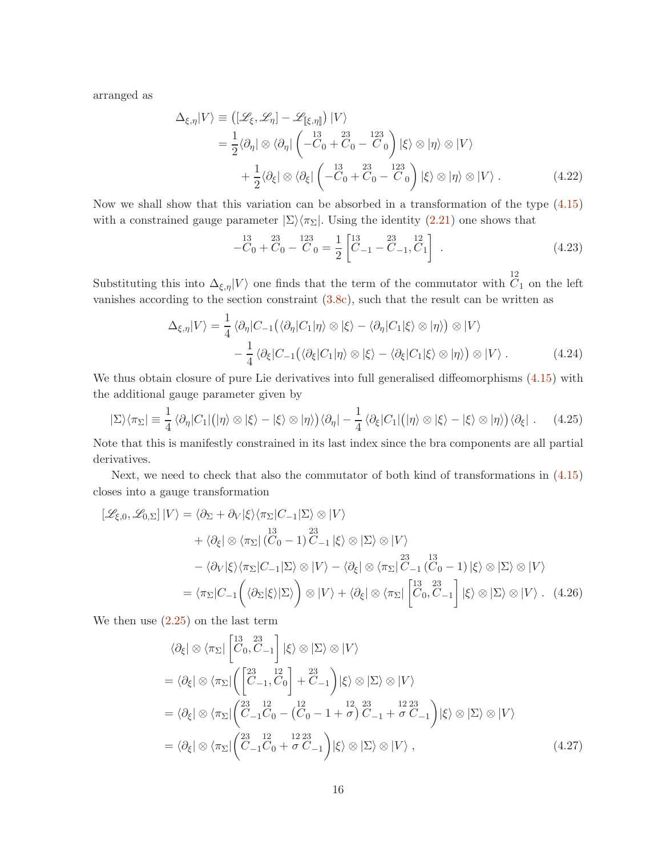arranged as

$$
\Delta_{\xi,\eta}|V\rangle \equiv \left( [\mathscr{L}_{\xi}, \mathscr{L}_{\eta}] - \mathscr{L}_{[[\xi,\eta]]} \right) |V\rangle
$$
  
\n
$$
= \frac{1}{2} \langle \partial_{\eta} | \otimes \langle \partial_{\eta} | \left( -\mathring{C}_{0} + \mathring{C}_{0} - \mathring{C}_{0} \right) | \xi \rangle \otimes |\eta\rangle \otimes |V\rangle
$$
  
\n
$$
+ \frac{1}{2} \langle \partial_{\xi} | \otimes \langle \partial_{\xi} | \left( -\mathring{C}_{0} + \mathring{C}_{0} - \mathring{C}_{0} \right) | \xi \rangle \otimes |\eta\rangle \otimes |V\rangle . \tag{4.22}
$$

Now we shall show that this variation can be absorbed in a transformation of the type [\(4.15\)](#page-13-1) with a constrained gauge parameter  $|\Sigma\rangle\langle\pi_{\Sigma}|$ . Using the identity [\(2.21\)](#page-8-1) one shows that

$$
-\ddot{C}_0 + \ddot{C}_0 - \ddot{C}_0 = \frac{1}{2} \begin{bmatrix} 13 & 23 & 12 \\ C_{-1} - C_{-1}, \ddot{C}_1 \end{bmatrix} . \tag{4.23}
$$

Substituting this into  $\Delta_{\xi,\eta}|V\rangle$  one finds that the term of the commutator with  $\overline{C_1}$  on the left vanishes according to the section constraint [\(3.8c\)](#page-10-3), such that the result can be written as

$$
\Delta_{\xi,\eta}|V\rangle = \frac{1}{4} \langle \partial_{\eta} | C_{-1} (\langle \partial_{\eta} | C_{1} | \eta \rangle \otimes |\xi \rangle - \langle \partial_{\eta} | C_{1} | \xi \rangle \otimes |\eta \rangle) \otimes |V\rangle \n- \frac{1}{4} \langle \partial_{\xi} | C_{-1} (\langle \partial_{\xi} | C_{1} | \eta \rangle \otimes |\xi \rangle - \langle \partial_{\xi} | C_{1} | \xi \rangle \otimes |\eta \rangle) \otimes |V\rangle.
$$
\n(4.24)

We thus obtain closure of pure Lie derivatives into full generalised diffeomorphisms  $(4.15)$  with the additional gauge parameter given by

$$
|\Sigma\rangle\langle\pi_{\Sigma}| \equiv \frac{1}{4} \langle\partial_{\eta} |C_{1}| (|\eta\rangle \otimes |\xi\rangle - |\xi\rangle \otimes |\eta\rangle) \langle\partial_{\eta} | - \frac{1}{4} \langle\partial_{\xi} |C_{1}| (|\eta\rangle \otimes |\xi\rangle - |\xi\rangle \otimes |\eta\rangle) \langle\partial_{\xi} |.
$$
 (4.25)

Note that this is manifestly constrained in its last index since the bra components are all partial derivatives.

Next, we need to check that also the commutator of both kind of transformations in [\(4.15\)](#page-13-1) closes into a gauge transformation

$$
\begin{split}\n\left[\mathcal{L}_{\xi,0},\mathcal{L}_{0,\Sigma}\right]|V\rangle &= \langle\partial_{\Sigma} + \partial_{V}|\xi\rangle\langle\pi_{\Sigma}|C_{-1}|\Sigma\rangle\otimes|V\rangle \\
&\quad + \langle\partial_{\xi}|\otimes\langle\pi_{\Sigma}|(C_{0}-1)\hat{C}_{-1}|\xi\rangle\otimes|\Sigma\rangle\otimes|V\rangle \\
&\quad - \langle\partial_{V}|\xi\rangle\langle\pi_{\Sigma}|C_{-1}|\Sigma\rangle\otimes|V\rangle - \langle\partial_{\xi}|\otimes\langle\pi_{\Sigma}|\hat{C}_{-1}(C_{0}-1)|\xi\rangle\otimes|\Sigma\rangle\otimes|V\rangle \\
&= \langle\pi_{\Sigma}|C_{-1}\left(\langle\partial_{\Sigma}|\xi\rangle|\Sigma\rangle\right)\otimes|V\rangle + \langle\partial_{\xi}|\otimes\langle\pi_{\Sigma}|\begin{bmatrix}13 & 23\\ C_{0}, C_{-1}\end{bmatrix}|\xi\rangle\otimes|\Sigma\rangle\otimes|V\rangle.\n\end{split} \tag{4.26}
$$

We then use  $(2.25)$  on the last term

$$
\langle \partial_{\xi} | \otimes \langle \pi_{\Sigma} | \begin{bmatrix} 13 & 23 \\ C & 0, C & -1 \end{bmatrix} | \xi \rangle \otimes | \Sigma \rangle \otimes | V \rangle
$$
  
=\langle \partial\_{\xi} | \otimes \langle \pi\_{\Sigma} | \begin{pmatrix} 23 & 12 \\ C & -1, C & 0 \end{pmatrix} + C & -1 \end{pmatrix} | \xi \rangle \otimes | \Sigma \rangle \otimes | V \rangle  
=\langle \partial\_{\xi} | \otimes \langle \pi\_{\Sigma} | \begin{pmatrix} 23 & 12 \\ C & -1, C & 0 \end{pmatrix} - \begin{pmatrix} 23 & 12 \\ C & 0 \end{pmatrix} - \begin{pmatrix} 23 & 12 & 23 \\ C & -1, C & 0 \end{pmatrix} | \xi \rangle \otimes | \Sigma \rangle \otimes | V \rangle  
=\langle \partial\_{\xi} | \otimes \langle \pi\_{\Sigma} | \begin{pmatrix} 23 & 12 & 12 & 23 \\ C & -1, C & 0 + \sigma & C & -1 \end{pmatrix} | \xi \rangle \otimes | \Sigma \rangle \otimes | V \rangle , \qquad (4.27)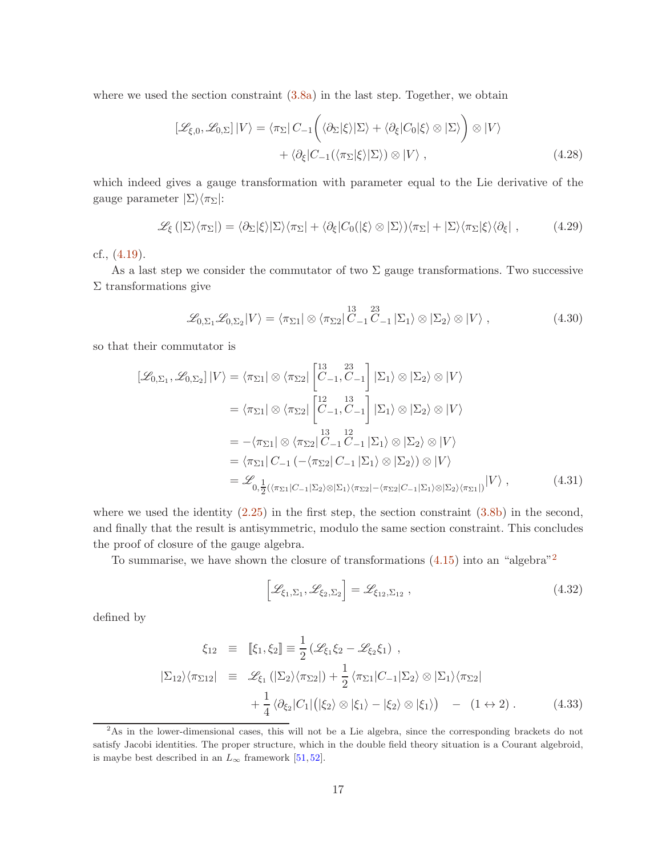where we used the section constraint  $(3.8a)$  in the last step. Together, we obtain

$$
[\mathcal{L}_{\xi,0}, \mathcal{L}_{0,\Sigma}] | V \rangle = \langle \pi_{\Sigma} | C_{-1} \left( \langle \partial_{\Sigma} | \xi \rangle | \Sigma \rangle + \langle \partial_{\xi} | C_{0} | \xi \rangle \otimes | \Sigma \rangle \right) \otimes | V \rangle + \langle \partial_{\xi} | C_{-1} (\langle \pi_{\Sigma} | \xi \rangle | \Sigma \rangle) \otimes | V \rangle ,
$$
(4.28)

which indeed gives a gauge transformation with parameter equal to the Lie derivative of the gauge parameter  $|\Sigma\rangle\langle\pi_{\Sigma}|$ :

$$
\mathcal{L}_{\xi}(|\Sigma\rangle\langle\pi_{\Sigma}|)=\langle\partial_{\Sigma}|\xi\rangle|\Sigma\rangle\langle\pi_{\Sigma}|+\langle\partial_{\xi}|C_{0}(|\xi\rangle\otimes|\Sigma\rangle)\langle\pi_{\Sigma}|+|\Sigma\rangle\langle\pi_{\Sigma}|\xi\rangle\langle\partial_{\xi}|,
$$
\n(4.29)

cf., [\(4.19\)](#page-14-0).

As a last step we consider the commutator of two  $\Sigma$  gauge transformations. Two successive  $\Sigma$  transformations give

$$
\mathcal{L}_{0,\Sigma_1}\mathcal{L}_{0,\Sigma_2}|V\rangle = \langle \pi_{\Sigma_1}|\otimes \langle \pi_{\Sigma_2}|_{C_{-1}}^{13}C_{-1}|\Sigma_1\rangle \otimes |\Sigma_2\rangle \otimes |V\rangle , \qquad (4.30)
$$

so that their commutator is

$$
[\mathcal{L}_{0,\Sigma_1}, \mathcal{L}_{0,\Sigma_2}] | V \rangle = \langle \pi_{\Sigma_1} | \otimes \langle \pi_{\Sigma_2} | \begin{bmatrix} 13 & 23 \\ C_{-1}, C_{-1} \end{bmatrix} | \Sigma_1 \rangle \otimes | \Sigma_2 \rangle \otimes | V \rangle
$$
  
\n
$$
= \langle \pi_{\Sigma_1} | \otimes \langle \pi_{\Sigma_2} | \begin{bmatrix} 12 & 13 \\ C_{-1}, C_{-1} \end{bmatrix} | \Sigma_1 \rangle \otimes | \Sigma_2 \rangle \otimes | V \rangle
$$
  
\n
$$
= -\langle \pi_{\Sigma_1} | \otimes \langle \pi_{\Sigma_2} | \begin{bmatrix} 13 & 12 \\ C_{-1}, C_{-1} \end{bmatrix} | \Sigma_1 \rangle \otimes | \Sigma_2 \rangle \otimes | V \rangle
$$
  
\n
$$
= \langle \pi_{\Sigma_1} | C_{-1} (-\langle \pi_{\Sigma_2} | C_{-1} | \Sigma_1 \rangle \otimes | \Sigma_2 \rangle) \otimes | V \rangle
$$
  
\n
$$
= \mathcal{L}_{0, \frac{1}{2} (\langle \pi_{\Sigma_1} | C_{-1} | \Sigma_2 \rangle \otimes | \Sigma_1 \rangle \langle \pi_{\Sigma_2} | - \langle \pi_{\Sigma_2} | C_{-1} | \Sigma_1 \rangle \otimes | \Sigma_2 \rangle \langle \pi_{\Sigma_1} | | V \rangle , \qquad (4.31)
$$

where we used the identity  $(2.25)$  in the first step, the section constraint  $(3.8b)$  in the second, and finally that the result is antisymmetric, modulo the same section constraint. This concludes the proof of closure of the gauge algebra.

To summarise, we have shown the closure of transformations  $(4.15)$  into an "algebra"<sup>[2](#page-16-0)</sup>

$$
\left[\mathcal{L}_{\xi_1,\Sigma_1},\mathcal{L}_{\xi_2,\Sigma_2}\right]=\mathcal{L}_{\xi_{12},\Sigma_{12}}\,,\tag{4.32}
$$

defined by

$$
\xi_{12} \equiv \left[ \xi_1, \xi_2 \right] \equiv \frac{1}{2} \left( \mathcal{L}_{\xi_1} \xi_2 - \mathcal{L}_{\xi_2} \xi_1 \right) ,
$$
  
\n
$$
|\Sigma_{12} \rangle \langle \pi_{\Sigma 12}| \equiv \mathcal{L}_{\xi_1} (|\Sigma_2 \rangle \langle \pi_{\Sigma 2}|) + \frac{1}{2} \langle \pi_{\Sigma 1} | C_{-1} | \Sigma_2 \rangle \otimes |\Sigma_1 \rangle \langle \pi_{\Sigma 2}|
$$
  
\n
$$
+ \frac{1}{4} \langle \partial_{\xi_2} | C_1 | (|\xi_2 \rangle \otimes |\xi_1 \rangle - |\xi_2 \rangle \otimes |\xi_1 \rangle) - (1 \leftrightarrow 2) .
$$
 (4.33)

<span id="page-16-0"></span><sup>&</sup>lt;sup>2</sup>As in the lower-dimensional cases, this will not be a Lie algebra, since the corresponding brackets do not satisfy Jacobi identities. The proper structure, which in the double field theory situation is a Courant algebroid, is maybe best described in an  $L_{\infty}$  framework [\[51,](#page-37-4) [52\]](#page-37-5).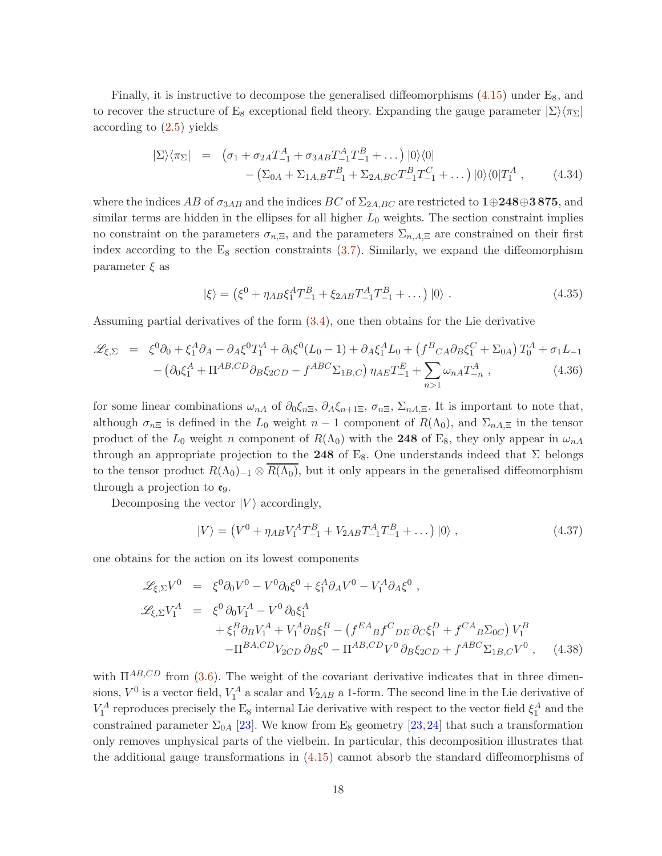Finally, it is instructive to decompose the generalised diffeomorphisms  $(4.15)$  under  $E_8$ , and to recover the structure of E<sub>8</sub> exceptional field theory. Expanding the gauge parameter  $|\Sigma\rangle\langle\pi_{\Sigma}|$ according to [\(2.5\)](#page-4-3) yields

$$
|\Sigma\rangle\langle\pi_{\Sigma}| = (\sigma_1 + \sigma_{2A}T_{-1}^A + \sigma_{3AB}T_{-1}^A T_{-1}^B + \dots) |0\rangle\langle 0|
$$
  
-(\Sigma\_{0A} + \Sigma\_{1A,B}T\_{-1}^B + \Sigma\_{2A,BC}T\_{-1}^BT\_{-1}^C + \dots) |0\rangle\langle 0|T\_1^A , \qquad (4.34)

where the indices AB of  $\sigma_{3AB}$  and the indices BC of  $\Sigma_{2A,BC}$  are restricted to 1⊕248⊕3 875, and similar terms are hidden in the ellipses for all higher  $L_0$  weights. The section constraint implies no constraint on the parameters  $\sigma_{n,\Xi}$ , and the parameters  $\Sigma_{n,A,\Xi}$  are constrained on their first index according to the  $E_8$  section constraints  $(3.7)$ . Similarly, we expand the diffeomorphism parameter  $\xi$  as

$$
|\xi\rangle = (\xi^0 + \eta_{AB}\xi_1^A T_{-1}^B + \xi_{2AB} T_{-1}^A T_{-1}^B + \dots) |0\rangle.
$$
 (4.35)

Assuming partial derivatives of the form [\(3.4\)](#page-9-2), one then obtains for the Lie derivative

$$
\mathcal{L}_{\xi,\Sigma} = \xi^0 \partial_0 + \xi_1^A \partial_A - \partial_A \xi^0 T_1^A + \partial_0 \xi^0 (L_0 - 1) + \partial_A \xi_1^A L_0 + (f^B{}_C{}_A \partial_B \xi_1^C + \Sigma_{0A}) T_0^A + \sigma_1 L_{-1} - (\partial_0 \xi_1^A + \Pi^{AB,CD} \partial_B \xi_{2CD} - f^{ABC} \Sigma_{1B,C}) \eta_{AE} T_{-1}^E + \sum_{n>1} \omega_{nA} T_{-n}^A , \qquad (4.36)
$$

for some linear combinations  $\omega_{nA}$  of  $\partial_0 \xi_{n\Xi}$ ,  $\partial_A \xi_{n+1\Xi}$ ,  $\sigma_{n\Xi}$ ,  $\Sigma_{nA,\Xi}$ . It is important to note that, although  $\sigma_{n\Xi}$  is defined in the L<sub>0</sub> weight  $n-1$  component of  $R(\Lambda_0)$ , and  $\Sigma_{nA,\Xi}$  in the tensor product of the  $L_0$  weight n component of  $R(\Lambda_0)$  with the 248 of E<sub>8</sub>, they only appear in  $\omega_{nA}$ through an appropriate projection to the 248 of  $E_8$ . One understands indeed that  $\Sigma$  belongs to the tensor product  $R(\Lambda_0)_{-1} \otimes R(\Lambda_0)$ , but it only appears in the generalised diffeomorphism through a projection to  $\mathfrak{e}_9$ .

Decomposing the vector  $|V\rangle$  accordingly,

$$
|V\rangle = (V^0 + \eta_{AB} V_1^A T_{-1}^B + V_{2AB} T_{-1}^A T_{-1}^B + \dots) |0\rangle ,
$$
 (4.37)

one obtains for the action on its lowest components

$$
\mathcal{L}_{\xi,\Sigma}V^0 = \xi^0 \partial_0 V^0 - V^0 \partial_0 \xi^0 + \xi_1^A \partial_A V^0 - V_1^A \partial_A \xi^0 ,
$$
  
\n
$$
\mathcal{L}_{\xi,\Sigma}V_1^A = \xi^0 \partial_0 V_1^A - V^0 \partial_0 \xi_1^A
$$
  
\n
$$
+ \xi_1^B \partial_B V_1^A + V_1^A \partial_B \xi_1^B - (f^{EA}{}_{B} f^C{}_{DE} \partial_C \xi_1^D + f^{CA}{}_{B} \Sigma_{0C}) V_1^B
$$
  
\n
$$
- \Pi^{BA,CD} V_{2CD} \partial_B \xi^0 - \Pi^{AB,CD} V^0 \partial_B \xi_{2CD} + f^{ABC} \Sigma_{1B,C} V^0 , \quad (4.38)
$$

with  $\Pi^{AB,CD}$  from [\(3.6\)](#page-10-5). The weight of the covariant derivative indicates that in three dimensions,  $V^0$  is a vector field,  $V_1^A$  a scalar and  $V_{2AB}$  a 1-form. The second line in the Lie derivative of  $V_1^A$  reproduces precisely the E<sub>8</sub> internal Lie derivative with respect to the vector field  $\xi_1^A$  and the constrained parameter  $\Sigma_{0A}$  [\[23\]](#page-35-4). We know from E<sub>8</sub> geometry [\[23,](#page-35-4) [24\]](#page-35-0) that such a transformation only removes unphysical parts of the vielbein. In particular, this decomposition illustrates that the additional gauge transformations in [\(4.15\)](#page-13-1) cannot absorb the standard diffeomorphisms of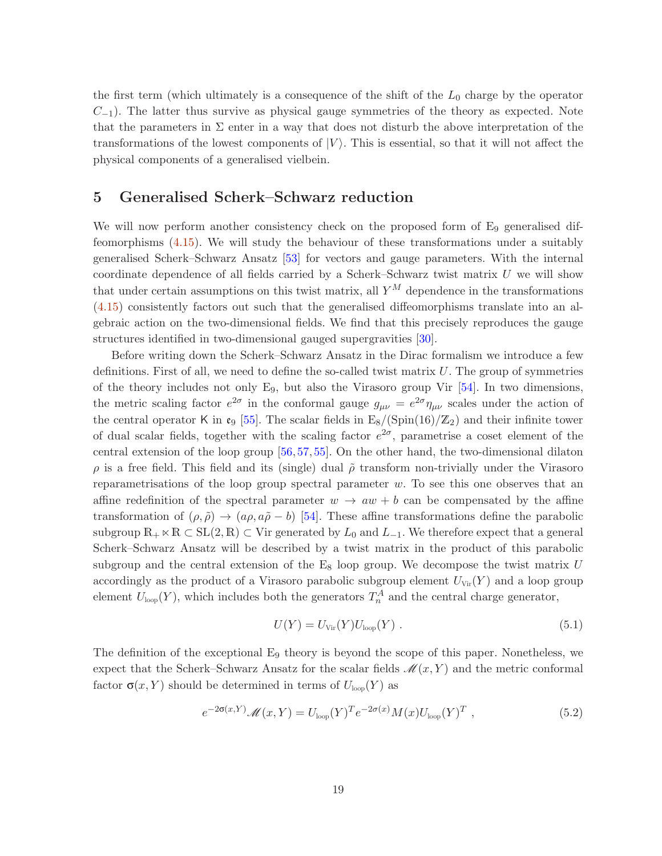the first term (which ultimately is a consequence of the shift of the  $L_0$  charge by the operator  $C_{-1}$ ). The latter thus survive as physical gauge symmetries of the theory as expected. Note that the parameters in  $\Sigma$  enter in a way that does not disturb the above interpretation of the transformations of the lowest components of  $|V\rangle$ . This is essential, so that it will not affect the physical components of a generalised vielbein.

## <span id="page-18-0"></span>5 Generalised Scherk–Schwarz reduction

We will now perform another consistency check on the proposed form of  $E_9$  generalised diffeomorphisms [\(4.15\)](#page-13-1). We will study the behaviour of these transformations under a suitably generalised Scherk–Schwarz Ansatz [\[53\]](#page-37-6) for vectors and gauge parameters. With the internal coordinate dependence of all fields carried by a Scherk–Schwarz twist matrix  $U$  we will show that under certain assumptions on this twist matrix, all  $Y^M$  dependence in the transformations [\(4.15\)](#page-13-1) consistently factors out such that the generalised diffeomorphisms translate into an algebraic action on the two-dimensional fields. We find that this precisely reproduces the gauge structures identified in two-dimensional gauged supergravities [\[30\]](#page-35-3).

Before writing down the Scherk–Schwarz Ansatz in the Dirac formalism we introduce a few definitions. First of all, we need to define the so-called twist matrix  $U$ . The group of symmetries of the theory includes not only  $E_9$ , but also the Virasoro group Vir [\[54\]](#page-37-7). In two dimensions, the metric scaling factor  $e^{2\sigma}$  in the conformal gauge  $g_{\mu\nu} = e^{2\sigma} \eta_{\mu\nu}$  scales under the action of the central operator K in  $\mathfrak{e}_9$  [\[55\]](#page-37-8). The scalar fields in  $E_8/(Spin(16)/\mathbb{Z}_2)$  and their infinite tower of dual scalar fields, together with the scaling factor  $e^{2\sigma}$ , parametrise a coset element of the central extension of the loop group [\[56,](#page-37-9) [57,](#page-37-10) [55\]](#page-37-8). On the other hand, the two-dimensional dilaton  $\rho$  is a free field. This field and its (single) dual  $\tilde{\rho}$  transform non-trivially under the Virasoro reparametrisations of the loop group spectral parameter  $w$ . To see this one observes that an affine redefinition of the spectral parameter  $w \to aw + b$  can be compensated by the affine transformation of  $(\rho, \tilde{\rho}) \rightarrow (a\rho, a\tilde{\rho} - b)$  [\[54\]](#page-37-7). These affine transformations define the parabolic subgroup  $\mathbb{R}_+ \ltimes \mathbb{R} \subset SL(2, \mathbb{R}) \subset V$ ir generated by  $L_0$  and  $L_{-1}$ . We therefore expect that a general Scherk–Schwarz Ansatz will be described by a twist matrix in the product of this parabolic subgroup and the central extension of the  $E_8$  loop group. We decompose the twist matrix U accordingly as the product of a Virasoro parabolic subgroup element  $U_{\text{Vir}}(Y)$  and a loop group element  $U_{\text{loop}}(Y)$ , which includes both the generators  $T_n^A$  and the central charge generator,

<span id="page-18-1"></span>
$$
U(Y) = U_{\text{Vir}}(Y)U_{\text{loop}}(Y) . \qquad (5.1)
$$

The definition of the exceptional  $E_9$  theory is beyond the scope of this paper. Nonetheless, we expect that the Scherk–Schwarz Ansatz for the scalar fields  $\mathcal{M}(x, Y)$  and the metric conformal factor  $\sigma(x, Y)$  should be determined in terms of  $U_{\text{loop}}(Y)$  as

$$
e^{-2\sigma(x,Y)}\mathcal{M}(x,Y) = U_{\text{loop}}(Y)^T e^{-2\sigma(x)} M(x) U_{\text{loop}}(Y)^T , \qquad (5.2)
$$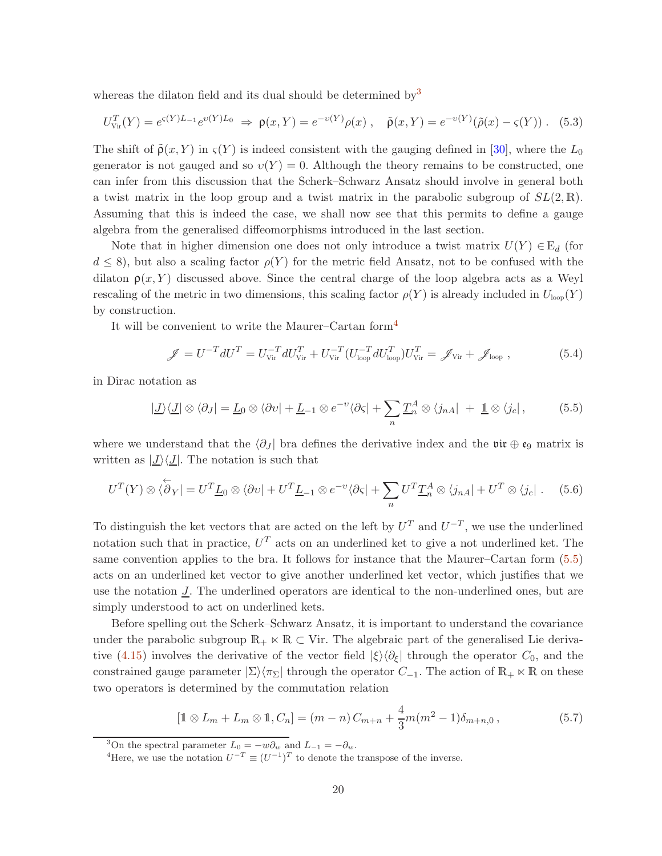whereas the dilaton field and its dual should be determined by  $3$ 

<span id="page-19-4"></span>
$$
U_{\text{Vir}}^T(Y) = e^{\varsigma(Y)L_{-1}}e^{\upsilon(Y)L_0} \Rightarrow \mathsf{p}(x,Y) = e^{-\upsilon(Y)}\rho(x) , \quad \tilde{\mathsf{p}}(x,Y) = e^{-\upsilon(Y)}(\tilde{\rho}(x) - \varsigma(Y)) . \quad (5.3)
$$

The shift of  $\tilde{\rho}(x, Y)$  in  $\varsigma(Y)$  is indeed consistent with the gauging defined in [\[30\]](#page-35-3), where the  $L_0$ generator is not gauged and so  $v(Y) = 0$ . Although the theory remains to be constructed, one can infer from this discussion that the Scherk–Schwarz Ansatz should involve in general both a twist matrix in the loop group and a twist matrix in the parabolic subgroup of  $SL(2,\mathbb{R})$ . Assuming that this is indeed the case, we shall now see that this permits to define a gauge algebra from the generalised diffeomorphisms introduced in the last section.

Note that in higher dimension one does not only introduce a twist matrix  $U(Y) \in \mathbb{E}_d$  (for  $d \leq 8$ ), but also a scaling factor  $\rho(Y)$  for the metric field Ansatz, not to be confused with the dilaton  $p(x, Y)$  discussed above. Since the central charge of the loop algebra acts as a Weyl rescaling of the metric in two dimensions, this scaling factor  $\rho(Y)$  is already included in  $U_{\text{loop}}(Y)$ by construction.

It will be convenient to write the Maurer–Cartan form[4](#page-19-1)

<span id="page-19-2"></span>
$$
\mathscr{J} = U^{-T} dU^{T} = U_{\text{Vir}}^{-T} dU_{\text{Vir}}^{T} + U_{\text{Vir}}^{-T} (U_{\text{loop}}^{-T} dU_{\text{loop}}^{T}) U_{\text{Vir}}^{T} = \mathscr{J}_{\text{Vir}} + \mathscr{J}_{\text{loop}} ,
$$
(5.4)

in Dirac notation as

$$
|\underline{J}\rangle\langle\underline{J}|\otimes\langle\partial_J|=\underline{L}_0\otimes\langle\partial\upsilon|+\underline{L}_{-1}\otimes e^{-\upsilon}\langle\partial\varsigma|+\sum_n\underline{T}_n^A\otimes\langle j_{nA}|+\underline{1}\otimes\langle j_c|,\tag{5.5}
$$

where we understand that the  $\langle \partial J |$  bra defines the derivative index and the vir ⊕  $e_9$  matrix is written as  $|J\rangle\langle J|$ . The notation is such that

<span id="page-19-3"></span>
$$
U^T(Y) \otimes \langle \overleftarrow{\partial}_Y \vert = U^T \underline{L}_0 \otimes \langle \partial v \vert + U^T \underline{L}_{-1} \otimes e^{-v} \langle \partial \varsigma \vert + \sum_n U^T \underline{T}_n^A \otimes \langle j_{nA} \vert + U^T \otimes \langle j_c \vert . \tag{5.6}
$$

To distinguish the ket vectors that are acted on the left by  $U^T$  and  $U^{-T}$ , we use the underlined notation such that in practice,  $U<sup>T</sup>$  acts on an underlined ket to give a not underlined ket. The same convention applies to the bra. It follows for instance that the Maurer–Cartan form  $(5.5)$ acts on an underlined ket vector to give another underlined ket vector, which justifies that we use the notation  $\mathcal{I}$ . The underlined operators are identical to the non-underlined ones, but are simply understood to act on underlined kets.

Before spelling out the Scherk–Schwarz Ansatz, it is important to understand the covariance under the parabolic subgroup  $\mathbb{R}_+ \ltimes \mathbb{R} \subset V$ ir. The algebraic part of the generalised Lie deriva-tive [\(4.15\)](#page-13-1) involves the derivative of the vector field  $|\xi\rangle\langle\partial_{\xi}|$  through the operator  $C_0$ , and the constrained gauge parameter  $|\Sigma\rangle\langle\pi_{\Sigma}|$  through the operator  $C_{-1}$ . The action of  $\mathbb{R}_+ \ltimes \mathbb{R}$  on these two operators is determined by the commutation relation

$$
[\mathbb{1} \otimes L_m + L_m \otimes \mathbb{1}, C_n] = (m - n) C_{m+n} + \frac{4}{3} m (m^2 - 1) \delta_{m+n,0},
$$
\n(5.7)

<sup>&</sup>lt;sup>3</sup>On the spectral parameter  $L_0 = -w\partial_w$  and  $L_{-1} = -\partial_w$ .

<span id="page-19-1"></span><span id="page-19-0"></span><sup>&</sup>lt;sup>4</sup>Here, we use the notation  $U^{-T} \equiv (U^{-1})^T$  to denote the transpose of the inverse.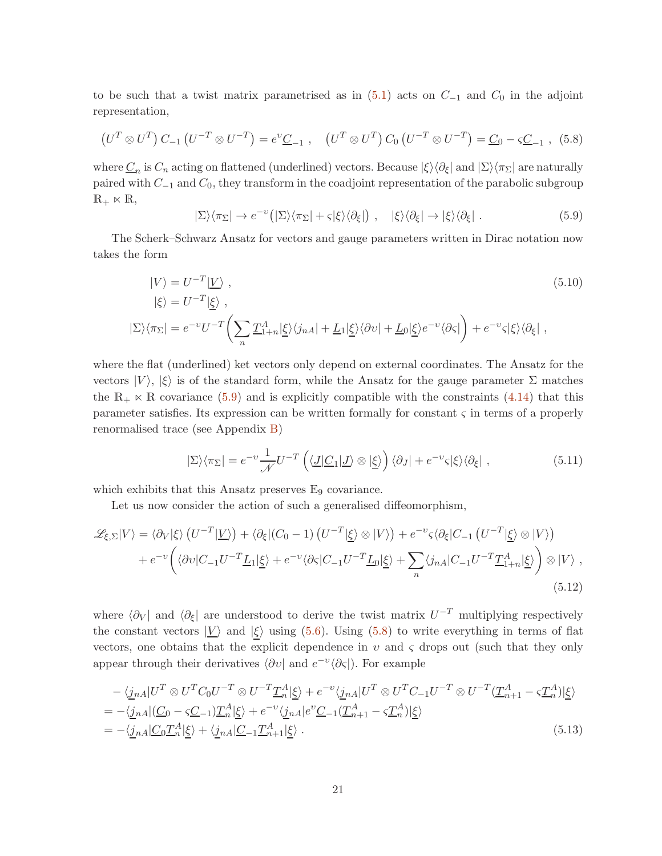to be such that a twist matrix parametrised as in  $(5.1)$  acts on  $C_{-1}$  and  $C_0$  in the adjoint representation,

$$
(U^T \otimes U^T) C_{-1} (U^{-T} \otimes U^{-T}) = e^{\nu} \underline{C}_{-1} , \quad (U^T \otimes U^T) C_0 (U^{-T} \otimes U^{-T}) = \underline{C}_0 - \varsigma \underline{C}_{-1} , \tag{5.8}
$$

where  $\underline{C}_n$  is  $C_n$  acting on flattened (underlined) vectors. Because  $|\xi\rangle\langle\partial_{\xi}|$  and  $|\Sigma\rangle\langle\pi_{\Sigma}|$  are naturally paired with  $C_{-1}$  and  $C_0$ , they transform in the coadjoint representation of the parabolic subgroup  $\mathbb{R}_+ \ltimes \mathbb{R}$ ,

<span id="page-20-2"></span><span id="page-20-1"></span><span id="page-20-0"></span>
$$
|\Sigma\rangle\langle\pi_{\Sigma}|\to e^{-\nu}(|\Sigma\rangle\langle\pi_{\Sigma}|+\varsigma|\xi\rangle\langle\partial_{\xi}|),\quad|\xi\rangle\langle\partial_{\xi}|\to|\xi\rangle\langle\partial_{\xi}|.
$$
\n(5.9)

The Scherk–Schwarz Ansatz for vectors and gauge parameters written in Dirac notation now takes the form

$$
|V\rangle = U^{-T} | \underline{V} \rangle ,
$$
  
\n
$$
|\xi\rangle = U^{-T} |\underline{\xi} \rangle ,
$$
  
\n
$$
|\Sigma\rangle \langle \pi_{\Sigma}| = e^{-\nu} U^{-T} \left( \sum_{n} \underline{T}_{1+n}^{A} | \underline{\xi} \rangle \langle j_{n} A | + \underline{L}_{1} | \underline{\xi} \rangle \langle \partial \nu | + \underline{L}_{0} | \underline{\xi} \rangle e^{-\nu} \langle \partial \varsigma | \right) + e^{-\nu} \varsigma |\xi\rangle \langle \partial \xi | ,
$$
  
\n(5.10)

where the flat (underlined) ket vectors only depend on external coordinates. The Ansatz for the vectors  $|V\rangle, |\xi\rangle$  is of the standard form, while the Ansatz for the gauge parameter  $\Sigma$  matches the  $\mathbb{R}_+ \times \mathbb{R}$  covariance [\(5.9\)](#page-20-0) and is explicitly compatible with the constraints [\(4.14\)](#page-13-0) that this parameter satisfies. Its expression can be written formally for constant  $\varsigma$  in terms of a properly renormalised trace (see Appendix [B\)](#page-31-1)

$$
|\Sigma\rangle\langle\pi_{\Sigma}| = e^{-\upsilon}\frac{1}{\mathcal{N}}U^{-T}\left(\langle\underline{J}|\underline{C}_1|\underline{J}\rangle\otimes|\underline{\xi}\rangle\right)\langle\partial_J| + e^{-\upsilon}\varsigma|\xi\rangle\langle\partial_{\xi}| \,,\tag{5.11}
$$

which exhibits that this Ansatz preserves E<sub>9</sub> covariance.

Let us now consider the action of such a generalised diffeomorphism,

$$
\mathcal{L}_{\xi,\Sigma}|V\rangle = \langle \partial_V|\xi\rangle \left(U^{-T}|\underline{V}\rangle\right) + \langle \partial_{\xi}|(C_0 - 1)\left(U^{-T}|\underline{\xi}\rangle \otimes |V\rangle\right) + e^{-\nu}\zeta \langle \partial_{\xi}|C_{-1}\left(U^{-T}|\underline{\xi}\rangle \otimes |V\rangle\right) + e^{-\nu} \left(\langle \partial\upsilon|C_{-1}U^{-T}\underline{L}_{1}|\underline{\xi}\rangle + e^{-\nu}\langle \partial_{\zeta}|C_{-1}U^{-T}\underline{L}_{0}|\underline{\xi}\rangle + \sum_{n} \langle j_{nA}|C_{-1}U^{-T}\underline{T}_{1+n}^{A}|\underline{\xi}\rangle \right) \otimes |V\rangle ,
$$
\n(5.12)

where  $\langle \partial_V |$  and  $\langle \partial_{\xi} |$  are understood to derive the twist matrix  $U^{-T}$  multiplying respectively the constant vectors  $|V\rangle$  and  $|\xi\rangle$  using [\(5.6\)](#page-19-3). Using [\(5.8\)](#page-20-1) to write everything in terms of flat vectors, one obtains that the explicit dependence in  $v$  and  $\zeta$  drops out (such that they only appear through their derivatives  $\langle \partial v |$  and  $e^{-v} \langle \partial \varsigma |$ ). For example

$$
-\langle \underline{j}_{nA} | U^T \otimes U^T C_0 U^{-T} \otimes U^{-T} \underline{T}_n^A | \underline{\xi} \rangle + e^{-\nu} \langle \underline{j}_{nA} | U^T \otimes U^T C_{-1} U^{-T} \otimes U^{-T} (\underline{T}_n^A + 1 - \varsigma \underline{T}_n^A) | \underline{\xi} \rangle
$$
  
= -\langle \underline{j}\_{nA} | (\underline{C}\_0 - \varsigma \underline{C}\_{-1}) \underline{T}\_n^A | \underline{\xi} \rangle + e^{-\nu} \langle \underline{j}\_{nA} | e^{\nu} \underline{C}\_{-1} (\underline{T}\_n^A + 1 - \varsigma \underline{T}\_n^A) | \underline{\xi} \rangle  
= -\langle \underline{j}\_{nA} | \underline{C}\_0 \underline{T}\_n^A | \underline{\xi} \rangle + \langle \underline{j}\_{nA} | \underline{C}\_{-1} \underline{T}\_n^A + 1 | \underline{\xi} \rangle . \tag{5.13}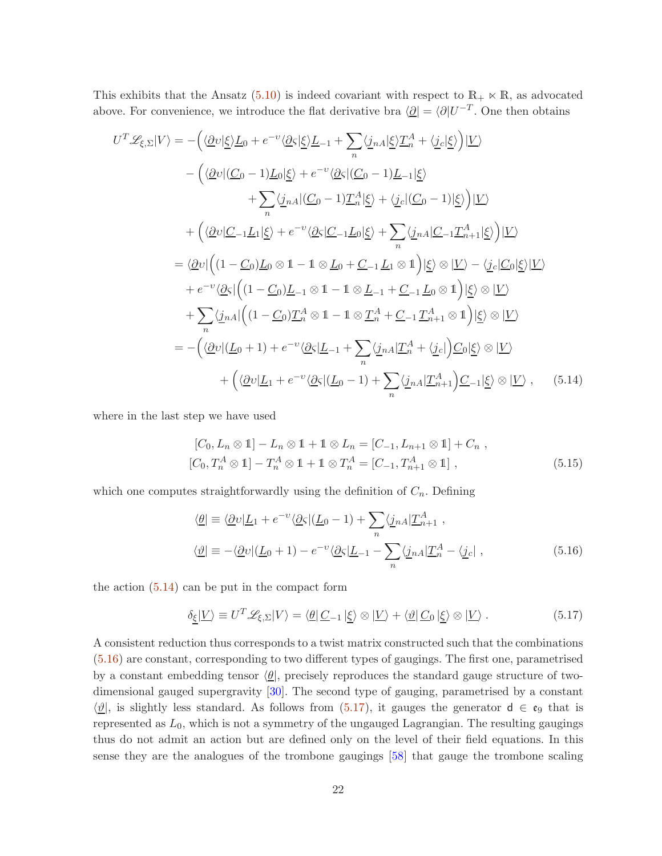This exhibits that the Ansatz [\(5.10\)](#page-20-2) is indeed covariant with respect to  $\mathbb{R}_+ \ltimes \mathbb{R}$ , as advocated above. For convenience, we introduce the flat derivative bra  $\langle \underline{\partial} | = \langle \partial | U^{-T} \rangle$ . One then obtains

$$
U^{T}\mathscr{L}_{\xi,\Sigma}|V\rangle = -\Big(\langle \underline{\partial}v|\underline{\xi}\rangle\underline{L}_{0} + e^{-v}\langle \underline{\partial}\xi|\underline{\xi}\rangle\underline{L}_{-1} + \sum_{n}\langle \underline{j}_{nA}|\underline{\xi}\rangle\underline{T}_{n}^{A} + \langle \underline{j}_{c}|\underline{\xi}\rangle\Big)|\underline{V}\rangle
$$
  
 
$$
-\Big(\langle \underline{\partial}v|(\underline{C}_{0}-1)\underline{L}_{0}|\underline{\xi}\rangle + e^{-v}\langle \underline{\partial}\xi|(\underline{C}_{0}-1)\underline{L}_{-1}|\underline{\xi}\rangle
$$
  
 
$$
+\sum_{n}\langle \underline{j}_{nA}|(\underline{C}_{0}-1)\underline{T}_{n}^{A}|\underline{\xi}\rangle + \langle \underline{j}_{c}|(\underline{C}_{0}-1)|\underline{\xi}\rangle\Big)|\underline{V}\rangle
$$
  
 
$$
+\Big(\langle \underline{\partial}v|\underline{C}_{-1}\underline{L}_{1}|\underline{\xi}\rangle + e^{-v}\langle \underline{\partial}\xi|\underline{C}_{-1}\underline{L}_{0}|\underline{\xi}\rangle + \sum_{n}\langle \underline{j}_{nA}|\underline{C}_{-1}\underline{T}_{n+1}^{A}|\underline{\xi}\rangle\Big)|\underline{V}\rangle
$$
  
 
$$
=\langle \underline{\partial}v|\Big((1-\underline{C}_{0})\underline{L}_{0}\otimes 1 - 1\otimes \underline{L}_{0} + \underline{C}_{-1}\underline{L}_{1}\otimes 1)\Big|\underline{\xi}\rangle\otimes|\underline{V}\rangle - \langle \underline{j}_{c}|\underline{C}_{0}|\underline{\xi}\rangle|\underline{V}\rangle
$$
  
 
$$
+e^{-v}\langle \underline{\partial}\xi|\Big((1-\underline{C}_{0})\underline{L}_{-1}\otimes 1 - 1\otimes \underline{L}_{-1} + \underline{C}_{-1}\underline{L}_{0}\otimes 1)\Big|\underline{\xi}\rangle\otimes|\underline{V}\rangle
$$
  
 
$$
+\sum_{n}\langle \underline{j}_{nA}|\Big((1-\underline{C}_{0})\underline{T}_{n}^{A}\otimes 1 - 1\otimes \underline{T}_{n}^{A} + \underline{C}_{-1}\underline{T}_{n+1}^{A}\otimes 1\Big)|\underline{\xi}\rangle\otimes|\underline{V}\rangle
$$
  
 
$$
=-\Big(\langle \underline{\partial}v|(\underline{L}_{0}+1) + e^{-v}\langle
$$

where in the last step we have used

<span id="page-21-0"></span>
$$
[C_0, L_n \otimes 1] - L_n \otimes 1 + 1 \otimes L_n = [C_{-1}, L_{n+1} \otimes 1] + C_n ,
$$
  

$$
[C_0, T_n^A \otimes 1] - T_n^A \otimes 1 + 1 \otimes T_n^A = [C_{-1}, T_{n+1}^A \otimes 1],
$$
 (5.15)

which one computes straightforwardly using the definition of  $C_n$ . Defining

<span id="page-21-1"></span>
$$
\langle \underline{\theta} | \equiv \langle \underline{\partial} v | \underline{L}_1 + e^{-v} \langle \underline{\partial} \varsigma | (\underline{L}_0 - 1) + \sum_n \langle \underline{j}_n A | \underline{T}_{n+1}^A ,
$$
  

$$
\langle \underline{\vartheta} | \equiv -\langle \underline{\partial} v | (\underline{L}_0 + 1) - e^{-v} \langle \underline{\partial} \varsigma | \underline{L}_{-1} - \sum_n \langle \underline{j}_n A | \underline{T}_n^A - \langle \underline{j}_c | , \rangle
$$
(5.16)

the action  $(5.14)$  can be put in the compact form

<span id="page-21-2"></span>
$$
\delta_{\underline{\xi}}|\underline{V}\rangle \equiv U^T \mathscr{L}_{\xi,\Sigma}|V\rangle = \langle \underline{\theta}|\underline{C}_{-1}|\underline{\xi}\rangle \otimes |\underline{V}\rangle + \langle \underline{\vartheta}|\underline{C}_0|\underline{\xi}\rangle \otimes |\underline{V}\rangle. \tag{5.17}
$$

A consistent reduction thus corresponds to a twist matrix constructed such that the combinations [\(5.16\)](#page-21-1) are constant, corresponding to two different types of gaugings. The first one, parametrised by a constant embedding tensor  $\langle \theta \rangle$ , precisely reproduces the standard gauge structure of twodimensional gauged supergravity [\[30\]](#page-35-3). The second type of gauging, parametrised by a constant  $\langle \underline{\vartheta} |$ , is slightly less standard. As follows from  $(5.17)$ , it gauges the generator  $d \in \mathfrak{e}_9$  that is represented as  $L_0$ , which is not a symmetry of the ungauged Lagrangian. The resulting gaugings thus do not admit an action but are defined only on the level of their field equations. In this sense they are the analogues of the trombone gaugings [\[58\]](#page-37-11) that gauge the trombone scaling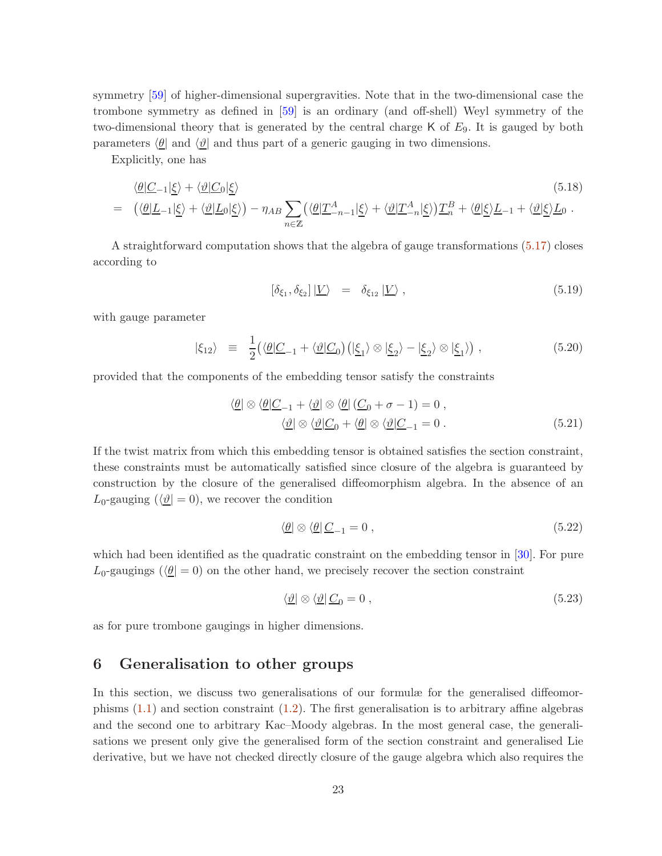symmetry [\[59\]](#page-37-12) of higher-dimensional supergravities. Note that in the two-dimensional case the trombone symmetry as defined in [\[59\]](#page-37-12) is an ordinary (and off-shell) Weyl symmetry of the two-dimensional theory that is generated by the central charge  $K$  of  $E_9$ . It is gauged by both parameters  $\langle \underline{\theta} |$  and  $\langle \underline{\vartheta} |$  and thus part of a generic gauging in two dimensions.

Explicitly, one has

$$
\langle \underline{\theta} | \underline{C}_{-1} | \underline{\xi} \rangle + \langle \underline{\vartheta} | \underline{C}_0 | \underline{\xi} \rangle \tag{5.18}
$$
\n
$$
= \left( \langle \underline{\theta} | \underline{L}_{-1} | \underline{\xi} \rangle + \langle \underline{\vartheta} | \underline{L}_0 | \underline{\xi} \rangle \right) - \eta_{AB} \sum_{n \in \mathbb{Z}} \left( \langle \underline{\theta} | \underline{T}_{-n-1}^A | \underline{\xi} \rangle + \langle \underline{\vartheta} | \underline{T}_{-n}^A | \underline{\xi} \rangle \right) \underline{T}_n^B + \langle \underline{\theta} | \underline{\xi} \rangle \underline{L}_{-1} + \langle \underline{\vartheta} | \underline{\xi} \rangle \underline{L}_0 \ .
$$

A straightforward computation shows that the algebra of gauge transformations [\(5.17\)](#page-21-2) closes according to

$$
\left[\delta_{\xi_1}, \delta_{\xi_2}\right] | \underline{V}\rangle = \delta_{\xi_{12}} | \underline{V}\rangle , \qquad (5.19)
$$

with gauge parameter

$$
|\xi_{12}\rangle \equiv \frac{1}{2} \big( \langle \underline{\theta} | \underline{C}_{-1} + \langle \underline{\vartheta} | \underline{C}_0 \big) \big( | \underline{\xi}_1 \rangle \otimes | \underline{\xi}_2 \rangle - | \underline{\xi}_2 \rangle \otimes | \underline{\xi}_1 \rangle \big) , \qquad (5.20)
$$

provided that the components of the embedding tensor satisfy the constraints

$$
\langle \underline{\theta} | \otimes \langle \underline{\theta} | \underline{C}_{-1} + \langle \underline{\vartheta} | \otimes \langle \underline{\theta} | (\underline{C}_0 + \sigma - 1) = 0 ,
$$
  

$$
\langle \underline{\vartheta} | \otimes \langle \underline{\vartheta} | \underline{C}_0 + \langle \underline{\theta} | \otimes \langle \underline{\vartheta} | \underline{C}_{-1} = 0 .
$$
 (5.21)

If the twist matrix from which this embedding tensor is obtained satisfies the section constraint, these constraints must be automatically satisfied since closure of the algebra is guaranteed by construction by the closure of the generalised diffeomorphism algebra. In the absence of an  $L_0$ -gauging  $(\langle \underline{\vartheta} | = 0)$ , we recover the condition

$$
\langle \underline{\theta} | \otimes \langle \underline{\theta} | \underline{C}_{-1} = 0 \,, \tag{5.22}
$$

which had been identified as the quadratic constraint on the embedding tensor in [\[30\]](#page-35-3). For pure  $L_0$ -gaugings ( $\langle \theta | = 0 \rangle$ ) on the other hand, we precisely recover the section constraint

$$
\langle \underline{\vartheta} | \otimes \langle \underline{\vartheta} | \underline{C}_0 = 0 , \qquad (5.23)
$$

<span id="page-22-0"></span>as for pure trombone gaugings in higher dimensions.

### 6 Generalisation to other groups

In this section, we discuss two generalisations of our formulæ for the generalised diffeomorphisms  $(1.1)$  and section constraint  $(1.2)$ . The first generalisation is to arbitrary affine algebras and the second one to arbitrary Kac–Moody algebras. In the most general case, the generalisations we present only give the generalised form of the section constraint and generalised Lie derivative, but we have not checked directly closure of the gauge algebra which also requires the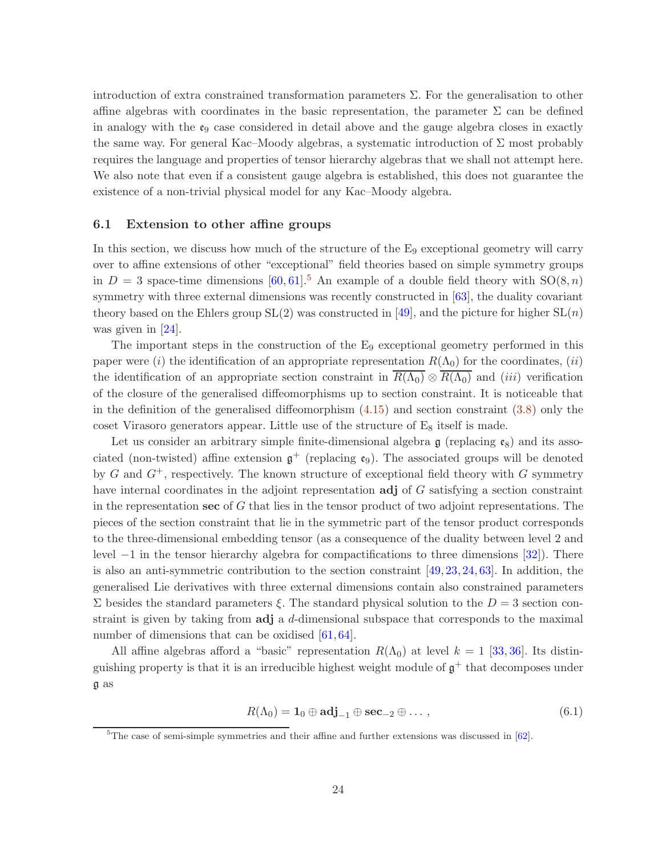introduction of extra constrained transformation parameters  $\Sigma$ . For the generalisation to other affine algebras with coordinates in the basic representation, the parameter  $\Sigma$  can be defined in analogy with the  $\epsilon_9$  case considered in detail above and the gauge algebra closes in exactly the same way. For general Kac–Moody algebras, a systematic introduction of  $\Sigma$  most probably requires the language and properties of tensor hierarchy algebras that we shall not attempt here. We also note that even if a consistent gauge algebra is established, this does not guarantee the existence of a non-trivial physical model for any Kac–Moody algebra.

### <span id="page-23-0"></span>6.1 Extension to other affine groups

In this section, we discuss how much of the structure of the  $E_9$  exceptional geometry will carry over to affine extensions of other "exceptional" field theories based on simple symmetry groups in  $D = 3$  space-time dimensions [\[60,](#page-37-13) [61\]](#page-37-14).<sup>[5](#page-23-1)</sup> An example of a double field theory with  $SO(8, n)$ symmetry with three external dimensions was recently constructed in [\[63\]](#page-38-0), the duality covariant theory based on the Ehlers group  $SL(2)$  was constructed in [\[49\]](#page-37-2), and the picture for higher  $SL(n)$ was given in [\[24\]](#page-35-0).

The important steps in the construction of the  $E_9$  exceptional geometry performed in this paper were (i) the identification of an appropriate representation  $R(\Lambda_0)$  for the coordinates, (ii) the identification of an appropriate section constraint in  $\overline{R(\Lambda_0)} \otimes \overline{R(\Lambda_0)}$  and (*iii*) verification of the closure of the generalised diffeomorphisms up to section constraint. It is noticeable that in the definition of the generalised diffeomorphism [\(4.15\)](#page-13-1) and section constraint [\(3.8\)](#page-10-1) only the coset Virasoro generators appear. Little use of the structure of  $E_8$  itself is made.

Let us consider an arbitrary simple finite-dimensional algebra  $\mathfrak g$  (replacing  $\mathfrak e_8$ ) and its associated (non-twisted) affine extension  $\mathfrak{g}^+$  (replacing  $\mathfrak{e}_9$ ). The associated groups will be denoted by G and  $G^+$ , respectively. The known structure of exceptional field theory with G symmetry have internal coordinates in the adjoint representation **adj** of G satisfying a section constraint in the representation sec of  $G$  that lies in the tensor product of two adjoint representations. The pieces of the section constraint that lie in the symmetric part of the tensor product corresponds to the three-dimensional embedding tensor (as a consequence of the duality between level 2 and level −1 in the tensor hierarchy algebra for compactifications to three dimensions [\[32\]](#page-36-0)). There is also an anti-symmetric contribution to the section constraint  $[49, 23, 24, 63]$  $[49, 23, 24, 63]$  $[49, 23, 24, 63]$  $[49, 23, 24, 63]$  $[49, 23, 24, 63]$  $[49, 23, 24, 63]$ . In addition, the generalised Lie derivatives with three external dimensions contain also constrained parameters Σ besides the standard parameters ξ. The standard physical solution to the  $D = 3$  section constraint is given by taking from adj a d-dimensional subspace that corresponds to the maximal number of dimensions that can be oxidised [\[61,](#page-37-14) [64\]](#page-38-1).

All affine algebras afford a "basic" representation  $R(\Lambda_0)$  at level  $k = 1$  [\[33,](#page-36-1) [36\]](#page-36-4). Its distinguishing property is that it is an irreducible highest weight module of  $\mathfrak{g}^+$  that decomposes under g as

 $R(\Lambda_0) = 1_0 \oplus \text{adj}_{-1} \oplus \text{sec}_{-2} \oplus \dots,$  (6.1)

<span id="page-23-1"></span> ${}^{5}$ The case of semi-simple symmetries and their affine and further extensions was discussed in [\[62\]](#page-37-15).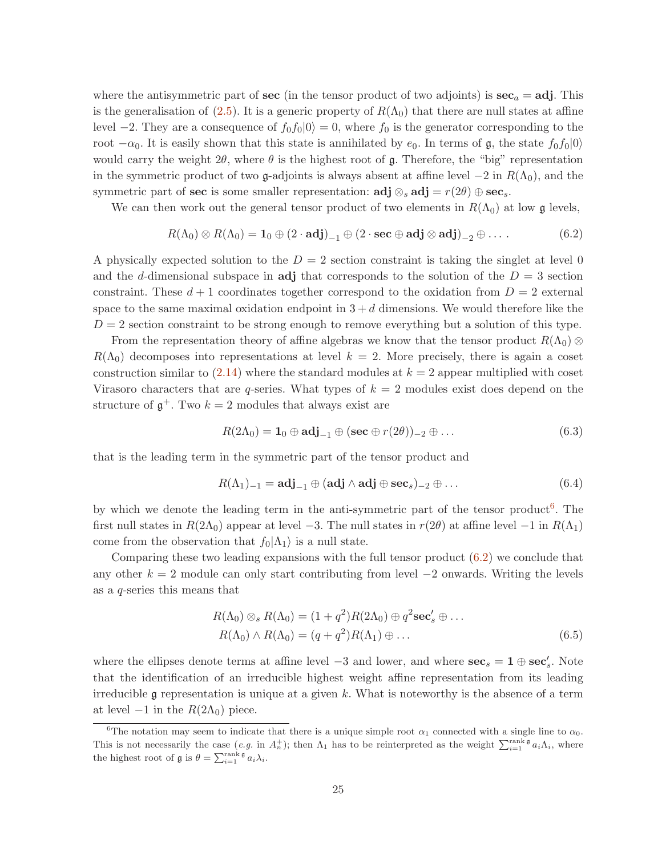where the antisymmetric part of sec (in the tensor product of two adjoints) is  $\sec_a = \text{adj}$ . This is the generalisation of  $(2.5)$ . It is a generic property of  $R(\Lambda_0)$  that there are null states at affine level −2. They are a consequence of  $f_0f_0|0\rangle = 0$ , where  $f_0$  is the generator corresponding to the root  $-\alpha_0$ . It is easily shown that this state is annihilated by  $e_0$ . In terms of g, the state  $f_0f_0|0\rangle$ would carry the weight  $2\theta$ , where  $\theta$  is the highest root of g. Therefore, the "big" representation in the symmetric product of two g-adjoints is always absent at affine level  $-2$  in  $R(\Lambda_0)$ , and the symmetric part of sec is some smaller representation:  $\text{adj} \otimes_s \text{adj} = r(2\theta) \oplus \text{sec}_s$ .

We can then work out the general tensor product of two elements in  $R(\Lambda_0)$  at low g levels,

<span id="page-24-1"></span>
$$
R(\Lambda_0) \otimes R(\Lambda_0) = \mathbf{1}_0 \oplus (2 \cdot \mathbf{adj})_{-1} \oplus (2 \cdot \mathbf{sec} \oplus \mathbf{adj} \otimes \mathbf{adj})_{-2} \oplus \ldots
$$
 (6.2)

A physically expected solution to the  $D = 2$  section constraint is taking the singlet at level 0 and the d-dimensional subspace in adj that corresponds to the solution of the  $D = 3$  section constraint. These  $d+1$  coordinates together correspond to the oxidation from  $D=2$  external space to the same maximal oxidation endpoint in  $3 + d$  dimensions. We would therefore like the  $D = 2$  section constraint to be strong enough to remove everything but a solution of this type.

From the representation theory of affine algebras we know that the tensor product  $R(\Lambda_0) \otimes$  $R(\Lambda_0)$  decomposes into representations at level  $k = 2$ . More precisely, there is again a coset construction similar to  $(2.14)$  where the standard modules at  $k = 2$  appear multiplied with coset Virasoro characters that are q-series. What types of  $k = 2$  modules exist does depend on the structure of  $\mathfrak{g}^+$ . Two  $k=2$  modules that always exist are

$$
R(2\Lambda_0) = \mathbf{1}_0 \oplus \mathbf{adj}_{-1} \oplus (\mathbf{sec} \oplus r(2\theta))_{-2} \oplus \dots \tag{6.3}
$$

that is the leading term in the symmetric part of the tensor product and

$$
R(\Lambda_1)_{-1} = \mathbf{adj}_{-1} \oplus (\mathbf{adj} \wedge \mathbf{adj} \oplus \mathbf{sec}_s)_{-2} \oplus \dots \tag{6.4}
$$

by which we denote the leading term in the anti-symmetric part of the tensor product<sup>[6](#page-24-0)</sup>. The first null states in  $R(2\Lambda_0)$  appear at level −3. The null states in  $r(2\theta)$  at affine level −1 in  $R(\Lambda_1)$ come from the observation that  $f_0|\Lambda_1\rangle$  is a null state.

Comparing these two leading expansions with the full tensor product [\(6.2\)](#page-24-1) we conclude that any other  $k = 2$  module can only start contributing from level  $-2$  onwards. Writing the levels as a q-series this means that

$$
R(\Lambda_0) \otimes_s R(\Lambda_0) = (1+q^2)R(2\Lambda_0) \oplus q^2 \mathbf{sec}'_s \oplus \dots
$$
  
\n
$$
R(\Lambda_0) \wedge R(\Lambda_0) = (q+q^2)R(\Lambda_1) \oplus \dots
$$
\n(6.5)

where the ellipses denote terms at affine level  $-3$  and lower, and where  $\sec_s = 1 \oplus \sec'_s$ . Note that the identification of an irreducible highest weight affine representation from its leading irreducible  $\mathfrak g$  representation is unique at a given k. What is noteworthy is the absence of a term at level  $-1$  in the  $R(2\Lambda_0)$  piece.

<span id="page-24-0"></span><sup>&</sup>lt;sup>6</sup>The notation may seem to indicate that there is a unique simple root  $\alpha_1$  connected with a single line to  $\alpha_0$ . This is not necessarily the case  $(e.g.$  in  $A_n^+$ ); then  $\Lambda_1$  has to be reinterpreted as the weight  $\sum_{i=1}^{\text{rank } \mathfrak{g}} a_i \Lambda_i$ , where the highest root of  $\mathfrak g$  is  $\theta = \sum_{i=1}^{\text{rank } \mathfrak g} a_i \lambda_i$ .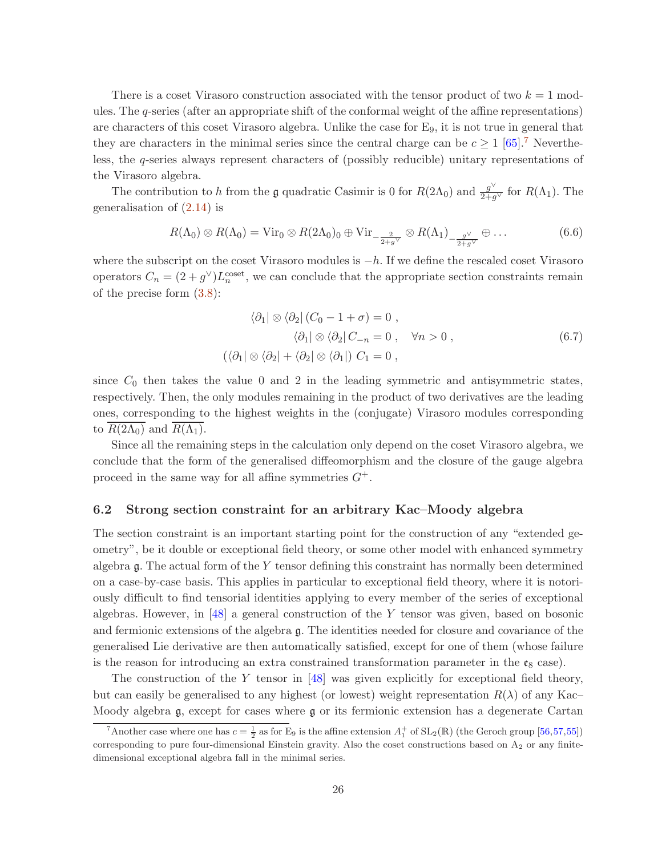There is a coset Virasoro construction associated with the tensor product of two  $k = 1$  modules. The q-series (after an appropriate shift of the conformal weight of the affine representations) are characters of this coset Virasoro algebra. Unlike the case for E9, it is not true in general that they are characters in the minimal series since the central charge can be  $c \geq 1$  [\[65\]](#page-38-2).<sup>[7](#page-25-1)</sup> Nevertheless, the q-series always represent characters of (possibly reducible) unitary representations of the Virasoro algebra.

The contribution to h from the g quadratic Casimir is 0 for  $R(2\Lambda_0)$  and  $\frac{g^{\vee}}{2+g^{\vee}}$  for  $R(\Lambda_1)$ . The generalisation of  $(2.14)$  is

$$
R(\Lambda_0) \otimes R(\Lambda_0) = \text{Vir}_0 \otimes R(2\Lambda_0)_0 \oplus \text{Vir}_{-\frac{2}{2+g\vee}} \otimes R(\Lambda_1)_{-\frac{g\vee}{2+g\vee}} \oplus \dots \tag{6.6}
$$

where the subscript on the coset Virasoro modules is  $-h$ . If we define the rescaled coset Virasoro operators  $C_n = (2+g^{\vee})L_n^{\text{coset}}$ , we can conclude that the appropriate section constraints remain of the precise form [\(3.8\)](#page-10-1):

$$
\langle \partial_1 | \otimes \langle \partial_2 | (C_0 - 1 + \sigma) = 0 ,
$$
  

$$
\langle \partial_1 | \otimes \langle \partial_2 | C_{-n} = 0 , \quad \forall n > 0 ,
$$
  

$$
(\langle \partial_1 | \otimes \langle \partial_2 | + \langle \partial_2 | \otimes \langle \partial_1 |) C_1 = 0 ,
$$
 (6.7)

since  $C_0$  then takes the value 0 and 2 in the leading symmetric and antisymmetric states, respectively. Then, the only modules remaining in the product of two derivatives are the leading ones, corresponding to the highest weights in the (conjugate) Virasoro modules corresponding to  $R(2\Lambda_0)$  and  $R(\Lambda_1)$ .

Since all the remaining steps in the calculation only depend on the coset Virasoro algebra, we conclude that the form of the generalised diffeomorphism and the closure of the gauge algebra proceed in the same way for all affine symmetries  $G^+$ .

### <span id="page-25-0"></span>6.2 Strong section constraint for an arbitrary Kac–Moody algebra

The section constraint is an important starting point for the construction of any "extended geometry", be it double or exceptional field theory, or some other model with enhanced symmetry algebra  $\mathfrak g$ . The actual form of the Y tensor defining this constraint has normally been determined on a case-by-case basis. This applies in particular to exceptional field theory, where it is notoriously difficult to find tensorial identities applying to every member of the series of exceptional algebras. However, in  $[48]$  a general construction of the Y tensor was given, based on bosonic and fermionic extensions of the algebra g. The identities needed for closure and covariance of the generalised Lie derivative are then automatically satisfied, except for one of them (whose failure is the reason for introducing an extra constrained transformation parameter in the  $\mathfrak{e}_8$  case).

The construction of the Y tensor in [\[48\]](#page-37-1) was given explicitly for exceptional field theory, but can easily be generalised to any highest (or lowest) weight representation  $R(\lambda)$  of any Kac– Moody algebra g, except for cases where g or its fermionic extension has a degenerate Cartan

<span id="page-25-1"></span><sup>&</sup>lt;sup>7</sup>Another case where one has  $c = \frac{1}{2}$  as for E<sub>9</sub> is the affine extension  $A_1^+$  of  $SL_2(\mathbb{R})$  (the Geroch group [\[56,](#page-37-9)[57,](#page-37-10)[55\]](#page-37-8)) corresponding to pure four-dimensional Einstein gravity. Also the coset constructions based on  $A<sub>2</sub>$  or any finitedimensional exceptional algebra fall in the minimal series.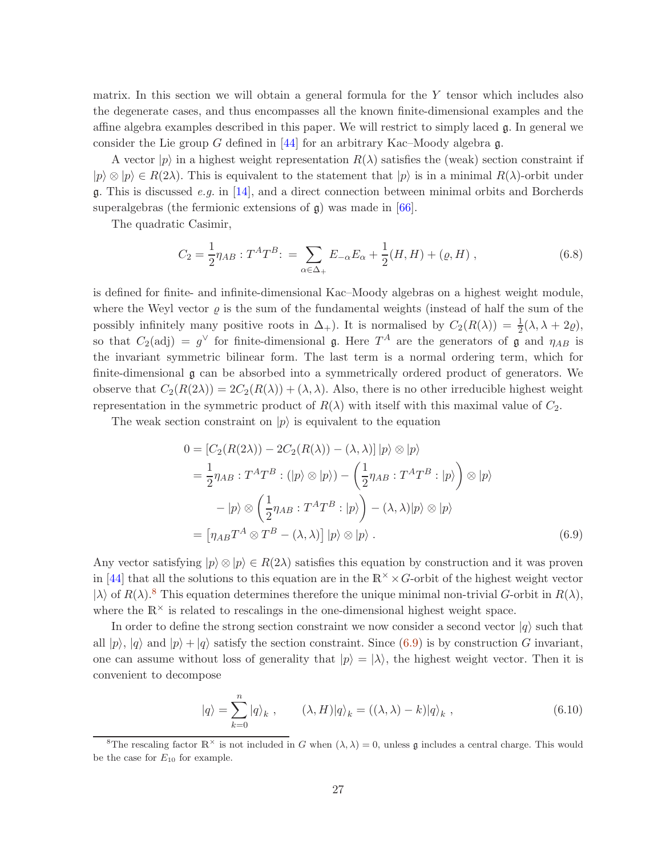matrix. In this section we will obtain a general formula for the Y tensor which includes also the degenerate cases, and thus encompasses all the known finite-dimensional examples and the affine algebra examples described in this paper. We will restrict to simply laced g. In general we consider the Lie group G defined in [\[44\]](#page-36-12) for an arbitrary Kac–Moody algebra  $\mathfrak{g}$ .

A vector  $|p\rangle$  in a highest weight representation  $R(\lambda)$  satisfies the (weak) section constraint if  $|p\rangle \otimes |p\rangle \in R(2\lambda)$ . This is equivalent to the statement that  $|p\rangle$  is in a minimal  $R(\lambda)$ -orbit under  $\mathfrak{g}$ . This is discussed *e.g.* in [\[14\]](#page-34-6), and a direct connection between minimal orbits and Borcherds superalgebras (the fermionic extensions of  $\mathfrak{g}$ ) was made in [\[66\]](#page-38-3).

The quadratic Casimir,

$$
C_2 = \frac{1}{2} \eta_{AB} : T^A T^B : = \sum_{\alpha \in \Delta_+} E_{-\alpha} E_{\alpha} + \frac{1}{2} (H, H) + (\varrho, H) , \qquad (6.8)
$$

is defined for finite- and infinite-dimensional Kac–Moody algebras on a highest weight module, where the Weyl vector  $\rho$  is the sum of the fundamental weights (instead of half the sum of the possibly infinitely many positive roots in  $\Delta_+$ ). It is normalised by  $C_2(R(\lambda)) = \frac{1}{2}(\lambda, \lambda + 2\varrho)$ , so that  $C_2(\text{adj}) = g^{\vee}$  for finite-dimensional g. Here  $T^A$  are the generators of g and  $\eta_{AB}$  is the invariant symmetric bilinear form. The last term is a normal ordering term, which for finite-dimensional g can be absorbed into a symmetrically ordered product of generators. We observe that  $C_2(R(2\lambda)) = 2C_2(R(\lambda)) + (\lambda, \lambda)$ . Also, there is no other irreducible highest weight representation in the symmetric product of  $R(\lambda)$  with itself with this maximal value of  $C_2$ .

The weak section constraint on  $|p\rangle$  is equivalent to the equation

<span id="page-26-1"></span>
$$
0 = [C_2(R(2\lambda)) - 2C_2(R(\lambda)) - (\lambda, \lambda)] |p\rangle \otimes |p\rangle
$$
  
\n
$$
= \frac{1}{2} \eta_{AB} : T^A T^B : (|p\rangle \otimes |p\rangle) - (\frac{1}{2} \eta_{AB} : T^A T^B : |p\rangle) \otimes |p\rangle
$$
  
\n
$$
- |p\rangle \otimes (\frac{1}{2} \eta_{AB} : T^A T^B : |p\rangle) - (\lambda, \lambda)|p\rangle \otimes |p\rangle
$$
  
\n
$$
= [\eta_{AB} T^A \otimes T^B - (\lambda, \lambda)] |p\rangle \otimes |p\rangle . \qquad (6.9)
$$

Any vector satisfying  $|p\rangle \otimes |p\rangle \in R(2\lambda)$  satisfies this equation by construction and it was proven in [\[44\]](#page-36-12) that all the solutions to this equation are in the  $\mathbb{R}^{\times} \times G$ -orbit of the highest weight vector  $|\lambda\rangle$  of  $R(\lambda)$ .<sup>[8](#page-26-0)</sup> This equation determines therefore the unique minimal non-trivial G-orbit in  $R(\lambda)$ , where the  $\mathbb{R}^{\times}$  is related to rescalings in the one-dimensional highest weight space.

In order to define the strong section constraint we now consider a second vector  $|q\rangle$  such that all  $|p\rangle$ ,  $|q\rangle$  and  $|p\rangle + |q\rangle$  satisfy the section constraint. Since [\(6.9\)](#page-26-1) is by construction G invariant, one can assume without loss of generality that  $|p\rangle = |\lambda\rangle$ , the highest weight vector. Then it is convenient to decompose

<span id="page-26-2"></span>
$$
|q\rangle = \sum_{k=0}^{n} |q\rangle_k , \qquad (\lambda, H)|q\rangle_k = ((\lambda, \lambda) - k)|q\rangle_k , \qquad (6.10)
$$

<span id="page-26-0"></span><sup>&</sup>lt;sup>8</sup>The rescaling factor  $\mathbb{R}^{\times}$  is not included in G when  $(\lambda, \lambda) = 0$ , unless g includes a central charge. This would be the case for  $E_{10}$  for example.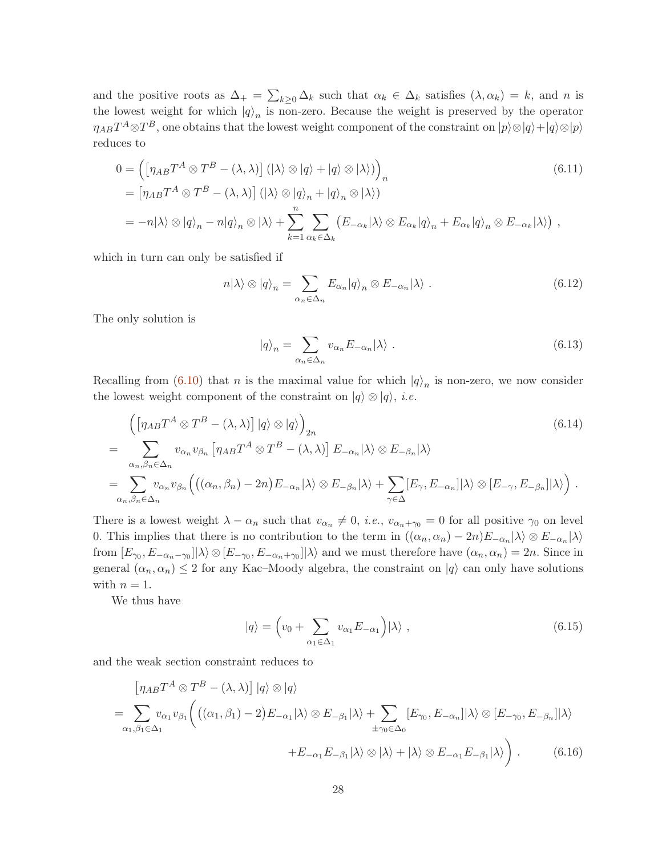and the positive roots as  $\Delta_+ = \sum_{k\geq 0} \Delta_k$  such that  $\alpha_k \in \Delta_k$  satisfies  $(\lambda, \alpha_k) = k$ , and n is the lowest weight for which  $|q\rangle_n$  is non-zero. Because the weight is preserved by the operator  $\eta_{AB}T^A \otimes T^B$ , one obtains that the lowest weight component of the constraint on  $|p\rangle \otimes |q\rangle + |q\rangle \otimes |p\rangle$ reduces to

$$
0 = \left( \left[ \eta_{AB} T^A \otimes T^B - (\lambda, \lambda) \right] (\vert \lambda \rangle \otimes \vert q \rangle + \vert q \rangle \otimes \vert \lambda \rangle) \right)_n
$$
\n
$$
= \left[ \eta_{AB} T^A \otimes T^B - (\lambda, \lambda) \right] (\vert \lambda \rangle \otimes \vert q \rangle_n + \vert q \rangle_n \otimes \vert \lambda \rangle)
$$
\n
$$
= -n \vert \lambda \rangle \otimes \vert q \rangle_n - n \vert q \rangle_n \otimes \vert \lambda \rangle + \sum_{k=1}^n \sum_{\alpha_k \in \Delta_k} (E_{-\alpha_k} \vert \lambda \rangle \otimes E_{\alpha_k} \vert q \rangle_n + E_{\alpha_k} \vert q \rangle_n \otimes E_{-\alpha_k} \vert \lambda \rangle),
$$
\n(6.11)

which in turn can only be satisfied if

$$
n|\lambda\rangle \otimes |q\rangle_n = \sum_{\alpha_n \in \Delta_n} E_{\alpha_n} |q\rangle_n \otimes E_{-\alpha_n} |\lambda\rangle . \qquad (6.12)
$$

The only solution is

$$
|q\rangle_n = \sum_{\alpha_n \in \Delta_n} v_{\alpha_n} E_{-\alpha_n} |\lambda\rangle . \qquad (6.13)
$$

Recalling from [\(6.10\)](#page-26-2) that *n* is the maximal value for which  $|q\rangle_n$  is non-zero, we now consider the lowest weight component of the constraint on  $|q\rangle \otimes |q\rangle$ , *i.e.* 

$$
\begin{split}\n&\left(\left[\eta_{AB}T^{A}\otimes T^{B}-(\lambda,\lambda)\right]|q\rangle\otimes|q\rangle\right)_{2n} \\
&=\sum_{\alpha_{n},\beta_{n}\in\Delta_{n}}v_{\alpha_{n}}v_{\beta_{n}}\left[\eta_{AB}T^{A}\otimes T^{B}-(\lambda,\lambda)\right]E_{-\alpha_{n}}|\lambda\rangle\otimes E_{-\beta_{n}}|\lambda\rangle \\
&=\sum_{\alpha_{n},\beta_{n}\in\Delta_{n}}v_{\alpha_{n}}v_{\beta_{n}}\left(\left((\alpha_{n},\beta_{n})-2n\right)E_{-\alpha_{n}}|\lambda\rangle\otimes E_{-\beta_{n}}|\lambda\rangle+\sum_{\gamma\in\Delta}[E_{\gamma},E_{-\alpha_{n}}]|\lambda\rangle\otimes[E_{-\gamma},E_{-\beta_{n}}]|\lambda\rangle\right).\n\end{split}
$$
\n
$$
(6.14)
$$

There is a lowest weight  $\lambda - \alpha_n$  such that  $v_{\alpha_n} \neq 0$ , *i.e.*,  $v_{\alpha_n+\gamma_0} = 0$  for all positive  $\gamma_0$  on level 0. This implies that there is no contribution to the term in  $((\alpha_n, \alpha_n) - 2n)E_{-\alpha_n}|\lambda\rangle \otimes E_{-\alpha_n}|\lambda\rangle$ from  $[E_{\gamma_0}, E_{-\alpha_n-\gamma_0}]|\lambda\rangle \otimes [E_{-\gamma_0}, E_{-\alpha_n+\gamma_0}]|\lambda\rangle$  and we must therefore have  $(\alpha_n, \alpha_n) = 2n$ . Since in general  $(\alpha_n, \alpha_n) \leq 2$  for any Kac–Moody algebra, the constraint on  $|q\rangle$  can only have solutions with  $n = 1$ .

We thus have

<span id="page-27-0"></span>
$$
|q\rangle = \left(v_0 + \sum_{\alpha_1 \in \Delta_1} v_{\alpha_1} E_{-\alpha_1}\right) |\lambda\rangle , \qquad (6.15)
$$

and the weak section constraint reduces to

$$
\begin{split} \left[\eta_{AB}T^{A}\otimes T^{B}-(\lambda,\lambda)\right]|q\rangle\otimes|q\rangle\\ =\sum_{\alpha_{1},\beta_{1}\in\Delta_{1}}v_{\alpha_{1}}v_{\beta_{1}}\bigg(\big((\alpha_{1},\beta_{1})-2\big)E_{-\alpha_{1}}|\lambda\rangle\otimes E_{-\beta_{1}}|\lambda\rangle+\sum_{\pm\gamma_{0}\in\Delta_{0}}[E_{\gamma_{0}},E_{-\alpha_{n}}]|\lambda\rangle\otimes[E_{-\gamma_{0}},E_{-\beta_{n}}]|\lambda\rangle\\ +E_{-\alpha_{1}}E_{-\beta_{1}}|\lambda\rangle\otimes|\lambda\rangle+|\lambda\rangle\otimes E_{-\alpha_{1}}E_{-\beta_{1}}|\lambda\rangle\bigg)\,. \end{split} \tag{6.16}
$$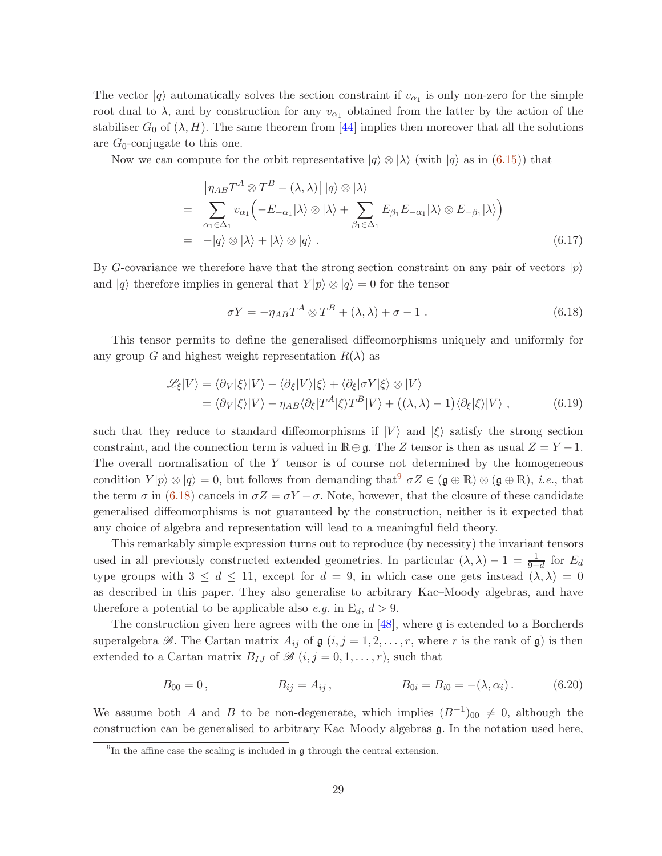The vector  $|q\rangle$  automatically solves the section constraint if  $v_{\alpha_1}$  is only non-zero for the simple root dual to  $\lambda$ , and by construction for any  $v_{\alpha_1}$  obtained from the latter by the action of the stabiliser  $G_0$  of  $(\lambda, H)$ . The same theorem from [\[44\]](#page-36-12) implies then moreover that all the solutions are  $G_0$ -conjugate to this one.

Now we can compute for the orbit representative  $|q\rangle \otimes |\lambda\rangle$  (with  $|q\rangle$  as in [\(6.15\)](#page-27-0)) that

$$
\begin{split}\n&= \left[\eta_{AB}T^{A}\otimes T^{B} - (\lambda,\lambda)\right]|q\rangle \otimes |\lambda\rangle \\
&= \sum_{\alpha_{1}\in\Delta_{1}} v_{\alpha_{1}}\left(-E_{-\alpha_{1}}|\lambda\rangle \otimes |\lambda\rangle + \sum_{\beta_{1}\in\Delta_{1}} E_{\beta_{1}}E_{-\alpha_{1}}|\lambda\rangle \otimes E_{-\beta_{1}}|\lambda\rangle\right) \\
&= -|q\rangle \otimes |\lambda\rangle + |\lambda\rangle \otimes |q\rangle .\n\end{split} \tag{6.17}
$$

By G-covariance we therefore have that the strong section constraint on any pair of vectors  $|p\rangle$ and  $|q\rangle$  therefore implies in general that  $Y|p\rangle \otimes |q\rangle = 0$  for the tensor

<span id="page-28-1"></span>
$$
\sigma Y = -\eta_{AB} T^A \otimes T^B + (\lambda, \lambda) + \sigma - 1 \tag{6.18}
$$

This tensor permits to define the generalised diffeomorphisms uniquely and uniformly for any group G and highest weight representation  $R(\lambda)$  as

$$
\mathcal{L}_{\xi}|V\rangle = \langle \partial_{V}|\xi\rangle|V\rangle - \langle \partial_{\xi}|V\rangle|\xi\rangle + \langle \partial_{\xi}|\sigma Y|\xi\rangle \otimes |V\rangle \n= \langle \partial_{V}|\xi\rangle|V\rangle - \eta_{AB}\langle \partial_{\xi}|T^{A}|\xi\rangle T^{B}|V\rangle + \left((\lambda,\lambda) - 1\right)\langle \partial_{\xi}|\xi\rangle|V\rangle ,
$$
\n(6.19)

such that they reduce to standard diffeomorphisms if  $|V\rangle$  and  $|\xi\rangle$  satisfy the strong section constraint, and the connection term is valued in  $\mathbb{R} \oplus \mathfrak{g}$ . The Z tensor is then as usual  $Z = Y - 1$ . The overall normalisation of the  $Y$  tensor is of course not determined by the homogeneous condition  $Y|p\rangle \otimes |q\rangle = 0$ , but follows from demanding that  $\sigma Z \in (\mathfrak{g} \oplus \mathbb{R}) \otimes (\mathfrak{g} \oplus \mathbb{R})$ , *i.e.*, that the term  $\sigma$  in [\(6.18\)](#page-28-1) cancels in  $\sigma Z = \sigma Y - \sigma$ . Note, however, that the closure of these candidate generalised diffeomorphisms is not guaranteed by the construction, neither is it expected that any choice of algebra and representation will lead to a meaningful field theory.

This remarkably simple expression turns out to reproduce (by necessity) the invariant tensors used in all previously constructed extended geometries. In particular  $(\lambda, \lambda) - 1 = \frac{1}{9-d}$  for  $E_d$ type groups with  $3 \leq d \leq 11$ , except for  $d = 9$ , in which case one gets instead  $(\lambda, \lambda) = 0$ as described in this paper. They also generalise to arbitrary Kac–Moody algebras, and have therefore a potential to be applicable also e.g. in  $E_d$ ,  $d > 9$ .

The construction given here agrees with the one in  $[48]$ , where g is extended to a Borcherds superalgebra  $\mathscr{B}$ . The Cartan matrix  $A_{ij}$  of  $\mathfrak{g}$   $(i, j = 1, 2, \ldots, r$ , where r is the rank of  $\mathfrak{g}$ ) is then extended to a Cartan matrix  $B_{IJ}$  of  $\mathscr{B}$   $(i, j = 0, 1, \ldots, r)$ , such that

$$
B_{00} = 0, \t B_{ij} = A_{ij}, \t B_{0i} = B_{i0} = -(\lambda, \alpha_i). \t (6.20)
$$

We assume both A and B to be non-degenerate, which implies  $(B^{-1})_{00} \neq 0$ , although the construction can be generalised to arbitrary Kac–Moody algebras g. In the notation used here,

<span id="page-28-0"></span><sup>&</sup>lt;sup>9</sup>In the affine case the scaling is included in  $\mathfrak g$  through the central extension.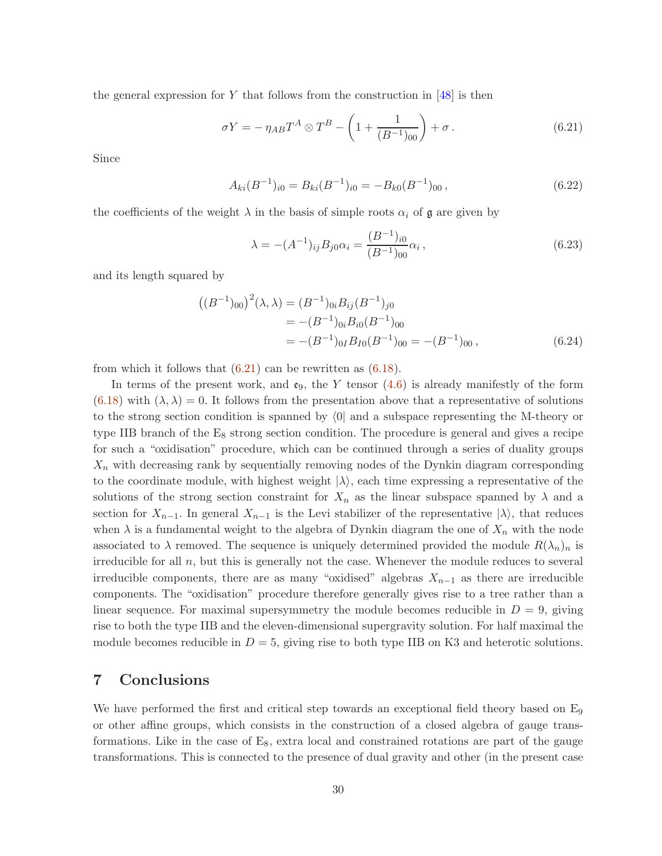the general expression for Y that follows from the construction in  $[48]$  is then

$$
\sigma Y = -\eta_{AB} T^A \otimes T^B - \left(1 + \frac{1}{(B^{-1})_{00}}\right) + \sigma.
$$
 (6.21)

Since

$$
A_{ki}(B^{-1})_{i0} = B_{ki}(B^{-1})_{i0} = -B_{k0}(B^{-1})_{00},
$$
\n(6.22)

the coefficients of the weight  $\lambda$  in the basis of simple roots  $\alpha_i$  of  $\mathfrak g$  are given by

<span id="page-29-1"></span>
$$
\lambda = -(A^{-1})_{ij} B_{j0} \alpha_i = \frac{(B^{-1})_{i0}}{(B^{-1})_{00}} \alpha_i , \qquad (6.23)
$$

and its length squared by

$$
((B^{-1})_{00})^{2}(\lambda, \lambda) = (B^{-1})_{0i} B_{ij} (B^{-1})_{j0}
$$
  
= -(B^{-1})\_{0i} B\_{i0} (B^{-1})\_{00}  
= -(B^{-1})\_{0I} B\_{I0} (B^{-1})\_{00} = -(B^{-1})\_{00} , (6.24)

from which it follows that  $(6.21)$  can be rewritten as  $(6.18)$ .

In terms of the present work, and  $\mathfrak{e}_9$ , the Y tensor [\(4.6\)](#page-11-5) is already manifestly of the form  $(6.18)$  with  $(\lambda, \lambda) = 0$ . It follows from the presentation above that a representative of solutions to the strong section condition is spanned by  $\langle 0|$  and a subspace representing the M-theory or type IIB branch of the  $E_8$  strong section condition. The procedure is general and gives a recipe for such a "oxidisation" procedure, which can be continued through a series of duality groups  $X_n$  with decreasing rank by sequentially removing nodes of the Dynkin diagram corresponding to the coordinate module, with highest weight  $|\lambda\rangle$ , each time expressing a representative of the solutions of the strong section constraint for  $X_n$  as the linear subspace spanned by  $\lambda$  and a section for  $X_{n-1}$ . In general  $X_{n-1}$  is the Levi stabilizer of the representative  $|\lambda\rangle$ , that reduces when  $\lambda$  is a fundamental weight to the algebra of Dynkin diagram the one of  $X_n$  with the node associated to  $\lambda$  removed. The sequence is uniquely determined provided the module  $R(\lambda_n)_n$  is irreducible for all  $n$ , but this is generally not the case. Whenever the module reduces to several irreducible components, there are as many "oxidised" algebras  $X_{n-1}$  as there are irreducible components. The "oxidisation" procedure therefore generally gives rise to a tree rather than a linear sequence. For maximal supersymmetry the module becomes reducible in  $D = 9$ , giving rise to both the type IIB and the eleven-dimensional supergravity solution. For half maximal the module becomes reducible in  $D = 5$ , giving rise to both type IIB on K3 and heterotic solutions.

### <span id="page-29-0"></span>7 Conclusions

We have performed the first and critical step towards an exceptional field theory based on E<sub>9</sub> or other affine groups, which consists in the construction of a closed algebra of gauge transformations. Like in the case of  $E_8$ , extra local and constrained rotations are part of the gauge transformations. This is connected to the presence of dual gravity and other (in the present case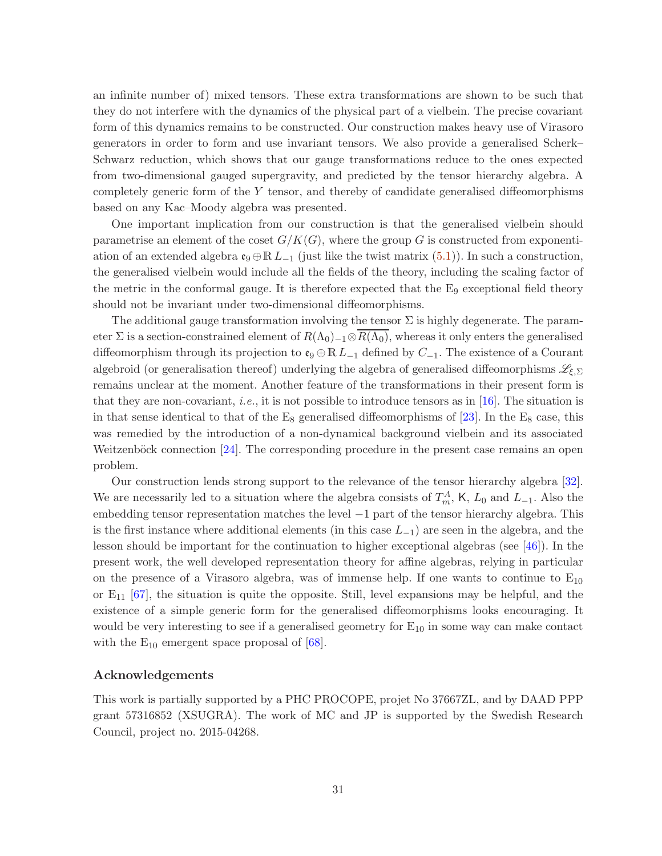an infinite number of) mixed tensors. These extra transformations are shown to be such that they do not interfere with the dynamics of the physical part of a vielbein. The precise covariant form of this dynamics remains to be constructed. Our construction makes heavy use of Virasoro generators in order to form and use invariant tensors. We also provide a generalised Scherk– Schwarz reduction, which shows that our gauge transformations reduce to the ones expected from two-dimensional gauged supergravity, and predicted by the tensor hierarchy algebra. A completely generic form of the Y tensor, and thereby of candidate generalised diffeomorphisms based on any Kac–Moody algebra was presented.

One important implication from our construction is that the generalised vielbein should parametrise an element of the coset  $G/K(G)$ , where the group G is constructed from exponentiation of an extended algebra  $\mathfrak{e}_{9} \oplus \mathbb{R} L_{-1}$  (just like the twist matrix [\(5.1\)](#page-18-1)). In such a construction, the generalised vielbein would include all the fields of the theory, including the scaling factor of the metric in the conformal gauge. It is therefore expected that the  $E_9$  exceptional field theory should not be invariant under two-dimensional diffeomorphisms.

The additional gauge transformation involving the tensor  $\Sigma$  is highly degenerate. The parameter  $\Sigma$  is a section-constrained element of  $R(\Lambda_0)_{-1}\otimes R(\Lambda_0)$ , whereas it only enters the generalised diffeomorphism through its projection to  $\mathfrak{e}_9 \oplus \mathbb{R} L_{-1}$  defined by  $C_{-1}$ . The existence of a Courant algebroid (or generalisation thereof) underlying the algebra of generalised diffeomorphisms  $\mathscr{L}_{\xi,\Sigma}$ remains unclear at the moment. Another feature of the transformations in their present form is that they are non-covariant, *i.e.*, it is not possible to introduce tensors as in [\[16\]](#page-35-6). The situation is in that sense identical to that of the  $E_8$  generalised diffeomorphisms of [\[23\]](#page-35-4). In the  $E_8$  case, this was remedied by the introduction of a non-dynamical background vielbein and its associated Weitzenböck connection  $[24]$ . The corresponding procedure in the present case remains an open problem.

Our construction lends strong support to the relevance of the tensor hierarchy algebra [\[32\]](#page-36-0). We are necessarily led to a situation where the algebra consists of  $T_m^A$ , K,  $L_0$  and  $L_{-1}$ . Also the embedding tensor representation matches the level −1 part of the tensor hierarchy algebra. This is the first instance where additional elements (in this case  $L_{-1}$ ) are seen in the algebra, and the lesson should be important for the continuation to higher exceptional algebras (see [\[46\]](#page-36-14)). In the present work, the well developed representation theory for affine algebras, relying in particular on the presence of a Virasoro algebra, was of immense help. If one wants to continue to  $E_{10}$ or  $E_{11}$  [\[67\]](#page-38-4), the situation is quite the opposite. Still, level expansions may be helpful, and the existence of a simple generic form for the generalised diffeomorphisms looks encouraging. It would be very interesting to see if a generalised geometry for  $E_{10}$  in some way can make contact with the  $E_{10}$  emergent space proposal of [\[68\]](#page-38-5).

#### Acknowledgements

This work is partially supported by a PHC PROCOPE, projet No 37667ZL, and by DAAD PPP grant 57316852 (XSUGRA). The work of MC and JP is supported by the Swedish Research Council, project no. 2015-04268.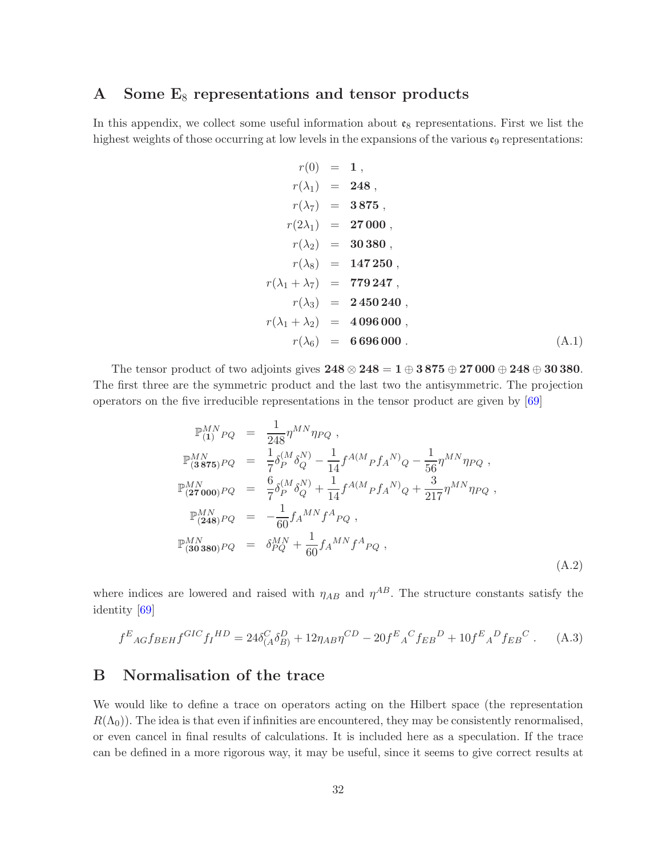# <span id="page-31-0"></span>A Some  $E_8$  representations and tensor products

In this appendix, we collect some useful information about  $\mathfrak{e}_8$  representations. First we list the highest weights of those occurring at low levels in the expansions of the various  $\mathfrak{e}_9$  representations:

$$
r(0) = 1,
$$
  
\n
$$
r(\lambda_1) = 248,
$$
  
\n
$$
r(\lambda_7) = 3875,
$$
  
\n
$$
r(2\lambda_1) = 27000,
$$
  
\n
$$
r(\lambda_2) = 30380,
$$
  
\n
$$
r(\lambda_8) = 147250,
$$
  
\n
$$
r(\lambda_1 + \lambda_7) = 779247,
$$
  
\n
$$
r(\lambda_3) = 2450240,
$$
  
\n
$$
r(\lambda_1 + \lambda_2) = 4096000,
$$
  
\n
$$
r(\lambda_6) = 6696000.
$$
 (A.1)

The tensor product of two adjoints gives  $248 \otimes 248 = 1 \oplus 3875 \oplus 27000 \oplus 248 \oplus 30380$ . The first three are the symmetric product and the last two the antisymmetric. The projection operators on the five irreducible representations in the tensor product are given by  $[69]$ 

<span id="page-31-2"></span>
$$
\mathbb{P}_{(1)}^{MN}{}_{PQ} = \frac{1}{248} \eta^{MN} \eta_{PQ} ,
$$
\n
$$
\mathbb{P}_{(3\,875)}^{MN}{}_{PQ} = \frac{1}{7} \delta_P^{(M} \delta_Q^{N)} - \frac{1}{14} f^{A(M}{}_{P} f_{A}{}^{N)}{}_{Q} - \frac{1}{56} \eta^{MN} \eta_{PQ} ,
$$
\n
$$
\mathbb{P}_{(27\,000)}^{MN}{}_{PQ} = \frac{6}{7} \delta_P^{(M} \delta_Q^{N)} + \frac{1}{14} f^{A(M}{}_{P} f_{A}{}^{N)}{}_{Q} + \frac{3}{217} \eta^{MN} \eta_{PQ} ,
$$
\n
$$
\mathbb{P}_{(248)}^{MN}{}_{PQ} = -\frac{1}{60} f_{A}{}^{MN} f^{A}{}_{PQ} ,
$$
\n
$$
\mathbb{P}_{(30\,380)}^{MN}{}_{PQ} = \delta_{PQ}^{MN} + \frac{1}{60} f_{A}{}^{MN} f^{A}{}_{PQ} ,
$$
\n(A.2)

where indices are lowered and raised with  $\eta_{AB}$  and  $\eta^{AB}$ . The structure constants satisfy the identity [\[69\]](#page-38-6)

$$
f^{E}{}_{AG}f_{BEH}f^{GIC}f_{I}{}^{HD} = 24\delta^{C}_{(A}\delta^{D}_{B)} + 12\eta_{AB}\eta^{CD} - 20f^{E}{}_{A}{}^{C}f_{EB}{}^{D} + 10f^{E}{}_{A}{}^{D}f_{EB}{}^{C}. \tag{A.3}
$$

## <span id="page-31-1"></span>B Normalisation of the trace

We would like to define a trace on operators acting on the Hilbert space (the representation  $R(\Lambda_0)$ ). The idea is that even if infinities are encountered, they may be consistently renormalised, or even cancel in final results of calculations. It is included here as a speculation. If the trace can be defined in a more rigorous way, it may be useful, since it seems to give correct results at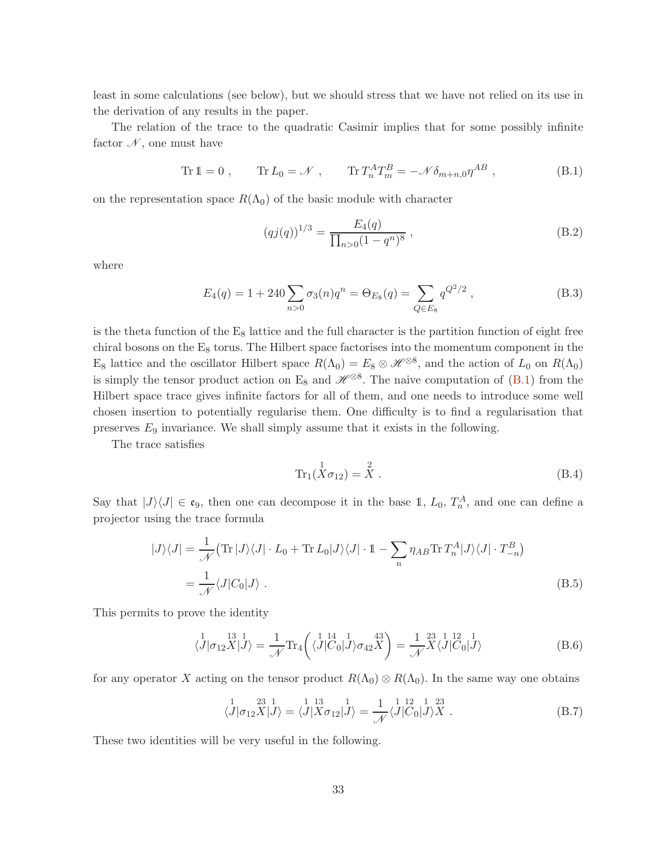least in some calculations (see below), but we should stress that we have not relied on its use in the derivation of any results in the paper.

The relation of the trace to the quadratic Casimir implies that for some possibly infinite factor  $\mathcal N$ , one must have

$$
\text{Tr}\,1 = 0\;, \qquad \text{Tr}\,L_0 = \mathcal{N}\;, \qquad \text{Tr}\,T_n^A T_m^B = -\mathcal{N}\delta_{m+n,0}\eta^{AB}\;, \tag{B.1}
$$

on the representation space  $R(\Lambda_0)$  of the basic module with character

<span id="page-32-0"></span>
$$
(qj(q))^{1/3} = \frac{E_4(q)}{\prod_{n>0} (1-q^n)^8},
$$
\n(B.2)

where

$$
E_4(q) = 1 + 240 \sum_{n>0} \sigma_3(n) q^n = \Theta_{E_8}(q) = \sum_{Q \in E_8} q^{Q^2/2}, \qquad (B.3)
$$

is the theta function of the  $E_8$  lattice and the full character is the partition function of eight free chiral bosons on the  $E_8$  torus. The Hilbert space factorises into the momentum component in the  $E_8$  lattice and the oscillator Hilbert space  $R(\Lambda_0) = E_8 \otimes \mathcal{H}^{\otimes 8}$ , and the action of  $L_0$  on  $R(\Lambda_0)$ is simply the tensor product action on E<sub>8</sub> and  $\mathscr{H}^{\otimes 8}$ . The naive computation of [\(B.1\)](#page-32-0) from the Hilbert space trace gives infinite factors for all of them, and one needs to introduce some well chosen insertion to potentially regularise them. One difficulty is to find a regularisation that preserves  $E_9$  invariance. We shall simply assume that it exists in the following.

The trace satisfies

<span id="page-32-1"></span>
$$
\text{Tr}_1(\stackrel{1}{X}\sigma_{12}) = \stackrel{2}{X} \tag{B.4}
$$

Say that  $|J\rangle\langle J| \in \mathfrak{e}_9$ , then one can decompose it in the base 1,  $L_0$ ,  $T_n^A$ , and one can define a projector using the trace formula

$$
|J\rangle\langle J| = \frac{1}{\mathcal{N}} (\text{Tr}|J\rangle\langle J| \cdot L_0 + \text{Tr} L_0 |J\rangle\langle J| \cdot 1 - \sum_n \eta_{AB} \text{Tr} T_n^A |J\rangle\langle J| \cdot T_{-n}^B)
$$
  
= 
$$
\frac{1}{\mathcal{N}} \langle J|C_0|J\rangle .
$$
 (B.5)

This permits to prove the identity

$$
\langle J|\sigma_{12}X|J\rangle = \frac{1}{\mathcal{N}}\text{Tr}_4\left(\langle J|{}^{14}_{C_0}|J\rangle\sigma_{42}X\right) = \frac{1}{\mathcal{N}}{}^{23}_{\Lambda}\langle J|{}^{12}_{C_0}|J\rangle\tag{B.6}
$$

for any operator X acting on the tensor product  $R(\Lambda_0) \otimes R(\Lambda_0)$ . In the same way one obtains

$$
\langle J|\sigma_{12}X|J\rangle = \langle J|X\sigma_{12}|J\rangle = \frac{1}{\mathcal{N}}\langle J|C_0|J\rangle X . \tag{B.7}
$$

These two identities will be very useful in the following.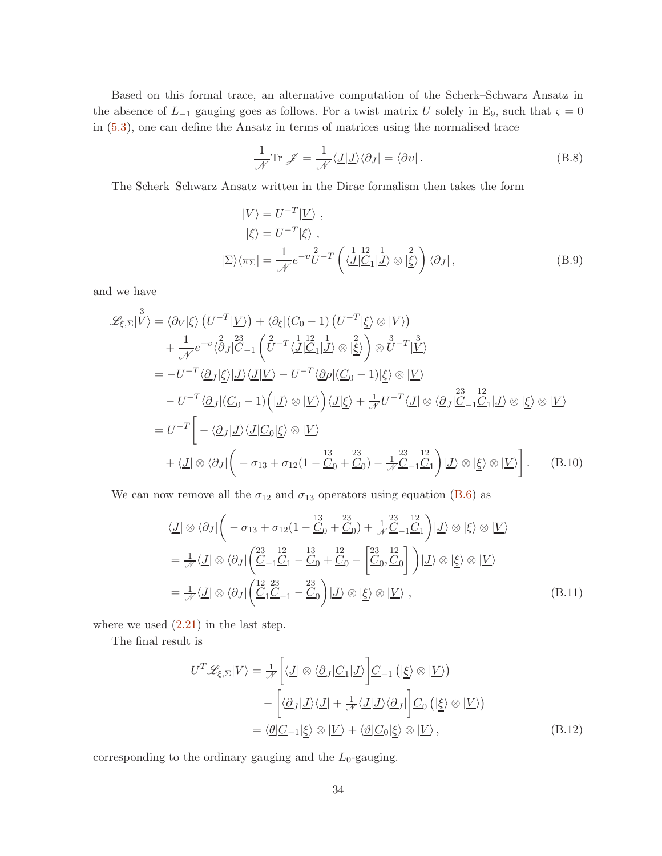Based on this formal trace, an alternative computation of the Scherk–Schwarz Ansatz in the absence of  $L_{-1}$  gauging goes as follows. For a twist matrix U solely in E<sub>9</sub>, such that  $\varsigma = 0$ in [\(5.3\)](#page-19-4), one can define the Ansatz in terms of matrices using the normalised trace

$$
\frac{1}{\mathcal{N}} \text{Tr } \mathcal{J} = \frac{1}{\mathcal{N}} \langle \underline{J} | \underline{J} \rangle \langle \partial J | = \langle \partial \nu |.
$$
 (B.8)

The Scherk–Schwarz Ansatz written in the Dirac formalism then takes the form

$$
|V\rangle = U^{-T} | \underline{V} \rangle ,
$$
  
\n
$$
|\xi\rangle = U^{-T} |\underline{\xi} \rangle ,
$$
  
\n
$$
|\Sigma\rangle \langle \pi_{\Sigma}| = \frac{1}{\mathcal{N}} e^{-\nu} \overline{U}^{-T} \left( \langle \underline{J} | \underline{C}_1 | \underline{J} \rangle \otimes |\underline{\xi} \rangle \right) \langle \partial_J |,
$$
\n(B.9)

and we have

$$
\mathcal{L}_{\xi,\Sigma}|\mathring{V}\rangle = \langle \partial_V|\xi\rangle \left(U^{-T}|\underline{V}\rangle\right) + \langle \partial_{\xi}|(C_0 - 1) \left(U^{-T}|\underline{\xi}\rangle \otimes |V\rangle\right) \n+ \frac{1}{\mathcal{N}}e^{-v}\langle \partial_J|\mathring{C}_{-1}\left(\mathring{U}^{-T}\langle \underline{J}|\mathring{C}_1|\mathring{J}\rangle \otimes |\mathring{\underline{\xi}}\rangle\right) \otimes \mathring{U}^{-T}|\mathring{V}\rangle \n= -U^{-T}\langle \underline{\partial}_J|\underline{\xi}\rangle|\underline{J}\rangle\langle \underline{J}|\underline{V}\rangle - U^{-T}\langle \underline{\partial}\rho|(\underline{C}_0 - 1)|\underline{\xi}\rangle \otimes |\underline{V}\rangle \n- U^{-T}\langle \underline{\partial}_J|(\underline{C}_0 - 1)\left(|\underline{J}\rangle \otimes |\underline{V}\rangle\right)\langle \underline{J}|\underline{\xi}\rangle + \frac{1}{\mathcal{N}}U^{-T}\langle \underline{J}|\otimes \langle \underline{\partial}_J|\mathring{C}_{-1}\mathring{C}_1|\underline{J}\rangle \otimes |\underline{\xi}\rangle \otimes |\underline{V}\rangle \n= U^{-T}\bigg[ -\langle \underline{\partial}_J|\underline{J}\rangle\langle \underline{J}|\underline{C}_0|\underline{\xi}\rangle \otimes |\underline{V}\rangle \n+ \langle \underline{J}|\otimes \langle \partial_J|\bigg(-\sigma_{13} + \sigma_{12}(1 - \frac{13}{\mathcal{C}_0} + \frac{23}{\mathcal{C}_0}) - \frac{1}{\mathcal{N}}\mathring{C}_{-1}\mathring{C}_1|\bigg)|\underline{J}\rangle \otimes |\underline{\xi}\rangle \otimes |\underline{V}\rangle \bigg].
$$
\n(B.10)

We can now remove all the  $\sigma_{12}$  and  $\sigma_{13}$  operators using equation [\(B.6\)](#page-32-1) as

$$
\langle \underline{J} | \otimes \langle \partial_J | \left( -\sigma_{13} + \sigma_{12} (1 - \frac{13}{C_0} + \frac{23}{C_0}) + \frac{1}{\mathcal{N}} \frac{23}{C_{-1}} \frac{12}{C_1} \right) | \underline{J} \rangle \otimes | \underline{\xi} \rangle \otimes | \underline{V} \rangle
$$
  
\n
$$
= \frac{1}{\mathcal{N}} \langle \underline{J} | \otimes \langle \partial_J | \left( \frac{23}{C_{-1}} \frac{12}{C_1} - \frac{13}{C_0} + \frac{12}{C_0} - \left[ \frac{23}{C_0} \frac{12}{C_0} \right] \right) | \underline{J} \rangle \otimes | \underline{\xi} \rangle \otimes | \underline{V} \rangle
$$
  
\n
$$
= \frac{1}{\mathcal{N}} \langle \underline{J} | \otimes \langle \partial_J | \left( \frac{12}{C_1} \frac{23}{C_{-1}} - \frac{23}{C_0} \right) | \underline{J} \rangle \otimes | \underline{\xi} \rangle \otimes | \underline{V} \rangle , \qquad (B.11)
$$

where we used  $(2.21)$  in the last step.

The final result is

$$
U^T \mathcal{L}_{\xi, \Sigma} |V\rangle = \frac{1}{\mathcal{N}} \left[ \langle \underline{J} | \otimes \langle \underline{\partial}_J | \underline{C}_1 | \underline{J} \rangle \right] \underline{C}_{-1} \left( | \underline{\xi} \rangle \otimes | \underline{V} \rangle \right)
$$
  
 
$$
- \left[ \langle \underline{\partial}_J | \underline{J} \rangle \langle \underline{J} | + \frac{1}{\mathcal{N}} \langle \underline{J} | \underline{J} \rangle \langle \underline{\partial}_J | \right] \underline{C}_0 \left( | \underline{\xi} \rangle \otimes | \underline{V} \rangle \right)
$$
  
 
$$
= \langle \underline{\theta} | \underline{C}_{-1} | \underline{\xi} \rangle \otimes | \underline{V} \rangle + \langle \underline{\vartheta} | \underline{C}_0 | \underline{\xi} \rangle \otimes | \underline{V} \rangle , \qquad (B.12)
$$

corresponding to the ordinary gauging and the  $L_0$ -gauging.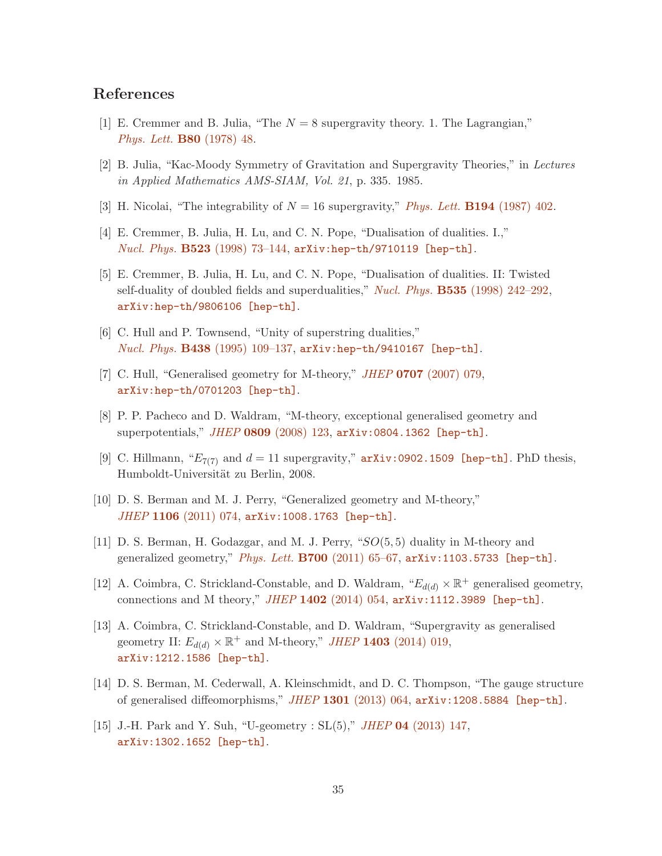# <span id="page-34-0"></span>References

- <span id="page-34-4"></span>[1] E. Cremmer and B. Julia, "The  $N = 8$  supergravity theory. 1. The Lagrangian," [Phys. Lett.](http://dx.doi.org/10.1016/0370-2693(78)90303-9) B80 (1978) 48.
- <span id="page-34-5"></span>[2] B. Julia, "Kac-Moody Symmetry of Gravitation and Supergravity Theories," in Lectures in Applied Mathematics AMS-SIAM, Vol. 21, p. 335. 1985.
- [3] H. Nicolai, "The integrability of  $N = 16$  supergravity," *[Phys. Lett.](http://dx.doi.org/10.1016/0370-2693(87)91072-0)* **B194** (1987) 402.
- <span id="page-34-1"></span>[4] E. Cremmer, B. Julia, H. Lu, and C. N. Pope, "Dualisation of dualities. I.," Nucl. Phys. B523 [\(1998\) 73–144,](http://dx.doi.org/10.1016/S0550-3213(98)00136-9) [arXiv:hep-th/9710119 \[hep-th\]](http://arxiv.org/abs/hep-th/9710119).
- [5] E. Cremmer, B. Julia, H. Lu, and C. N. Pope, "Dualisation of dualities. II: Twisted self-duality of doubled fields and superdualities," Nucl. Phys. **B535** [\(1998\) 242–292,](http://dx.doi.org/10.1016/S0550-3213(98)00552-5) [arXiv:hep-th/9806106 \[hep-th\]](http://arxiv.org/abs/hep-th/9806106).
- <span id="page-34-3"></span><span id="page-34-2"></span>[6] C. Hull and P. Townsend, "Unity of superstring dualities," Nucl. Phys. B438 [\(1995\) 109–137,](http://dx.doi.org/10.1016/0550-3213(94)00559-W) [arXiv:hep-th/9410167 \[hep-th\]](http://arxiv.org/abs/hep-th/9410167).
- [7] C. Hull, "Generalised geometry for M-theory," *JHEP* 0707 [\(2007\) 079,](http://dx.doi.org/10.1088/1126-6708/2007/07/079) [arXiv:hep-th/0701203 \[hep-th\]](http://arxiv.org/abs/hep-th/0701203).
- [8] P. P. Pacheco and D. Waldram, "M-theory, exceptional generalised geometry and superpotentials," JHEP 0809 [\(2008\) 123,](http://dx.doi.org/10.1088/1126-6708/2008/09/123) [arXiv:0804.1362 \[hep-th\]](http://arxiv.org/abs/0804.1362).
- [9] C. Hillmann, " $E_{7(7)}$  and  $d = 11$  supergravity," [arXiv:0902.1509 \[hep-th\]](http://arxiv.org/abs/0902.1509). PhD thesis, Humboldt-Universität zu Berlin, 2008.
- [10] D. S. Berman and M. J. Perry, "Generalized geometry and M-theory," JHEP 1106 [\(2011\) 074,](http://dx.doi.org/10.1007/JHEP06(2011)074) [arXiv:1008.1763 \[hep-th\]](http://arxiv.org/abs/1008.1763).
- [11] D. S. Berman, H. Godazgar, and M. J. Perry, "SO(5, 5) duality in M-theory and generalized geometry," Phys. Lett. B700 (2011) 65-67, [arXiv:1103.5733 \[hep-th\]](http://arxiv.org/abs/1103.5733).
- <span id="page-34-7"></span>[12] A. Coimbra, C. Strickland-Constable, and D. Waldram,  $E_{d(d)} \times \mathbb{R}^+$  generalised geometry, connections and M theory," JHEP 1402 [\(2014\) 054,](http://dx.doi.org/10.1007/JHEP02(2014)054) [arXiv:1112.3989 \[hep-th\]](http://arxiv.org/abs/1112.3989).
- [13] A. Coimbra, C. Strickland-Constable, and D. Waldram, "Supergravity as generalised geometry II:  $E_{d(d)} \times \mathbb{R}^+$  and M-theory," *JHEP* **1403** [\(2014\) 019,](http://dx.doi.org/10.1007/JHEP03(2014)019) [arXiv:1212.1586 \[hep-th\]](http://arxiv.org/abs/1212.1586).
- <span id="page-34-6"></span>[14] D. S. Berman, M. Cederwall, A. Kleinschmidt, and D. C. Thompson, "The gauge structure of generalised diffeomorphisms,"  $JHEP$  1301 [\(2013\) 064,](http://dx.doi.org/10.1007/JHEP01(2013)064)  $arXiv:1208.5884$  [hep-th].
- [15] J.-H. Park and Y. Suh, "U-geometry : SL(5)," JHEP 04 [\(2013\) 147,](http://dx.doi.org/10.1007/JHEP04(2013)147) [arXiv:1302.1652 \[hep-th\]](http://arxiv.org/abs/1302.1652).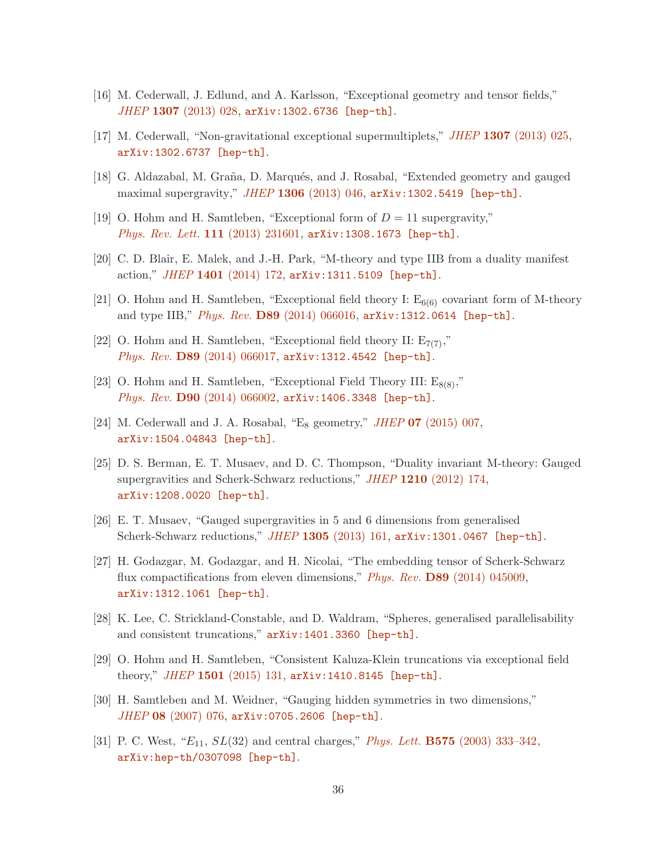- <span id="page-35-6"></span>[16] M. Cederwall, J. Edlund, and A. Karlsson, "Exceptional geometry and tensor fields," JHEP 1307 [\(2013\) 028,](http://dx.doi.org/10.1007/JHEP07(2013)028) [arXiv:1302.6736 \[hep-th\]](http://arxiv.org/abs/1302.6736).
- [17] M. Cederwall, "Non-gravitational exceptional supermultiplets," JHEP 1307 [\(2013\) 025,](http://dx.doi.org/10.1007/JHEP07(2013)025) [arXiv:1302.6737 \[hep-th\]](http://arxiv.org/abs/1302.6737).
- [18] G. Aldazabal, M. Graña, D. Marqués, and J. Rosabal, "Extended geometry and gauged maximal supergravity,"  $JHEP$  1306 [\(2013\) 046,](http://dx.doi.org/10.1007/JHEP06(2013)046)  $arXiv:1302.5419$  [hep-th].
- [19] O. Hohm and H. Samtleben, "Exceptional form of  $D = 11$  supergravity," [Phys. Rev. Lett.](http://dx.doi.org/10.1103/PhysRevLett.111.231601) 111 (2013) 231601, arXiv: 1308.1673 [hep-th].
- [20] C. D. Blair, E. Malek, and J.-H. Park, "M-theory and type IIB from a duality manifest action," JHEP 1401 [\(2014\) 172,](http://dx.doi.org/10.1007/JHEP01(2014)172) [arXiv:1311.5109 \[hep-th\]](http://arxiv.org/abs/1311.5109).
- [21] O. Hohm and H. Samtleben, "Exceptional field theory I:  $E_{6(6)}$  covariant form of M-theory and type IIB," Phys. Rev. D89 [\(2014\) 066016,](http://dx.doi.org/10.1103/PhysRevD.89.066016) [arXiv:1312.0614 \[hep-th\]](http://arxiv.org/abs/1312.0614).
- <span id="page-35-4"></span>[22] O. Hohm and H. Samtleben, "Exceptional field theory II:  $E_{7(7)}$ ," Phys. Rev. D89 [\(2014\) 066017,](http://dx.doi.org/10.1103/PhysRevD.89.066017) [arXiv:1312.4542 \[hep-th\]](http://arxiv.org/abs/1312.4542).
- <span id="page-35-0"></span>[23] O. Hohm and H. Samtleben, "Exceptional Field Theory III:  $E_{8(8)}$ ," Phys. Rev. D90 [\(2014\) 066002,](http://dx.doi.org/10.1103/PhysRevD.90.066002) [arXiv:1406.3348 \[hep-th\]](http://arxiv.org/abs/1406.3348).
- <span id="page-35-1"></span>[24] M. Cederwall and J. A. Rosabal, "E<sub>8</sub> geometry," *JHEP* 07 [\(2015\) 007,](http://dx.doi.org/10.1007/JHEP07(2015)007) [arXiv:1504.04843 \[hep-th\]](http://arxiv.org/abs/1504.04843).
- [25] D. S. Berman, E. T. Musaev, and D. C. Thompson, "Duality invariant M-theory: Gauged supergravities and Scherk-Schwarz reductions," JHEP 1210 [\(2012\) 174,](http://dx.doi.org/10.1007/JHEP10(2012)174) [arXiv:1208.0020 \[hep-th\]](http://arxiv.org/abs/1208.0020).
- [26] E. T. Musaev, "Gauged supergravities in 5 and 6 dimensions from generalised Scherk-Schwarz reductions," JHEP 1305 [\(2013\) 161,](http://dx.doi.org/10.1007/JHEP05(2013)161) [arXiv:1301.0467 \[hep-th\]](http://arxiv.org/abs/1301.0467).
- [27] H. Godazgar, M. Godazgar, and H. Nicolai, "The embedding tensor of Scherk-Schwarz flux compactifications from eleven dimensions," Phys. Rev. D89 [\(2014\) 045009,](http://dx.doi.org/10.1103/PhysRevD.89.045009) [arXiv:1312.1061 \[hep-th\]](http://arxiv.org/abs/1312.1061).
- <span id="page-35-2"></span>[28] K. Lee, C. Strickland-Constable, and D. Waldram, "Spheres, generalised parallelisability and consistent truncations," [arXiv:1401.3360 \[hep-th\]](http://arxiv.org/abs/1401.3360).
- <span id="page-35-3"></span>[29] O. Hohm and H. Samtleben, "Consistent Kaluza-Klein truncations via exceptional field theory," JHEP 1501 [\(2015\) 131,](http://dx.doi.org/10.1007/JHEP01(2015)131)  $arXiv:1410.8145$  [hep-th].
- <span id="page-35-5"></span>[30] H. Samtleben and M. Weidner, "Gauging hidden symmetries in two dimensions," JHEP 08 [\(2007\) 076,](http://dx.doi.org/10.1088/1126-6708/2007/08/076) [arXiv:0705.2606 \[hep-th\]](http://arxiv.org/abs/0705.2606).
- [31] P. C. West, " $E_{11}$ ,  $SL(32)$  and central charges," *Phys. Lett.* **B575** (2003) 333-342, [arXiv:hep-th/0307098 \[hep-th\]](http://arxiv.org/abs/hep-th/0307098).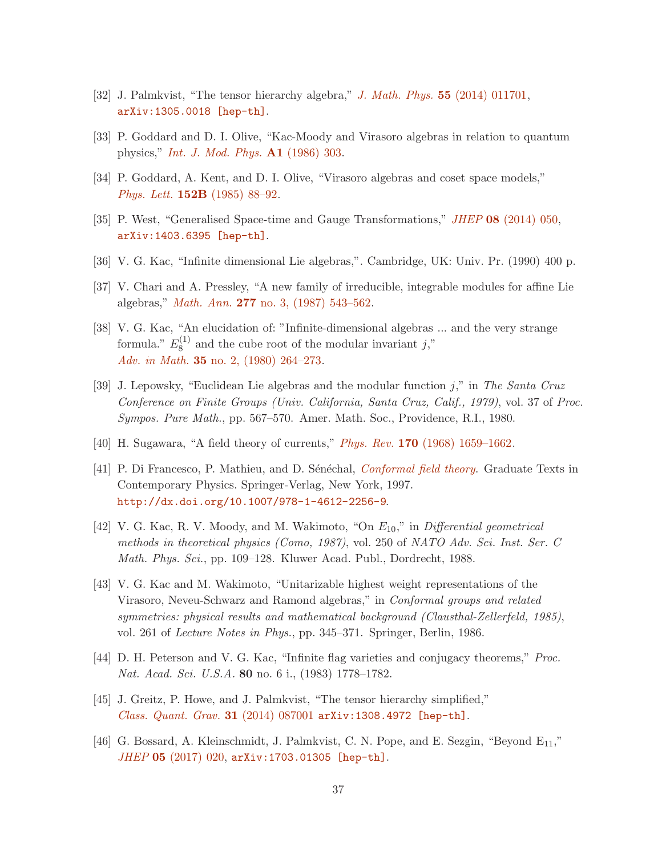- <span id="page-36-1"></span><span id="page-36-0"></span>[32] J. Palmkvist, "The tensor hierarchy algebra," [J. Math. Phys.](http://dx.doi.org/10.1063/1.4858335) 55 (2014) 011701, [arXiv:1305.0018 \[hep-th\]](http://arxiv.org/abs/1305.0018).
- <span id="page-36-2"></span>[33] P. Goddard and D. I. Olive, "Kac-Moody and Virasoro algebras in relation to quantum physics," [Int. J. Mod. Phys.](http://dx.doi.org/10.1142/S0217751X86000149) A1 (1986) 303.
- <span id="page-36-3"></span>[34] P. Goddard, A. Kent, and D. I. Olive, "Virasoro algebras and coset space models," Phys. Lett. 152B [\(1985\) 88–92.](http://dx.doi.org/10.1016/0370-2693(85)91145-1)
- <span id="page-36-4"></span>[35] P. West, "Generalised Space-time and Gauge Transformations," JHEP 08 [\(2014\) 050,](http://dx.doi.org/10.1007/JHEP08(2014)050) [arXiv:1403.6395 \[hep-th\]](http://arxiv.org/abs/1403.6395).
- <span id="page-36-5"></span>[36] V. G. Kac, "Infinite dimensional Lie algebras,". Cambridge, UK: Univ. Pr. (1990) 400 p.
- <span id="page-36-6"></span>[37] V. Chari and A. Pressley, "A new family of irreducible, integrable modules for affine Lie algebras," Math. Ann. 277 [no. 3, \(1987\) 543–562.](http://dx.doi.org/10.1007/BF01458331)
- [38] V. G. Kac, "An elucidation of: "Infinite-dimensional algebras ... and the very strange formula."  $E_8^{(1)}$  $8^{(1)}$  and the cube root of the modular invariant j," Adv. in Math. 35 [no. 2, \(1980\) 264–273.](http://dx.doi.org/10.1016/0001-8708(80)90052-3)
- <span id="page-36-7"></span>[39] J. Lepowsky, "Euclidean Lie algebras and the modular function j," in The Santa Cruz Conference on Finite Groups (Univ. California, Santa Cruz, Calif., 1979), vol. 37 of Proc. Sympos. Pure Math., pp. 567–570. Amer. Math. Soc., Providence, R.I., 1980.
- <span id="page-36-9"></span><span id="page-36-8"></span>[40] H. Sugawara, "A field theory of currents," Phys. Rev. 170 [\(1968\) 1659–1662.](http://dx.doi.org/10.1103/PhysRev.170.1659)
- [41] P. Di Francesco, P. Mathieu, and D. Sénéchal, *[Conformal field theory](http://dx.doi.org/10.1007/978-1-4612-2256-9)*. Graduate Texts in Contemporary Physics. Springer-Verlag, New York, 1997. <http://dx.doi.org/10.1007/978-1-4612-2256-9>.
- <span id="page-36-10"></span>[42] V. G. Kac, R. V. Moody, and M. Wakimoto, "On  $E_{10}$ ," in Differential geometrical methods in theoretical physics (Como, 1987), vol. 250 of NATO Adv. Sci. Inst. Ser. C Math. Phys. Sci., pp. 109–128. Kluwer Acad. Publ., Dordrecht, 1988.
- <span id="page-36-11"></span>[43] V. G. Kac and M. Wakimoto, "Unitarizable highest weight representations of the Virasoro, Neveu-Schwarz and Ramond algebras," in Conformal groups and related symmetries: physical results and mathematical background (Clausthal-Zellerfeld, 1985), vol. 261 of Lecture Notes in Phys., pp. 345–371. Springer, Berlin, 1986.
- <span id="page-36-13"></span><span id="page-36-12"></span>[44] D. H. Peterson and V. G. Kac, "Infinite flag varieties and conjugacy theorems," Proc. Nat. Acad. Sci. U.S.A. 80 no. 6 i., (1983) 1778–1782.
- <span id="page-36-14"></span>[45] J. Greitz, P. Howe, and J. Palmkvist, "The tensor hierarchy simplified," [Class. Quant. Grav.](http://dx.doi.org/10.1088/0264-9381/31/8/087001) 31 (2014) 087001  $arXiv:1308.4972$  [hep-th].
- [46] G. Bossard, A. Kleinschmidt, J. Palmkvist, C. N. Pope, and E. Sezgin, "Beyond  $E_{11}$ ," JHEP 05 [\(2017\) 020,](http://dx.doi.org/10.1007/JHEP05(2017)020) [arXiv:1703.01305 \[hep-th\]](http://arxiv.org/abs/1703.01305).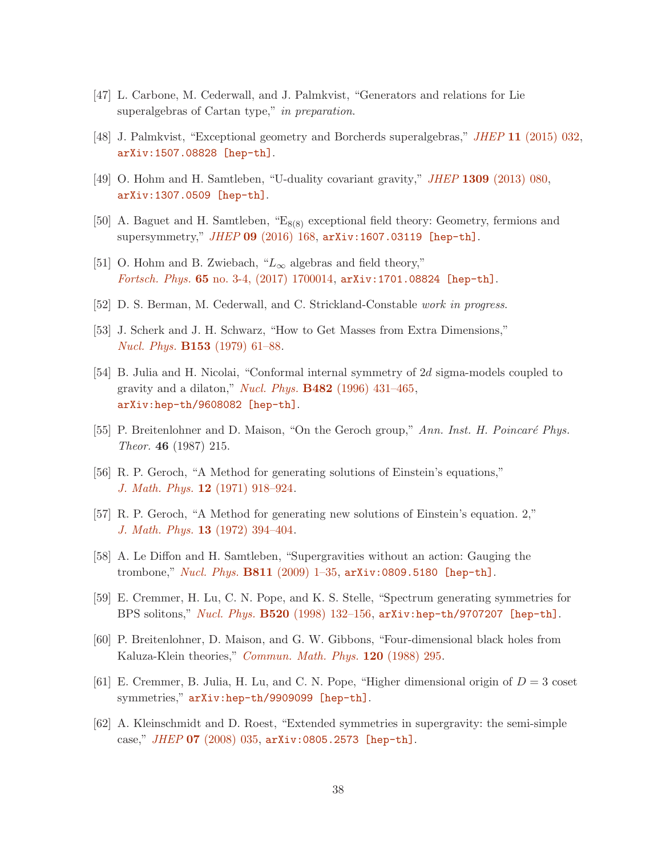- <span id="page-37-1"></span><span id="page-37-0"></span>[47] L. Carbone, M. Cederwall, and J. Palmkvist, "Generators and relations for Lie superalgebras of Cartan type," in preparation.
- <span id="page-37-2"></span>[48] J. Palmkvist, "Exceptional geometry and Borcherds superalgebras," JHEP 11 [\(2015\) 032,](http://dx.doi.org/10.1007/JHEP11(2015)032) [arXiv:1507.08828 \[hep-th\]](http://arxiv.org/abs/1507.08828).
- <span id="page-37-3"></span>[49] O. Hohm and H. Samtleben, "U-duality covariant gravity," JHEP 1309 [\(2013\) 080,](http://dx.doi.org/10.1007/JHEP09(2013)080) [arXiv:1307.0509 \[hep-th\]](http://arxiv.org/abs/1307.0509).
- <span id="page-37-4"></span>[50] A. Baguet and H. Samtleben, " $E_{8(8)}$  exceptional field theory: Geometry, fermions and supersymmetry," JHEP 09 [\(2016\) 168,](http://dx.doi.org/10.1007/JHEP09(2016)168) [arXiv:1607.03119 \[hep-th\]](http://arxiv.org/abs/1607.03119).
- <span id="page-37-5"></span>[51] O. Hohm and B. Zwiebach, " $L_{\infty}$  algebras and field theory," Fortsch. Phys. 65 [no. 3-4, \(2017\) 1700014,](http://dx.doi.org/10.1002/prop.201700014) [arXiv:1701.08824 \[hep-th\]](http://arxiv.org/abs/1701.08824).
- <span id="page-37-6"></span>[52] D. S. Berman, M. Cederwall, and C. Strickland-Constable work in progress.
- <span id="page-37-7"></span>[53] J. Scherk and J. H. Schwarz, "How to Get Masses from Extra Dimensions," Nucl. Phys. B153 [\(1979\) 61–88.](http://dx.doi.org/10.1016/0550-3213(79)90592-3)
- [54] B. Julia and H. Nicolai, "Conformal internal symmetry of 2d sigma-models coupled to gravity and a dilaton," Nucl. Phys.  $B482$  (1996) 431-465, [arXiv:hep-th/9608082 \[hep-th\]](http://arxiv.org/abs/hep-th/9608082).
- <span id="page-37-9"></span><span id="page-37-8"></span>[55] P. Breitenlohner and D. Maison, "On the Geroch group," Ann. Inst. H. Poincaré Phys. Theor. 46 (1987) 215.
- <span id="page-37-10"></span>[56] R. P. Geroch, "A Method for generating solutions of Einstein's equations," J. Math. Phys. 12 [\(1971\) 918–924.](http://dx.doi.org/10.1063/1.1665681)
- <span id="page-37-11"></span>[57] R. P. Geroch, "A Method for generating new solutions of Einstein's equation. 2," J. Math. Phys. 13 [\(1972\) 394–404.](http://dx.doi.org/10.1063/1.1665990)
- <span id="page-37-12"></span>[58] A. Le Diffon and H. Samtleben, "Supergravities without an action: Gauging the trombone," Nucl. Phys. B811 [\(2009\) 1–35,](http://dx.doi.org/10.1016/j.nuclphysb.2008.11.010) [arXiv:0809.5180 \[hep-th\]](http://arxiv.org/abs/0809.5180).
- <span id="page-37-13"></span>[59] E. Cremmer, H. Lu, C. N. Pope, and K. S. Stelle, "Spectrum generating symmetries for BPS solitons," Nucl. Phys. B520 [\(1998\) 132–156,](http://dx.doi.org/10.1016/S0550-3213(98)00057-1) [arXiv:hep-th/9707207 \[hep-th\]](http://arxiv.org/abs/hep-th/9707207).
- <span id="page-37-14"></span>[60] P. Breitenlohner, D. Maison, and G. W. Gibbons, "Four-dimensional black holes from Kaluza-Klein theories," [Commun. Math. Phys.](http://dx.doi.org/10.1007/BF01217967) 120 (1988) 295.
- <span id="page-37-15"></span>[61] E. Cremmer, B. Julia, H. Lu, and C. N. Pope, "Higher dimensional origin of  $D = 3$  coset symmetries,"  $arXiv:hep-th/9909099$  [hep-th].
- [62] A. Kleinschmidt and D. Roest, "Extended symmetries in supergravity: the semi-simple case," JHEP 07 [\(2008\) 035,](http://dx.doi.org/10.1088/1126-6708/2008/07/035) [arXiv:0805.2573 \[hep-th\]](http://arxiv.org/abs/0805.2573).